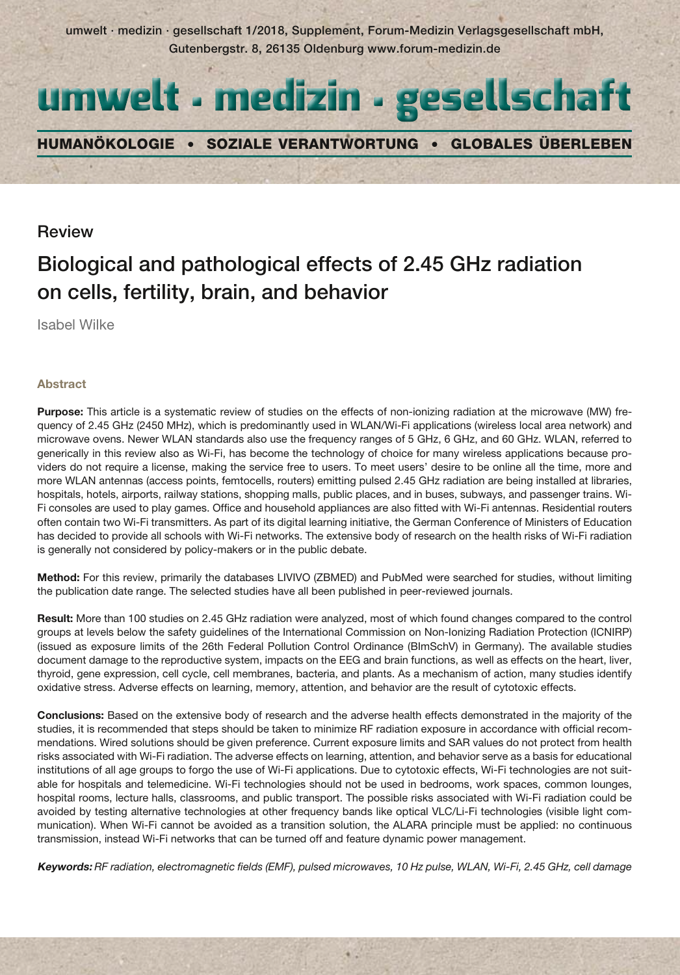umwelt · medizin · gesellschaft 1/2018, Supplement, Forum-Medizin Verlagsgesellschaft mbH, Gutenbergstr. 8, 26135 Oldenburg www.forum-medizin.de



Humanökologie • Soziale Verantwortung • Globales Überleben

# Review

# Biological and pathological effects of 2.45 GHz radiation on cells, fertility, brain, and behavior

Isabel Wilke

# **Abstract**

**Purpose:** This article is a systematic review of studies on the effects of non-ionizing radiation at the microwave (MW) frequency of 2.45 GHz (2450 MHz), which is predominantly used in WLAN/Wi-Fi applications (wireless local area network) and microwave ovens. Newer WLAN standards also use the frequency ranges of 5 GHz, 6 GHz, and 60 GHz. WLAN, referred to generically in this review also as Wi-Fi, has become the technology of choice for many wireless applications because providers do not require a license, making the service free to users. To meet users' desire to be online all the time, more and more WLAN antennas (access points, femtocells, routers) emitting pulsed 2.45 GHz radiation are being installed at libraries, hospitals, hotels, airports, railway stations, shopping malls, public places, and in buses, subways, and passenger trains. Wi-Fi consoles are used to play games. Office and household appliances are also fitted with Wi-Fi antennas. Residential routers often contain two Wi-Fi transmitters. As part of its digital learning initiative, the German Conference of Ministers of Education has decided to provide all schools with Wi-Fi networks. The extensive body of research on the health risks of Wi-Fi radiation is generally not considered by policy-makers or in the public debate.

**Method:** For this review, primarily the databases LIVIVO (ZBMED) and PubMed were searched for studies, without limiting the publication date range. The selected studies have all been published in peer-reviewed journals.

**Result:** More than 100 studies on 2.45 GHz radiation were analyzed, most of which found changes compared to the control groups at levels below the safety guidelines of the International Commission on Non-Ionizing Radiation Protection (ICNIRP) (issued as exposure limits of the 26th Federal Pollution Control Ordinance (BImSchV) in Germany). The available studies document damage to the reproductive system, impacts on the EEG and brain functions, as well as effects on the heart, liver, thyroid, gene expression, cell cycle, cell membranes, bacteria, and plants. As a mechanism of action, many studies identify oxidative stress. Adverse effects on learning, memory, attention, and behavior are the result of cytotoxic effects.

**Conclusions:** Based on the extensive body of research and the adverse health effects demonstrated in the majority of the studies, it is recommended that steps should be taken to minimize RF radiation exposure in accordance with official recommendations. Wired solutions should be given preference. Current exposure limits and SAR values do not protect from health risks associated with Wi-Fi radiation. The adverse effects on learning, attention, and behavior serve as a basis for educational institutions of all age groups to forgo the use of Wi-Fi applications. Due to cytotoxic effects, Wi-Fi technologies are not suitable for hospitals and telemedicine. Wi-Fi technologies should not be used in bedrooms, work spaces, common lounges, hospital rooms, lecture halls, classrooms, and public transport. The possible risks associated with Wi-Fi radiation could be avoided by testing alternative technologies at other frequency bands like optical VLC/Li-Fi technologies (visible light communication). When Wi-Fi cannot be avoided as a transition solution, the ALARA principle must be applied: no continuous transmission, instead Wi-Fi networks that can be turned off and feature dynamic power management.

**Keywords:** *RF radiation, electromagnetic fields (EMF), pulsed microwaves, 10 Hz pulse, WLAN, Wi-Fi, 2.45 GHz, cell damage*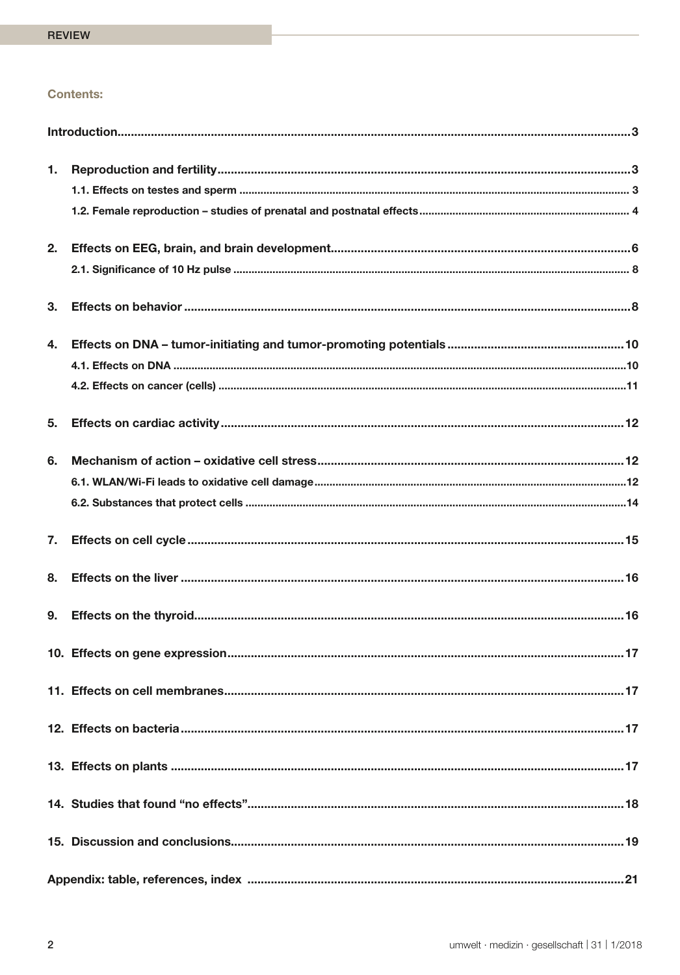# **Contents:**

| 1. |  |
|----|--|
|    |  |
|    |  |
| 2. |  |
|    |  |
| 3. |  |
| 4. |  |
|    |  |
|    |  |
| 5. |  |
| 6. |  |
|    |  |
|    |  |
| 7. |  |
| 8. |  |
| 9. |  |
|    |  |
|    |  |
|    |  |
|    |  |
|    |  |
|    |  |
|    |  |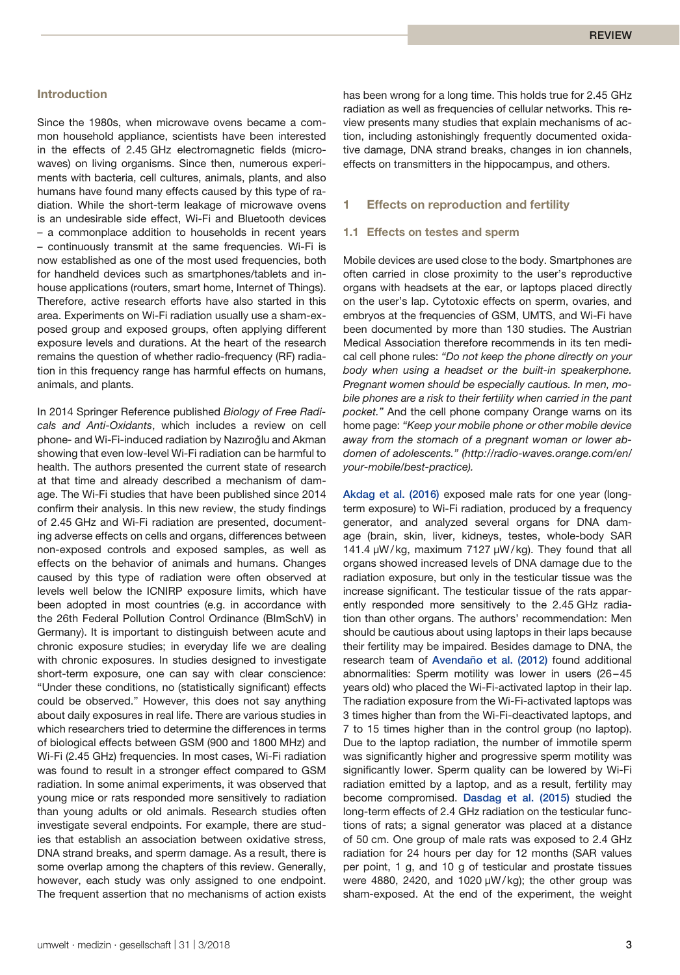# **Introduction**

Since the 1980s, when microwave ovens became a common household appliance, scientists have been interested in the effects of 2.45 GHz electromagnetic fields (microwaves) on living organisms. Since then, numerous experiments with bacteria, cell cultures, animals, plants, and also humans have found many effects caused by this type of radiation. While the short-term leakage of microwave ovens is an undesirable side effect, Wi-Fi and Bluetooth devices – a commonplace addition to households in recent years – continuously transmit at the same frequencies. Wi-Fi is now established as one of the most used frequencies, both for handheld devices such as smartphones/tablets and inhouse applications (routers, smart home, Internet of Things). Therefore, active research efforts have also started in this area. Experiments on Wi-Fi radiation usually use a sham-exposed group and exposed groups, often applying different exposure levels and durations. At the heart of the research remains the question of whether radio-frequency (RF) radiation in this frequency range has harmful effects on humans, animals, and plants.

In 2014 Springer Reference published *Biology of Free Radicals and Anti-Oxidants*, which includes a review on cell phone- and Wi-Fi-induced radiation by Nazıroğlu and Akman showing that even low-level Wi-Fi radiation can be harmful to health. The authors presented the current state of research at that time and already described a mechanism of damage. The Wi-Fi studies that have been published since 2014 confirm their analysis. In this new review, the study findings of 2.45 GHz and Wi-Fi radiation are presented, documenting adverse effects on cells and organs, differences between non-exposed controls and exposed samples, as well as effects on the behavior of animals and humans. Changes caused by this type of radiation were often observed at levels well below the ICNIRP exposure limits, which have been adopted in most countries (e.g. in accordance with the 26th Federal Pollution Control Ordinance (BImSchV) in Germany). It is important to distinguish between acute and chronic exposure studies; in everyday life we are dealing with chronic exposures. In studies designed to investigate short-term exposure, one can say with clear conscience: "Under these conditions, no (statistically significant) effects could be observed." However, this does not say anything about daily exposures in real life. There are various studies in which researchers tried to determine the differences in terms of biological effects between GSM (900 and 1800 MHz) and Wi-Fi (2.45 GHz) frequencies. In most cases, Wi-Fi radiation was found to result in a stronger effect compared to GSM radiation. In some animal experiments, it was observed that young mice or rats responded more sensitively to radiation than young adults or old animals. Research studies often investigate several endpoints. For example, there are studies that establish an association between oxidative stress, DNA strand breaks, and sperm damage. As a result, there is some overlap among the chapters of this review. Generally, however, each study was only assigned to one endpoint. The frequent assertion that no mechanisms of action exists has been wrong for a long time. This holds true for 2.45 GHz radiation as well as frequencies of cellular networks. This review presents many studies that explain mechanisms of action, including astonishingly frequently documented oxidative damage, DNA strand breaks, changes in ion channels, effects on transmitters in the hippocampus, and others.

# **1 Effects on reproduction and fertility**

#### **1.1 Effects on testes and sperm**

Mobile devices are used close to the body. Smartphones are often carried in close proximity to the user's reproductive organs with headsets at the ear, or laptops placed directly on the user's lap. Cytotoxic effects on sperm, ovaries, and embryos at the frequencies of GSM, UMTS, and Wi-Fi have been documented by more than 130 studies. The Austrian Medical Association therefore recommends in its ten medical cell phone rules: *"Do not keep the phone directly on your body when using a headset or the built-in speakerphone. Pregnant women should be especially cautious. In men, mobile phones are a risk to their fertility when carried in the pant pocket."* And the cell phone company Orange warns on its home page: *"Keep your mobile phone or other mobile device away from the stomach of a pregnant woman or lower abdomen of adolescents." (http://radio-waves.orange.com/en/ your-mobile/best-practice).*

Akdag et al. (2016) exposed male rats for one year (longterm exposure) to Wi-Fi radiation, produced by a frequency generator, and analyzed several organs for DNA damage (brain, skin, liver, kidneys, testes, whole-body SAR 141.4 µW/kg, maximum 7127 µW/kg). They found that all organs showed increased levels of DNA damage due to the radiation exposure, but only in the testicular tissue was the increase significant. The testicular tissue of the rats apparently responded more sensitively to the 2.45 GHz radiation than other organs. The authors' recommendation: Men should be cautious about using laptops in their laps because their fertility may be impaired. Besides damage to DNA, the research team of Avendaño et al. (2012) found additional abnormalities: Sperm motility was lower in users (26–45 years old) who placed the Wi-Fi-activated laptop in their lap. The radiation exposure from the Wi-Fi-activated laptops was 3 times higher than from the Wi-Fi-deactivated laptops, and 7 to 15 times higher than in the control group (no laptop). Due to the laptop radiation, the number of immotile sperm was significantly higher and progressive sperm motility was significantly lower. Sperm quality can be lowered by Wi-Fi radiation emitted by a laptop, and as a result, fertility may become compromised. Dasdag et al. (2015) studied the long-term effects of 2.4 GHz radiation on the testicular functions of rats; a signal generator was placed at a distance of 50 cm. One group of male rats was exposed to 2.4 GHz radiation for 24 hours per day for 12 months (SAR values per point, 1 g, and 10 g of testicular and prostate tissues were 4880, 2420, and 1020 µW/kg); the other group was sham-exposed. At the end of the experiment, the weight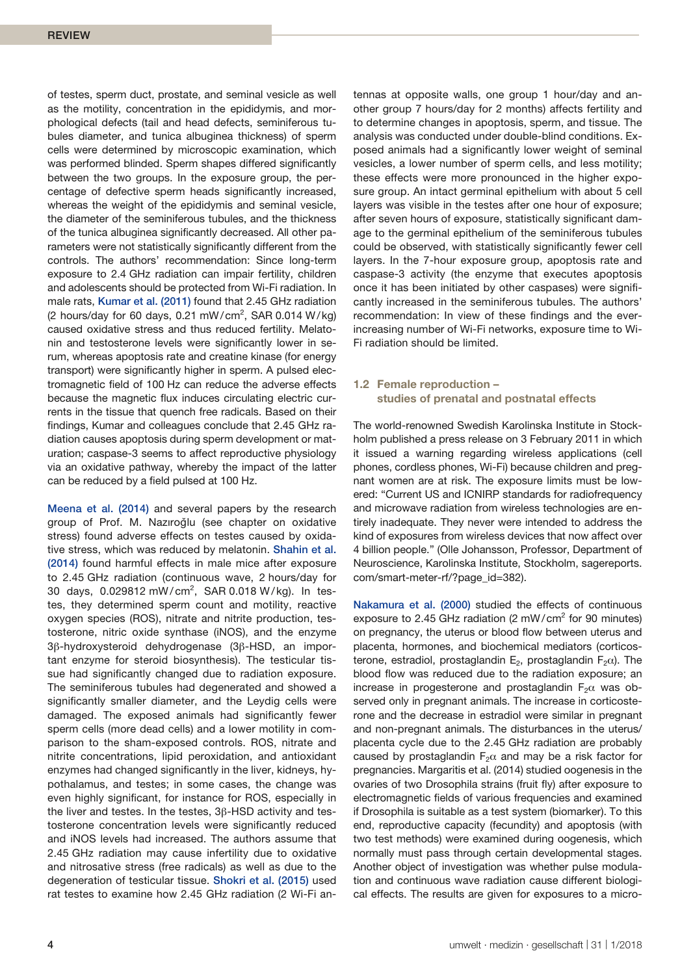of testes, sperm duct, prostate, and seminal vesicle as well as the motility, concentration in the epididymis, and morphological defects (tail and head defects, seminiferous tubules diameter, and tunica albuginea thickness) of sperm cells were determined by microscopic examination, which was performed blinded. Sperm shapes differed significantly between the two groups. In the exposure group, the percentage of defective sperm heads significantly increased, whereas the weight of the epididymis and seminal vesicle, the diameter of the seminiferous tubules, and the thickness of the tunica albuginea significantly decreased. All other parameters were not statistically significantly different from the controls. The authors' recommendation: Since long-term exposure to 2.4 GHz radiation can impair fertility, children and adolescents should be protected from Wi-Fi radiation. In male rats, Kumar et al. (2011) found that 2.45 GHz radiation (2 hours/day for 60 days,  $0.21$  mW/cm<sup>2</sup>, SAR  $0.014$  W/kg) caused oxidative stress and thus reduced fertility. Melatonin and testosterone levels were significantly lower in serum, whereas apoptosis rate and creatine kinase (for energy transport) were significantly higher in sperm. A pulsed electromagnetic field of 100 Hz can reduce the adverse effects because the magnetic flux induces circulating electric currents in the tissue that quench free radicals. Based on their findings, Kumar and colleagues conclude that 2.45 GHz radiation causes apoptosis during sperm development or maturation; caspase-3 seems to affect reproductive physiology via an oxidative pathway, whereby the impact of the latter can be reduced by a field pulsed at 100 Hz.

Meena et al. (2014) and several papers by the research group of Prof. M. Nazıroğlu (see chapter on oxidative stress) found adverse effects on testes caused by oxidative stress, which was reduced by melatonin. Shahin et al. (2014) found harmful effects in male mice after exposure to 2.45 GHz radiation (continuous wave, 2 hours/day for 30 days, 0.029812 mW/cm<sup>2</sup>, SAR 0.018 W/kg). In testes, they determined sperm count and motility, reactive oxygen species (ROS), nitrate and nitrite production, testosterone, nitric oxide synthase (iNOS), and the enzyme 3β-hydroxysteroid dehydrogenase (3β-HSD, an important enzyme for steroid biosynthesis). The testicular tissue had significantly changed due to radiation exposure. The seminiferous tubules had degenerated and showed a significantly smaller diameter, and the Leydig cells were damaged. The exposed animals had significantly fewer sperm cells (more dead cells) and a lower motility in comparison to the sham-exposed controls. ROS, nitrate and nitrite concentrations, lipid peroxidation, and antioxidant enzymes had changed significantly in the liver, kidneys, hypothalamus, and testes; in some cases, the change was even highly significant, for instance for ROS, especially in the liver and testes. In the testes, 3β-HSD activity and testosterone concentration levels were significantly reduced and iNOS levels had increased. The authors assume that 2.45 GHz radiation may cause infertility due to oxidative and nitrosative stress (free radicals) as well as due to the degeneration of testicular tissue. Shokri et al. (2015) used rat testes to examine how 2.45 GHz radiation (2 Wi-Fi antennas at opposite walls, one group 1 hour/day and another group 7 hours/day for 2 months) affects fertility and to determine changes in apoptosis, sperm, and tissue. The analysis was conducted under double-blind conditions. Exposed animals had a significantly lower weight of seminal vesicles, a lower number of sperm cells, and less motility; these effects were more pronounced in the higher exposure group. An intact germinal epithelium with about 5 cell layers was visible in the testes after one hour of exposure; after seven hours of exposure, statistically significant damage to the germinal epithelium of the seminiferous tubules could be observed, with statistically significantly fewer cell layers. In the 7-hour exposure group, apoptosis rate and caspase-3 activity (the enzyme that executes apoptosis once it has been initiated by other caspases) were significantly increased in the seminiferous tubules. The authors' recommendation: In view of these findings and the everincreasing number of Wi-Fi networks, exposure time to Wi-Fi radiation should be limited.

# **1.2 Female reproduction – studies of prenatal and postnatal effects**

The world-renowned Swedish Karolinska Institute in Stockholm published a press release on 3 February 2011 in which it issued a warning regarding wireless applications (cell phones, cordless phones, Wi-Fi) because children and pregnant women are at risk. The exposure limits must be lowered: "Current US and ICNIRP standards for radiofrequency and microwave radiation from wireless technologies are entirely inadequate. They never were intended to address the kind of exposures from wireless devices that now affect over 4 billion people." (Olle Johansson, Professor, Department of Neuroscience, Karolinska Institute, Stockholm, sagereports. com/smart-meter-rf/?page\_id=382).

Nakamura et al. (2000) studied the effects of continuous exposure to 2.45 GHz radiation (2 mW/cm<sup>2</sup> for 90 minutes) on pregnancy, the uterus or blood flow between uterus and placenta, hormones, and biochemical mediators (corticosterone, estradiol, prostaglandin E<sub>2</sub>, prostaglandin F<sub>2</sub> $\alpha$ ). The blood flow was reduced due to the radiation exposure; an increase in progesterone and prostaglandin  $F_2\alpha$  was observed only in pregnant animals. The increase in corticosterone and the decrease in estradiol were similar in pregnant and non-pregnant animals. The disturbances in the uterus/ placenta cycle due to the 2.45 GHz radiation are probably caused by prostaglandin  $F_2\alpha$  and may be a risk factor for pregnancies. Margaritis et al. (2014) studied oogenesis in the ovaries of two Drosophila strains (fruit fly) after exposure to electromagnetic fields of various frequencies and examined if Drosophila is suitable as a test system (biomarker). To this end, reproductive capacity (fecundity) and apoptosis (with two test methods) were examined during oogenesis, which normally must pass through certain developmental stages. Another object of investigation was whether pulse modulation and continuous wave radiation cause different biological effects. The results are given for exposures to a micro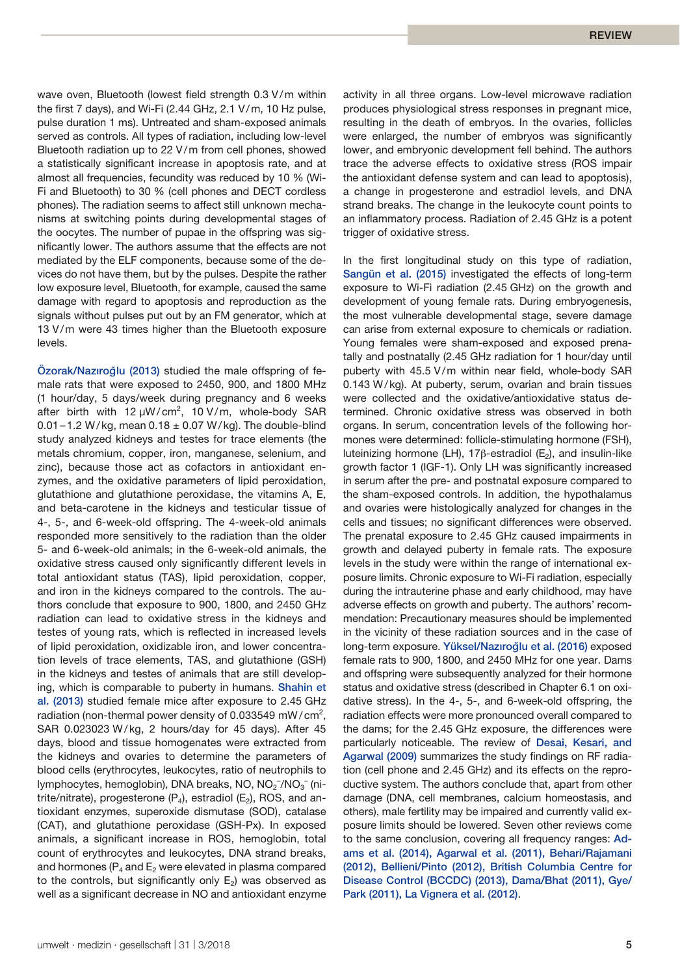wave oven, Bluetooth (lowest field strength 0.3 V/m within the first 7 days), and Wi-Fi (2.44 GHz, 2.1 V/m, 10 Hz pulse, pulse duration 1 ms). Untreated and sham-exposed animals served as controls. All types of radiation, including low-level Bluetooth radiation up to 22 V/m from cell phones, showed a statistically significant increase in apoptosis rate, and at almost all frequencies, fecundity was reduced by 10 % (Wi-Fi and Bluetooth) to 30 % (cell phones and DECT cordless phones). The radiation seems to affect still unknown mechanisms at switching points during developmental stages of the oocytes. The number of pupae in the offspring was significantly lower. The authors assume that the effects are not mediated by the ELF components, because some of the devices do not have them, but by the pulses. Despite the rather low exposure level, Bluetooth, for example, caused the same damage with regard to apoptosis and reproduction as the signals without pulses put out by an FM generator, which at 13 V/m were 43 times higher than the Bluetooth exposure levels.

Özorak/Nazıroğlu (2013) studied the male offspring of female rats that were exposed to 2450, 900, and 1800 MHz (1 hour/day, 5 days/week during pregnancy and 6 weeks after birth with  $12 \mu W/cm^2$ , 10 V/m, whole-body SAR 0.01 – 1.2 W/kg, mean  $0.18 \pm 0.07$  W/kg). The double-blind study analyzed kidneys and testes for trace elements (the metals chromium, copper, iron, manganese, selenium, and zinc), because those act as cofactors in antioxidant enzymes, and the oxidative parameters of lipid peroxidation, glutathione and glutathione peroxidase, the vitamins A, E, and beta-carotene in the kidneys and testicular tissue of 4-, 5-, and 6-week-old offspring. The 4-week-old animals responded more sensitively to the radiation than the older 5- and 6-week-old animals; in the 6-week-old animals, the oxidative stress caused only significantly different levels in total antioxidant status (TAS), lipid peroxidation, copper, and iron in the kidneys compared to the controls. The authors conclude that exposure to 900, 1800, and 2450 GHz radiation can lead to oxidative stress in the kidneys and testes of young rats, which is reflected in increased levels of lipid peroxidation, oxidizable iron, and lower concentration levels of trace elements, TAS, and glutathione (GSH) in the kidneys and testes of animals that are still developing, which is comparable to puberty in humans. Shahin et al. (2013) studied female mice after exposure to 2.45 GHz radiation (non-thermal power density of 0.033549 mW/cm<sup>2</sup>, SAR 0.023023 W/kg, 2 hours/day for 45 days). After 45 days, blood and tissue homogenates were extracted from the kidneys and ovaries to determine the parameters of blood cells (erythrocytes, leukocytes, ratio of neutrophils to lymphocytes, hemoglobin), DNA breaks, NO, NO $_2$ <sup>-</sup>/NO $_3^-$  (nitrite/nitrate), progesterone  $(P_4)$ , estradiol  $(E_2)$ , ROS, and antioxidant enzymes, superoxide dismutase (SOD), catalase (CAT), and glutathione peroxidase (GSH-Px). In exposed animals, a significant increase in ROS, hemoglobin, total count of erythrocytes and leukocytes, DNA strand breaks, and hormones ( $P_4$  and  $E_2$  were elevated in plasma compared to the controls, but significantly only  $E<sub>2</sub>$ ) was observed as well as a significant decrease in NO and antioxidant enzyme

activity in all three organs. Low-level microwave radiation produces physiological stress responses in pregnant mice, resulting in the death of embryos. In the ovaries, follicles were enlarged, the number of embryos was significantly lower, and embryonic development fell behind. The authors trace the adverse effects to oxidative stress (ROS impair the antioxidant defense system and can lead to apoptosis), a change in progesterone and estradiol levels, and DNA strand breaks. The change in the leukocyte count points to an inflammatory process. Radiation of 2.45 GHz is a potent trigger of oxidative stress.

In the first longitudinal study on this type of radiation, Sangün et al. (2015) investigated the effects of long-term exposure to Wi-Fi radiation (2.45 GHz) on the growth and development of young female rats. During embryogenesis, the most vulnerable developmental stage, severe damage can arise from external exposure to chemicals or radiation. Young females were sham-exposed and exposed prenatally and postnatally (2.45 GHz radiation for 1 hour/day until puberty with 45.5 V/m within near field, whole-body SAR 0.143 W/kg). At puberty, serum, ovarian and brain tissues were collected and the oxidative/antioxidative status determined. Chronic oxidative stress was observed in both organs. In serum, concentration levels of the following hormones were determined: follicle-stimulating hormone (FSH), luteinizing hormone (LH), 17β-estradiol (E<sub>2</sub>), and insulin-like growth factor 1 (IGF-1). Only LH was significantly increased in serum after the pre- and postnatal exposure compared to the sham-exposed controls. In addition, the hypothalamus and ovaries were histologically analyzed for changes in the cells and tissues; no significant differences were observed. The prenatal exposure to 2.45 GHz caused impairments in growth and delayed puberty in female rats. The exposure levels in the study were within the range of international exposure limits. Chronic exposure to Wi-Fi radiation, especially during the intrauterine phase and early childhood, may have adverse effects on growth and puberty. The authors' recommendation: Precautionary measures should be implemented in the vicinity of these radiation sources and in the case of long-term exposure. Yüksel/Nazıroğlu et al. (2016) exposed female rats to 900, 1800, and 2450 MHz for one year. Dams and offspring were subsequently analyzed for their hormone status and oxidative stress (described in Chapter 6.1 on oxidative stress). In the 4-, 5-, and 6-week-old offspring, the radiation effects were more pronounced overall compared to the dams; for the 2.45 GHz exposure, the differences were particularly noticeable. The review of Desai, Kesari, and Agarwal (2009) summarizes the study findings on RF radiation (cell phone and 2.45 GHz) and its effects on the reproductive system. The authors conclude that, apart from other damage (DNA, cell membranes, calcium homeostasis, and others), male fertility may be impaired and currently valid exposure limits should be lowered. Seven other reviews come to the same conclusion, covering all frequency ranges: Adams et al. (2014), Agarwal et al. (2011), Behari/Rajamani (2012), Bellieni/Pinto (2012), British Columbia Centre for Disease Control (BCCDC) (2013), Dama/Bhat (2011), Gye/ Park (2011), La Vignera et al. (2012).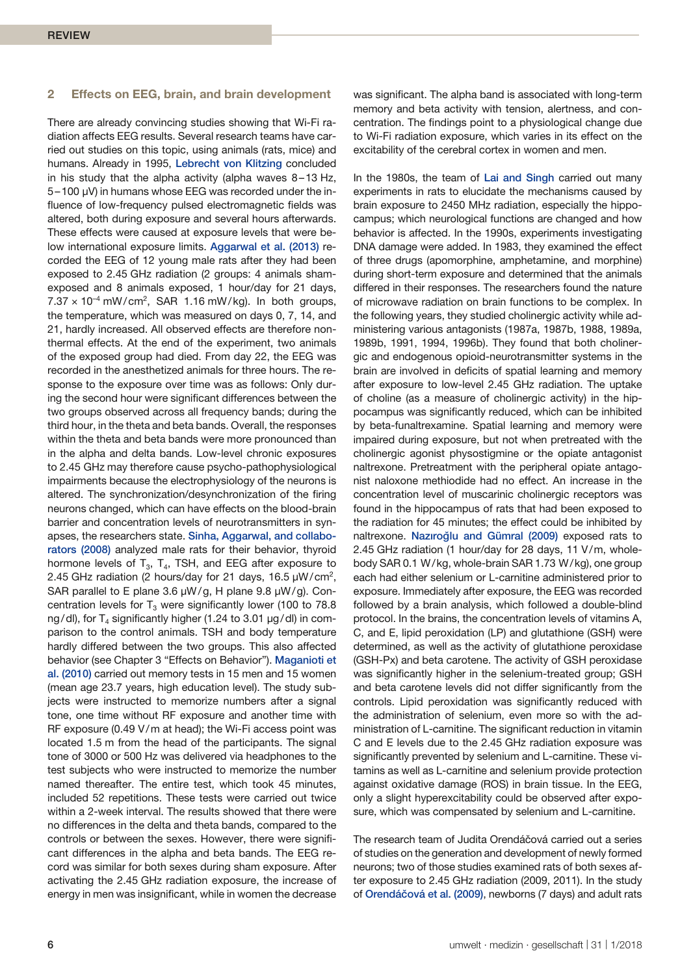# **2 Effects on EEG, brain, and brain development**

There are already convincing studies showing that Wi-Fi radiation affects EEG results. Several research teams have carried out studies on this topic, using animals (rats, mice) and humans. Already in 1995, Lebrecht von Klitzing concluded in his study that the alpha activity (alpha waves 8–13 Hz, 5–100 µV) in humans whose EEG was recorded under the influence of low-frequency pulsed electromagnetic fields was altered, both during exposure and several hours afterwards. These effects were caused at exposure levels that were below international exposure limits. Aggarwal et al. (2013) recorded the EEG of 12 young male rats after they had been exposed to 2.45 GHz radiation (2 groups: 4 animals shamexposed and 8 animals exposed, 1 hour/day for 21 days,  $7.37 \times 10^{-4}$  mW/cm<sup>2</sup>, SAR 1.16 mW/kg). In both groups, the temperature, which was measured on days 0, 7, 14, and 21, hardly increased. All observed effects are therefore nonthermal effects. At the end of the experiment, two animals of the exposed group had died. From day 22, the EEG was recorded in the anesthetized animals for three hours. The response to the exposure over time was as follows: Only during the second hour were significant differences between the two groups observed across all frequency bands; during the third hour, in the theta and beta bands. Overall, the responses within the theta and beta bands were more pronounced than in the alpha and delta bands. Low-level chronic exposures to 2.45 GHz may therefore cause psycho-pathophysiological impairments because the electrophysiology of the neurons is altered. The synchronization/desynchronization of the firing neurons changed, which can have effects on the blood-brain barrier and concentration levels of neurotransmitters in synapses, the researchers state. Sinha, Aggarwal, and collaborators (2008) analyzed male rats for their behavior, thyroid hormone levels of  $T_3$ ,  $T_4$ , TSH, and EEG after exposure to 2.45 GHz radiation (2 hours/day for 21 days, 16.5  $\mu$ W/cm<sup>2</sup>, SAR parallel to E plane 3.6  $\mu$ W/g, H plane 9.8  $\mu$ W/g). Concentration levels for  $T_3$  were significantly lower (100 to 78.8 ng/dl), for  $T_4$  significantly higher (1.24 to 3.01  $\mu$ g/dl) in comparison to the control animals. TSH and body temperature hardly differed between the two groups. This also affected behavior (see Chapter 3 "Effects on Behavior"). Maganioti et al. (2010) carried out memory tests in 15 men and 15 women (mean age 23.7 years, high education level). The study subjects were instructed to memorize numbers after a signal tone, one time without RF exposure and another time with RF exposure (0.49 V/m at head); the Wi-Fi access point was located 1.5 m from the head of the participants. The signal tone of 3000 or 500 Hz was delivered via headphones to the test subjects who were instructed to memorize the number named thereafter. The entire test, which took 45 minutes, included 52 repetitions. These tests were carried out twice within a 2-week interval. The results showed that there were no differences in the delta and theta bands, compared to the controls or between the sexes. However, there were significant differences in the alpha and beta bands. The EEG record was similar for both sexes during sham exposure. After activating the 2.45 GHz radiation exposure, the increase of energy in men was insignificant, while in women the decrease

was significant. The alpha band is associated with long-term memory and beta activity with tension, alertness, and concentration. The findings point to a physiological change due to Wi-Fi radiation exposure, which varies in its effect on the excitability of the cerebral cortex in women and men.

In the 1980s, the team of Lai and Singh carried out many experiments in rats to elucidate the mechanisms caused by brain exposure to 2450 MHz radiation, especially the hippocampus; which neurological functions are changed and how behavior is affected. In the 1990s, experiments investigating DNA damage were added. In 1983, they examined the effect of three drugs (apomorphine, amphetamine, and morphine) during short-term exposure and determined that the animals differed in their responses. The researchers found the nature of microwave radiation on brain functions to be complex. In the following years, they studied cholinergic activity while administering various antagonists (1987a, 1987b, 1988, 1989a, 1989b, 1991, 1994, 1996b). They found that both cholinergic and endogenous opioid-neurotransmitter systems in the brain are involved in deficits of spatial learning and memory after exposure to low-level 2.45 GHz radiation. The uptake of choline (as a measure of cholinergic activity) in the hippocampus was significantly reduced, which can be inhibited by beta-funaltrexamine. Spatial learning and memory were impaired during exposure, but not when pretreated with the cholinergic agonist physostigmine or the opiate antagonist naltrexone. Pretreatment with the peripheral opiate antagonist naloxone methiodide had no effect. An increase in the concentration level of muscarinic cholinergic receptors was found in the hippocampus of rats that had been exposed to the radiation for 45 minutes; the effect could be inhibited by naltrexone. Nazıroğlu and Gümral (2009) exposed rats to 2.45 GHz radiation (1 hour/day for 28 days, 11 V/m, wholebody SAR 0.1 W/kg, whole-brain SAR 1.73 W/kg), one group each had either selenium or L-carnitine administered prior to exposure. Immediately after exposure, the EEG was recorded followed by a brain analysis, which followed a double-blind protocol. In the brains, the concentration levels of vitamins A, C, and E, lipid peroxidation (LP) and glutathione (GSH) were determined, as well as the activity of glutathione peroxidase (GSH-Px) and beta carotene. The activity of GSH peroxidase was significantly higher in the selenium-treated group; GSH and beta carotene levels did not differ significantly from the controls. Lipid peroxidation was significantly reduced with the administration of selenium, even more so with the administration of L-carnitine. The significant reduction in vitamin C and E levels due to the 2.45 GHz radiation exposure was significantly prevented by selenium and L-carnitine. These vitamins as well as L-carnitine and selenium provide protection against oxidative damage (ROS) in brain tissue. In the EEG, only a slight hyperexcitability could be observed after exposure, which was compensated by selenium and L-carnitine.

The research team of Judita Orendáčová carried out a series of studies on the generation and development of newly formed neurons; two of those studies examined rats of both sexes after exposure to 2.45 GHz radiation (2009, 2011). In the study of Orendáčová et al. (2009), newborns (7 days) and adult rats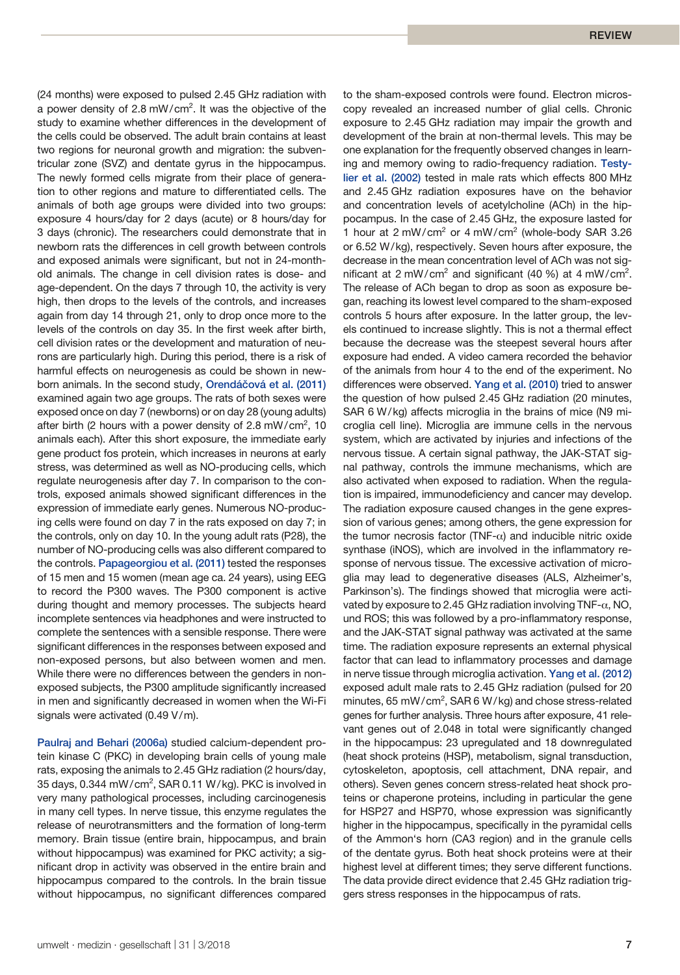(24 months) were exposed to pulsed 2.45 GHz radiation with a power density of 2.8 mW/cm<sup>2</sup>. It was the objective of the study to examine whether differences in the development of the cells could be observed. The adult brain contains at least two regions for neuronal growth and migration: the subventricular zone (SVZ) and dentate gyrus in the hippocampus. The newly formed cells migrate from their place of generation to other regions and mature to differentiated cells. The animals of both age groups were divided into two groups: exposure 4 hours/day for 2 days (acute) or 8 hours/day for 3 days (chronic). The researchers could demonstrate that in newborn rats the differences in cell growth between controls and exposed animals were significant, but not in 24-monthold animals. The change in cell division rates is dose- and age-dependent. On the days 7 through 10, the activity is very high, then drops to the levels of the controls, and increases again from day 14 through 21, only to drop once more to the levels of the controls on day 35. In the first week after birth, cell division rates or the development and maturation of neurons are particularly high. During this period, there is a risk of harmful effects on neurogenesis as could be shown in newborn animals. In the second study, Orendáčová et al. (2011) examined again two age groups. The rats of both sexes were exposed once on day 7 (newborns) or on day 28 (young adults) after birth (2 hours with a power density of 2.8 mW/cm<sup>2</sup>, 10 animals each). After this short exposure, the immediate early gene product fos protein, which increases in neurons at early stress, was determined as well as NO-producing cells, which regulate neurogenesis after day 7. In comparison to the controls, exposed animals showed significant differences in the expression of immediate early genes. Numerous NO-producing cells were found on day 7 in the rats exposed on day 7; in the controls, only on day 10. In the young adult rats (P28), the number of NO-producing cells was also different compared to the controls. Papageorgiou et al. (2011) tested the responses of 15 men and 15 women (mean age ca. 24 years), using EEG to record the P300 waves. The P300 component is active during thought and memory processes. The subjects heard incomplete sentences via headphones and were instructed to complete the sentences with a sensible response. There were significant differences in the responses between exposed and non-exposed persons, but also between women and men. While there were no differences between the genders in nonexposed subjects, the P300 amplitude significantly increased in men and significantly decreased in women when the Wi-Fi signals were activated (0.49 V/m).

Paulraj and Behari (2006a) studied calcium-dependent protein kinase C (PKC) in developing brain cells of young male rats, exposing the animals to 2.45 GHz radiation (2 hours/day, 35 days, 0.344 mW/cm<sup>2</sup>, SAR 0.11 W/kg). PKC is involved in very many pathological processes, including carcinogenesis in many cell types. In nerve tissue, this enzyme regulates the release of neurotransmitters and the formation of long-term memory. Brain tissue (entire brain, hippocampus, and brain without hippocampus) was examined for PKC activity; a significant drop in activity was observed in the entire brain and hippocampus compared to the controls. In the brain tissue without hippocampus, no significant differences compared

copy revealed an increased number of glial cells. Chronic exposure to 2.45 GHz radiation may impair the growth and development of the brain at non-thermal levels. This may be one explanation for the frequently observed changes in learning and memory owing to radio-frequency radiation. Testylier et al. (2002) tested in male rats which effects 800 MHz and 2.45 GHz radiation exposures have on the behavior and concentration levels of acetylcholine (ACh) in the hippocampus. In the case of 2.45 GHz, the exposure lasted for 1 hour at  $2 \text{ mW/cm}^2$  or  $4 \text{ mW/cm}^2$  (whole-body SAR 3.26 or 6.52 W/kg), respectively. Seven hours after exposure, the decrease in the mean concentration level of ACh was not significant at 2 mW/cm<sup>2</sup> and significant (40 %) at 4 mW/cm<sup>2</sup>. The release of ACh began to drop as soon as exposure began, reaching its lowest level compared to the sham-exposed controls 5 hours after exposure. In the latter group, the levels continued to increase slightly. This is not a thermal effect because the decrease was the steepest several hours after exposure had ended. A video camera recorded the behavior of the animals from hour 4 to the end of the experiment. No differences were observed. Yang et al. (2010) tried to answer the question of how pulsed 2.45 GHz radiation (20 minutes, SAR 6 W/kg) affects microglia in the brains of mice (N9 microglia cell line). Microglia are immune cells in the nervous system, which are activated by injuries and infections of the nervous tissue. A certain signal pathway, the JAK-STAT signal pathway, controls the immune mechanisms, which are also activated when exposed to radiation. When the regulation is impaired, immunodeficiency and cancer may develop. The radiation exposure caused changes in the gene expression of various genes; among others, the gene expression for the tumor necrosis factor (TNF- $\alpha$ ) and inducible nitric oxide synthase (iNOS), which are involved in the inflammatory response of nervous tissue. The excessive activation of microglia may lead to degenerative diseases (ALS, Alzheimer's, Parkinson's). The findings showed that microglia were activated by exposure to 2.45 GHz radiation involving TNF- $\alpha$ , NO, und ROS; this was followed by a pro-inflammatory response, and the JAK-STAT signal pathway was activated at the same time. The radiation exposure represents an external physical factor that can lead to inflammatory processes and damage in nerve tissue through microglia activation. Yang et al. (2012) exposed adult male rats to 2.45 GHz radiation (pulsed for 20 minutes, 65 mW/cm<sup>2</sup>, SAR 6 W/kg) and chose stress-related genes for further analysis. Three hours after exposure, 41 relevant genes out of 2.048 in total were significantly changed in the hippocampus: 23 upregulated and 18 downregulated (heat shock proteins (HSP), metabolism, signal transduction, cytoskeleton, apoptosis, cell attachment, DNA repair, and others). Seven genes concern stress-related heat shock proteins or chaperone proteins, including in particular the gene for HSP27 and HSP70, whose expression was significantly higher in the hippocampus, specifically in the pyramidal cells of the Ammon's horn (CA3 region) and in the granule cells of the dentate gyrus. Both heat shock proteins were at their highest level at different times; they serve different functions. The data provide direct evidence that 2.45 GHz radiation triggers stress responses in the hippocampus of rats.

to the sham-exposed controls were found. Electron micros-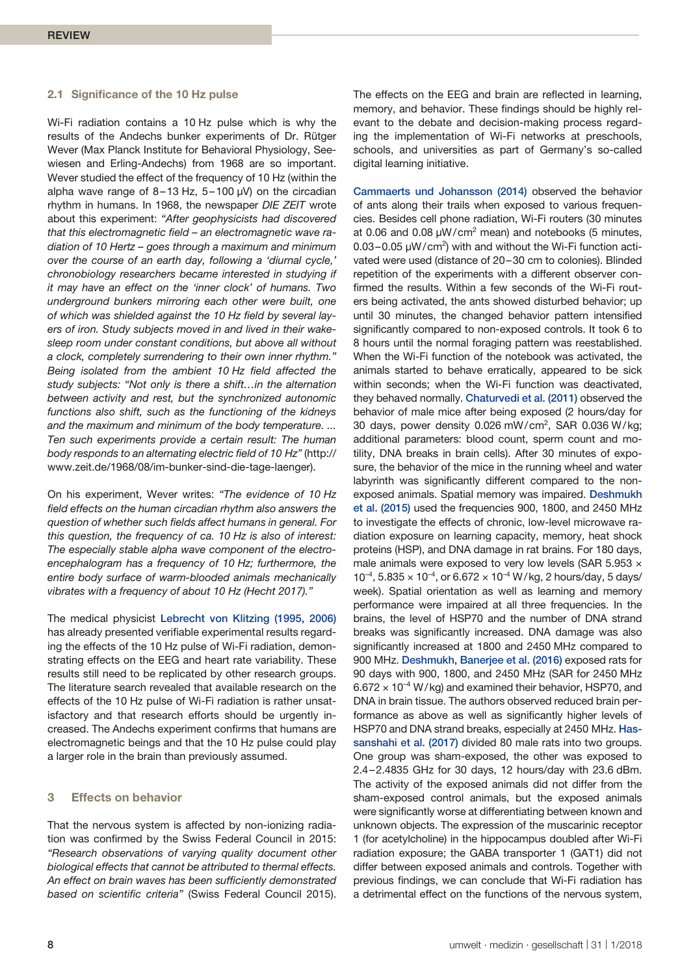#### **2.1 Significance of the 10 Hz pulse**

Wi-Fi radiation contains a 10 Hz pulse which is why the results of the Andechs bunker experiments of Dr. Rütger Wever (Max Planck Institute for Behavioral Physiology, Seewiesen and Erling-Andechs) from 1968 are so important. Wever studied the effect of the frequency of 10 Hz (within the alpha wave range of  $8-13$  Hz,  $5-100$   $\mu$ V) on the circadian rhythm in humans. In 1968, the newspaper *DIE ZEIT* wrote about this experiment: *"After geophysicists had discovered that this electromagnetic field – an electromagnetic wave radiation of 10 Hertz – goes through a maximum and minimum over the course of an earth day, following a 'diurnal cycle,' chronobiology researchers became interested in studying if it may have an effect on the 'inner clock' of humans. Two underground bunkers mirroring each other were built, one of which was shielded against the 10 Hz field by several layers of iron. Study subjects moved in and lived in their wakesleep room under constant conditions, but above all without a clock, completely surrendering to their own inner rhythm." Being isolated from the ambient 10 Hz field affected the study subjects: "Not only is there a shift…in the alternation between activity and rest, but the synchronized autonomic functions also shift, such as the functioning of the kidneys and the maximum and minimum of the body temperature. ... Ten such experiments provide a certain result: The human body responds to an alternating electric field of 10 Hz"* (http:// www.zeit.de/1968/08/im-bunker-sind-die-tage-laenger).

On his experiment, Wever writes: *"The evidence of 10 Hz field effects on the human circadian rhythm also answers the question of whether such fields affect humans in general. For this question, the frequency of ca. 10 Hz is also of interest: The especially stable alpha wave component of the electroencephalogram has a frequency of 10 Hz; furthermore, the entire body surface of warm-blooded animals mechanically vibrates with a frequency of about 10 Hz (Hecht 2017)."*

The medical physicist Lebrecht von Klitzing (1995, 2006) has already presented verifiable experimental results regarding the effects of the 10 Hz pulse of Wi-Fi radiation, demonstrating effects on the EEG and heart rate variability. These results still need to be replicated by other research groups. The literature search revealed that available research on the effects of the 10 Hz pulse of Wi-Fi radiation is rather unsatisfactory and that research efforts should be urgently increased. The Andechs experiment confirms that humans are electromagnetic beings and that the 10 Hz pulse could play a larger role in the brain than previously assumed.

# **3 Effects on behavior**

That the nervous system is affected by non-ionizing radiation was confirmed by the Swiss Federal Council in 2015: *"Research observations of varying quality document other biological effects that cannot be attributed to thermal effects. An effect on brain waves has been sufficiently demonstrated based on scientific criteria"* (Swiss Federal Council 2015).

The effects on the EEG and brain are reflected in learning, memory, and behavior. These findings should be highly relevant to the debate and decision-making process regarding the implementation of Wi-Fi networks at preschools, schools, and universities as part of Germany's so-called digital learning initiative.

Cammaerts und Johansson (2014) observed the behavior of ants along their trails when exposed to various frequencies. Besides cell phone radiation, Wi-Fi routers (30 minutes at 0.06 and 0.08  $\mu$ W/cm<sup>2</sup> mean) and notebooks (5 minutes,  $0.03 - 0.05 \mu W/cm^2$ ) with and without the Wi-Fi function activated were used (distance of 20–30 cm to colonies). Blinded repetition of the experiments with a different observer confirmed the results. Within a few seconds of the Wi-Fi routers being activated, the ants showed disturbed behavior; up until 30 minutes, the changed behavior pattern intensified significantly compared to non-exposed controls. It took 6 to 8 hours until the normal foraging pattern was reestablished. When the Wi-Fi function of the notebook was activated, the animals started to behave erratically, appeared to be sick within seconds; when the Wi-Fi function was deactivated, they behaved normally. Chaturvedi et al. (2011) observed the behavior of male mice after being exposed (2 hours/day for 30 days, power density  $0.026$  mW/cm<sup>2</sup>, SAR  $0.036$  W/kg; additional parameters: blood count, sperm count and motility, DNA breaks in brain cells). After 30 minutes of exposure, the behavior of the mice in the running wheel and water labyrinth was significantly different compared to the nonexposed animals. Spatial memory was impaired. Deshmukh et al. (2015) used the frequencies 900, 1800, and 2450 MHz to investigate the effects of chronic, low-level microwave radiation exposure on learning capacity, memory, heat shock proteins (HSP), and DNA damage in rat brains. For 180 days, male animals were exposed to very low levels (SAR 5.953  $\times$  $10^{-4}$ ,  $5.835 \times 10^{-4}$ , or  $6.672 \times 10^{-4}$  W/kg, 2 hours/day, 5 days/ week). Spatial orientation as well as learning and memory performance were impaired at all three frequencies. In the brains, the level of HSP70 and the number of DNA strand breaks was significantly increased. DNA damage was also significantly increased at 1800 and 2450 MHz compared to 900 MHz. Deshmukh, Banerjee et al. (2016) exposed rats for 90 days with 900, 1800, and 2450 MHz (SAR for 2450 MHz  $6.672 \times 10^{-4}$  W/kg) and examined their behavior, HSP70, and DNA in brain tissue. The authors observed reduced brain performance as above as well as significantly higher levels of HSP70 and DNA strand breaks, especially at 2450 MHz. Hassanshahi et al. (2017) divided 80 male rats into two groups. One group was sham-exposed, the other was exposed to 2.4–2.4835 GHz for 30 days, 12 hours/day with 23.6 dBm. The activity of the exposed animals did not differ from the sham-exposed control animals, but the exposed animals were significantly worse at differentiating between known and unknown objects. The expression of the muscarinic receptor 1 (for acetylcholine) in the hippocampus doubled after Wi-Fi radiation exposure; the GABA transporter 1 (GAT1) did not differ between exposed animals and controls. Together with previous findings, we can conclude that Wi-Fi radiation has a detrimental effect on the functions of the nervous system,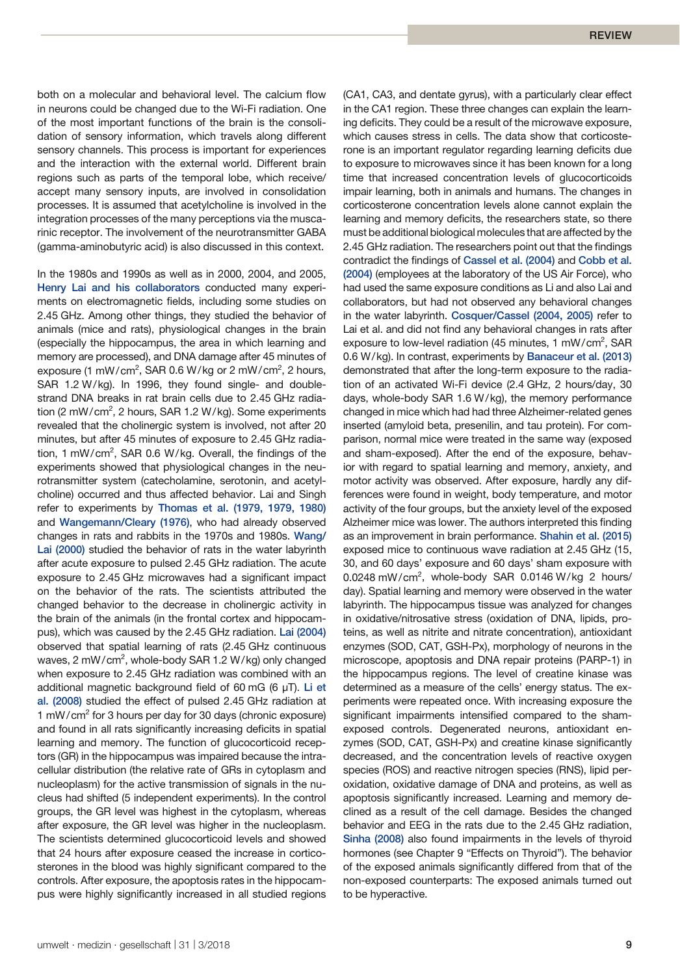both on a molecular and behavioral level. The calcium flow in neurons could be changed due to the Wi-Fi radiation. One of the most important functions of the brain is the consolidation of sensory information, which travels along different sensory channels. This process is important for experiences and the interaction with the external world. Different brain regions such as parts of the temporal lobe, which receive/ accept many sensory inputs, are involved in consolidation processes. It is assumed that acetylcholine is involved in the integration processes of the many perceptions via the muscarinic receptor. The involvement of the neurotransmitter GABA (gamma-aminobutyric acid) is also discussed in this context.

In the 1980s and 1990s as well as in 2000, 2004, and 2005, Henry Lai and his collaborators conducted many experiments on electromagnetic fields, including some studies on 2.45 GHz. Among other things, they studied the behavior of animals (mice and rats), physiological changes in the brain (especially the hippocampus, the area in which learning and memory are processed), and DNA damage after 45 minutes of exposure (1 mW/cm<sup>2</sup>, SAR 0.6 W/kg or 2 mW/cm<sup>2</sup>, 2 hours, SAR 1.2 W/kg). In 1996, they found single- and doublestrand DNA breaks in rat brain cells due to 2.45 GHz radiation (2 mW/cm<sup>2</sup>, 2 hours, SAR 1.2 W/kg). Some experiments revealed that the cholinergic system is involved, not after 20 minutes, but after 45 minutes of exposure to 2.45 GHz radiation, 1 mW/cm<sup>2</sup>, SAR 0.6 W/kg. Overall, the findings of the experiments showed that physiological changes in the neurotransmitter system (catecholamine, serotonin, and acetylcholine) occurred and thus affected behavior. Lai and Singh refer to experiments by Thomas et al. (1979, 1979, 1980) and Wangemann/Cleary (1976), who had already observed changes in rats and rabbits in the 1970s and 1980s. Wang/ Lai (2000) studied the behavior of rats in the water labyrinth after acute exposure to pulsed 2.45 GHz radiation. The acute exposure to 2.45 GHz microwaves had a significant impact on the behavior of the rats. The scientists attributed the changed behavior to the decrease in cholinergic activity in the brain of the animals (in the frontal cortex and hippocampus), which was caused by the 2.45 GHz radiation. Lai (2004) observed that spatial learning of rats (2.45 GHz continuous waves, 2 mW/cm<sup>2</sup>, whole-body SAR 1.2 W/kg) only changed when exposure to 2.45 GHz radiation was combined with an additional magnetic background field of 60 mG (6  $\mu$ T). Li et al. (2008) studied the effect of pulsed 2.45 GHz radiation at 1 mW/cm<sup>2</sup> for 3 hours per day for 30 days (chronic exposure) and found in all rats significantly increasing deficits in spatial learning and memory. The function of glucocorticoid receptors (GR) in the hippocampus was impaired because the intracellular distribution (the relative rate of GRs in cytoplasm and nucleoplasm) for the active transmission of signals in the nucleus had shifted (5 independent experiments). In the control groups, the GR level was highest in the cytoplasm, whereas after exposure, the GR level was higher in the nucleoplasm. The scientists determined glucocorticoid levels and showed that 24 hours after exposure ceased the increase in corticosterones in the blood was highly significant compared to the controls. After exposure, the apoptosis rates in the hippocampus were highly significantly increased in all studied regions

(CA1, CA3, and dentate gyrus), with a particularly clear effect in the CA1 region. These three changes can explain the learning deficits. They could be a result of the microwave exposure, which causes stress in cells. The data show that corticosterone is an important regulator regarding learning deficits due to exposure to microwaves since it has been known for a long time that increased concentration levels of glucocorticoids impair learning, both in animals and humans. The changes in corticosterone concentration levels alone cannot explain the learning and memory deficits, the researchers state, so there must be additional biological molecules that are affected by the 2.45 GHz radiation. The researchers point out that the findings contradict the findings of Cassel et al. (2004) and Cobb et al. (2004) (employees at the laboratory of the US Air Force), who had used the same exposure conditions as Li and also Lai and collaborators, but had not observed any behavioral changes in the water labyrinth. Cosquer/Cassel (2004, 2005) refer to Lai et al. and did not find any behavioral changes in rats after exposure to low-level radiation (45 minutes, 1 mW/cm<sup>2</sup>, SAR 0.6 W/kg). In contrast, experiments by Banaceur et al. (2013) demonstrated that after the long-term exposure to the radiation of an activated Wi-Fi device (2.4 GHz, 2 hours/day, 30 days, whole-body SAR 1.6 W/kg), the memory performance changed in mice which had had three Alzheimer-related genes inserted (amyloid beta, presenilin, and tau protein). For comparison, normal mice were treated in the same way (exposed and sham-exposed). After the end of the exposure, behavior with regard to spatial learning and memory, anxiety, and motor activity was observed. After exposure, hardly any differences were found in weight, body temperature, and motor activity of the four groups, but the anxiety level of the exposed Alzheimer mice was lower. The authors interpreted this finding as an improvement in brain performance. Shahin et al. (2015) exposed mice to continuous wave radiation at 2.45 GHz (15, 30, and 60 days' exposure and 60 days' sham exposure with  $0.0248$  mW/cm<sup>2</sup>, whole-body SAR  $0.0146$  W/kg 2 hours/ day). Spatial learning and memory were observed in the water labyrinth. The hippocampus tissue was analyzed for changes in oxidative/nitrosative stress (oxidation of DNA, lipids, proteins, as well as nitrite and nitrate concentration), antioxidant enzymes (SOD, CAT, GSH-Px), morphology of neurons in the microscope, apoptosis and DNA repair proteins (PARP-1) in the hippocampus regions. The level of creatine kinase was determined as a measure of the cells' energy status. The experiments were repeated once. With increasing exposure the significant impairments intensified compared to the shamexposed controls. Degenerated neurons, antioxidant enzymes (SOD, CAT, GSH-Px) and creatine kinase significantly decreased, and the concentration levels of reactive oxygen species (ROS) and reactive nitrogen species (RNS), lipid peroxidation, oxidative damage of DNA and proteins, as well as apoptosis significantly increased. Learning and memory declined as a result of the cell damage. Besides the changed behavior and EEG in the rats due to the 2.45 GHz radiation, Sinha (2008) also found impairments in the levels of thyroid hormones (see Chapter 9 "Effects on Thyroid"). The behavior of the exposed animals significantly differed from that of the non-exposed counterparts: The exposed animals turned out to be hyperactive.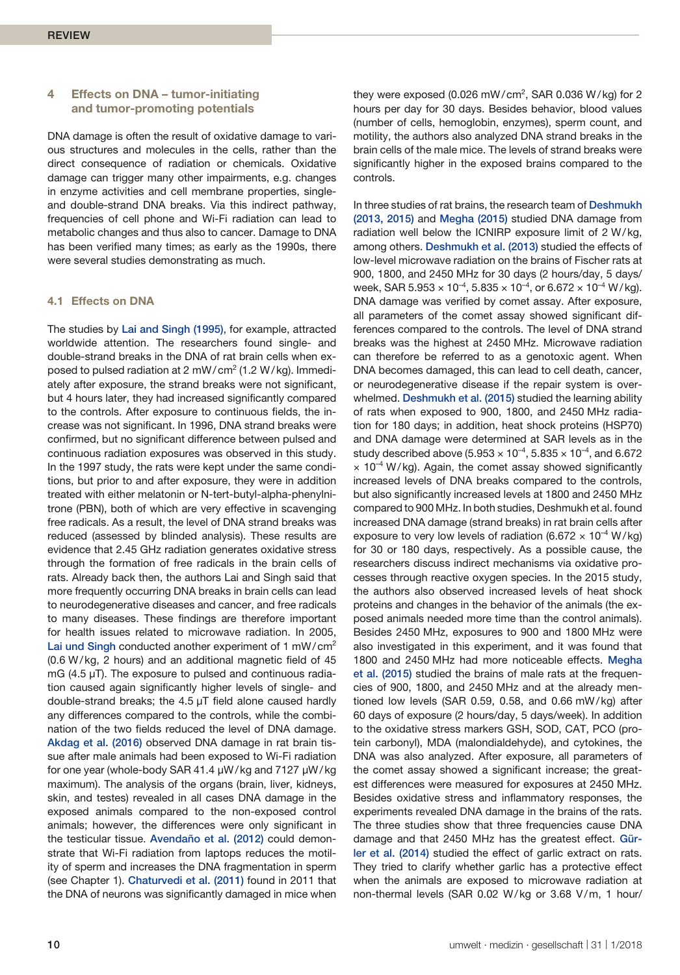# **4 Effects on DNA – tumor-initiating and tumor-promoting potentials**

DNA damage is often the result of oxidative damage to various structures and molecules in the cells, rather than the direct consequence of radiation or chemicals. Oxidative damage can trigger many other impairments, e.g. changes in enzyme activities and cell membrane properties, singleand double-strand DNA breaks. Via this indirect pathway, frequencies of cell phone and Wi-Fi radiation can lead to metabolic changes and thus also to cancer. Damage to DNA has been verified many times; as early as the 1990s, there were several studies demonstrating as much.

# **4.1 Effects on DNA**

The studies by Lai and Singh (1995), for example, attracted worldwide attention. The researchers found single- and double-strand breaks in the DNA of rat brain cells when exposed to pulsed radiation at 2 mW/cm<sup>2</sup> (1.2 W/kg). Immediately after exposure, the strand breaks were not significant, but 4 hours later, they had increased significantly compared to the controls. After exposure to continuous fields, the increase was not significant. In 1996, DNA strand breaks were confirmed, but no significant difference between pulsed and continuous radiation exposures was observed in this study. In the 1997 study, the rats were kept under the same conditions, but prior to and after exposure, they were in addition treated with either melatonin or N-tert-butyl-alpha-phenylnitrone (PBN), both of which are very effective in scavenging free radicals. As a result, the level of DNA strand breaks was reduced (assessed by blinded analysis). These results are evidence that 2.45 GHz radiation generates oxidative stress through the formation of free radicals in the brain cells of rats. Already back then, the authors Lai and Singh said that more frequently occurring DNA breaks in brain cells can lead to neurodegenerative diseases and cancer, and free radicals to many diseases. These findings are therefore important for health issues related to microwave radiation. In 2005, Lai und Singh conducted another experiment of 1 mW/cm<sup>2</sup> (0.6 W/kg, 2 hours) and an additional magnetic field of 45 mG  $(4.5 \mu T)$ . The exposure to pulsed and continuous radiation caused again significantly higher levels of single- and double-strand breaks; the 4.5 µT field alone caused hardly any differences compared to the controls, while the combination of the two fields reduced the level of DNA damage. Akdag et al. (2016) observed DNA damage in rat brain tissue after male animals had been exposed to Wi-Fi radiation for one year (whole-body SAR 41.4 µW/kg and 7127 µW/kg maximum). The analysis of the organs (brain, liver, kidneys, skin, and testes) revealed in all cases DNA damage in the exposed animals compared to the non-exposed control animals; however, the differences were only significant in the testicular tissue. Avendaño et al. (2012) could demonstrate that Wi-Fi radiation from laptops reduces the motility of sperm and increases the DNA fragmentation in sperm (see Chapter 1). Chaturvedi et al. (2011) found in 2011 that the DNA of neurons was significantly damaged in mice when

they were exposed (0.026 mW/cm<sup>2</sup>, SAR 0.036 W/kg) for 2 hours per day for 30 days. Besides behavior, blood values (number of cells, hemoglobin, enzymes), sperm count, and motility, the authors also analyzed DNA strand breaks in the brain cells of the male mice. The levels of strand breaks were significantly higher in the exposed brains compared to the controls.

In three studies of rat brains, the research team of Deshmukh (2013, 2015) and Megha (2015) studied DNA damage from radiation well below the ICNIRP exposure limit of 2 W/kg, among others. Deshmukh et al. (2013) studied the effects of low-level microwave radiation on the brains of Fischer rats at 900, 1800, and 2450 MHz for 30 days (2 hours/day, 5 days/ week, SAR 5.953  $\times$  10<sup>-4</sup>, 5.835  $\times$  10<sup>-4</sup>, or 6.672  $\times$  10<sup>-4</sup> W/kg). DNA damage was verified by comet assay. After exposure, all parameters of the comet assay showed significant differences compared to the controls. The level of DNA strand breaks was the highest at 2450 MHz. Microwave radiation can therefore be referred to as a genotoxic agent. When DNA becomes damaged, this can lead to cell death, cancer, or neurodegenerative disease if the repair system is overwhelmed. Deshmukh et al. (2015) studied the learning ability of rats when exposed to 900, 1800, and 2450 MHz radiation for 180 days; in addition, heat shock proteins (HSP70) and DNA damage were determined at SAR levels as in the study described above (5.953  $\times$  10<sup>-4</sup>, 5.835  $\times$  10<sup>-4</sup>, and 6.672  $\times$  10<sup>-4</sup> W/kg). Again, the comet assay showed significantly increased levels of DNA breaks compared to the controls, but also significantly increased levels at 1800 and 2450 MHz compared to 900 MHz. In both studies, Deshmukh et al. found increased DNA damage (strand breaks) in rat brain cells after exposure to very low levels of radiation (6.672  $\times$  10<sup>-4</sup> W/kg) for 30 or 180 days, respectively. As a possible cause, the researchers discuss indirect mechanisms via oxidative processes through reactive oxygen species. In the 2015 study, the authors also observed increased levels of heat shock proteins and changes in the behavior of the animals (the exposed animals needed more time than the control animals). Besides 2450 MHz, exposures to 900 and 1800 MHz were also investigated in this experiment, and it was found that 1800 and 2450 MHz had more noticeable effects. Megha et al. (2015) studied the brains of male rats at the frequencies of 900, 1800, and 2450 MHz and at the already mentioned low levels (SAR 0.59, 0.58, and 0.66 mW/kg) after 60 days of exposure (2 hours/day, 5 days/week). In addition to the oxidative stress markers GSH, SOD, CAT, PCO (protein carbonyl), MDA (malondialdehyde), and cytokines, the DNA was also analyzed. After exposure, all parameters of the comet assay showed a significant increase; the greatest differences were measured for exposures at 2450 MHz. Besides oxidative stress and inflammatory responses, the experiments revealed DNA damage in the brains of the rats. The three studies show that three frequencies cause DNA damage and that 2450 MHz has the greatest effect. Gürler et al. (2014) studied the effect of garlic extract on rats. They tried to clarify whether garlic has a protective effect when the animals are exposed to microwave radiation at non-thermal levels (SAR 0.02 W/kg or 3.68 V/m, 1 hour/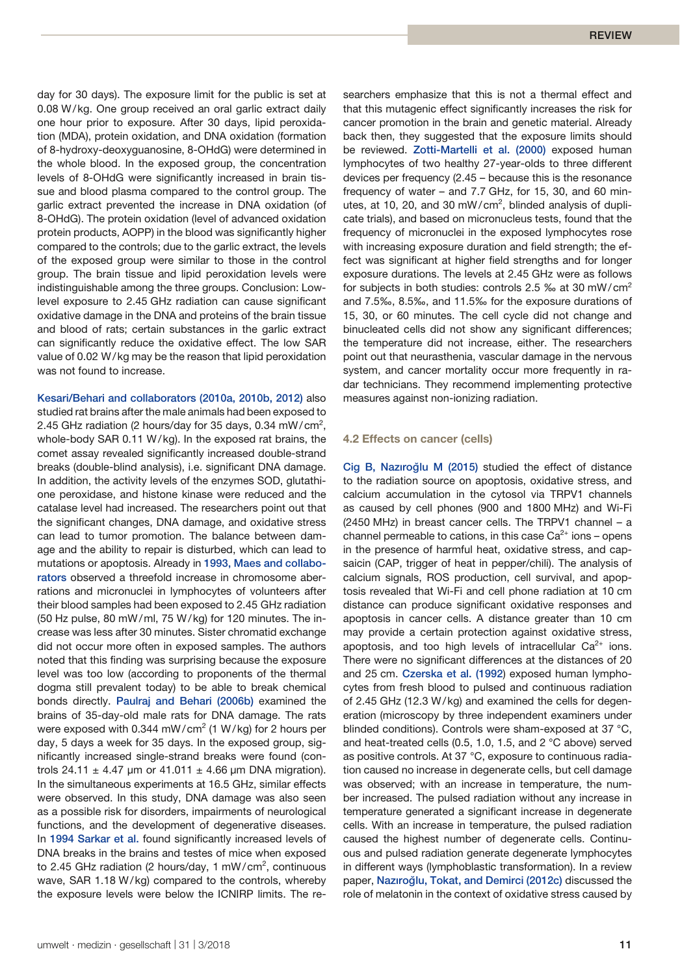day for 30 days). The exposure limit for the public is set at 0.08 W/kg. One group received an oral garlic extract daily one hour prior to exposure. After 30 days, lipid peroxidation (MDA), protein oxidation, and DNA oxidation (formation of 8-hydroxy-deoxyguanosine, 8-OHdG) were determined in the whole blood. In the exposed group, the concentration levels of 8-OHdG were significantly increased in brain tissue and blood plasma compared to the control group. The garlic extract prevented the increase in DNA oxidation (of 8-OHdG). The protein oxidation (level of advanced oxidation protein products, AOPP) in the blood was significantly higher compared to the controls; due to the garlic extract, the levels of the exposed group were similar to those in the control group. The brain tissue and lipid peroxidation levels were indistinguishable among the three groups. Conclusion: Lowlevel exposure to 2.45 GHz radiation can cause significant oxidative damage in the DNA and proteins of the brain tissue and blood of rats; certain substances in the garlic extract can significantly reduce the oxidative effect. The low SAR value of 0.02 W/kg may be the reason that lipid peroxidation was not found to increase.

Kesari/Behari and collaborators (2010a, 2010b, 2012) also studied rat brains after the male animals had been exposed to 2.45 GHz radiation (2 hours/day for 35 days, 0.34 mW/cm<sup>2</sup>, whole-body SAR 0.11 W/kg). In the exposed rat brains, the comet assay revealed significantly increased double-strand breaks (double-blind analysis), i.e. significant DNA damage. In addition, the activity levels of the enzymes SOD, glutathione peroxidase, and histone kinase were reduced and the catalase level had increased. The researchers point out that the significant changes, DNA damage, and oxidative stress can lead to tumor promotion. The balance between damage and the ability to repair is disturbed, which can lead to mutations or apoptosis. Already in 1993, Maes and collaborators observed a threefold increase in chromosome aberrations and micronuclei in lymphocytes of volunteers after their blood samples had been exposed to 2.45 GHz radiation (50 Hz pulse, 80 mW/ml, 75 W/kg) for 120 minutes. The increase was less after 30 minutes. Sister chromatid exchange did not occur more often in exposed samples. The authors noted that this finding was surprising because the exposure level was too low (according to proponents of the thermal dogma still prevalent today) to be able to break chemical bonds directly. Paulraj and Behari (2006b) examined the brains of 35-day-old male rats for DNA damage. The rats were exposed with 0.344 mW/cm<sup>2</sup> (1 W/kg) for 2 hours per day, 5 days a week for 35 days. In the exposed group, significantly increased single-strand breaks were found (controls 24.11  $\pm$  4.47 um or 41.011  $\pm$  4.66 um DNA migration). In the simultaneous experiments at 16.5 GHz, similar effects were observed. In this study, DNA damage was also seen as a possible risk for disorders, impairments of neurological functions, and the development of degenerative diseases. In 1994 Sarkar et al. found significantly increased levels of DNA breaks in the brains and testes of mice when exposed to 2.45 GHz radiation (2 hours/day, 1 mW/cm<sup>2</sup>, continuous wave, SAR 1.18 W/kg) compared to the controls, whereby the exposure levels were below the ICNIRP limits. The researchers emphasize that this is not a thermal effect and that this mutagenic effect significantly increases the risk for cancer promotion in the brain and genetic material. Already back then, they suggested that the exposure limits should be reviewed. Zotti-Martelli et al. (2000) exposed human lymphocytes of two healthy 27-year-olds to three different devices per frequency (2.45 – because this is the resonance frequency of water – and 7.7 GHz, for 15, 30, and 60 minutes, at 10, 20, and 30 mW/cm<sup>2</sup>, blinded analysis of duplicate trials), and based on micronucleus tests, found that the frequency of micronuclei in the exposed lymphocytes rose with increasing exposure duration and field strength; the effect was significant at higher field strengths and for longer exposure durations. The levels at 2.45 GHz were as follows for subjects in both studies: controls 2.5 ‰ at 30 mW/cm<sup>2</sup> and 7.5‰, 8.5‰, and 11.5‰ for the exposure durations of 15, 30, or 60 minutes. The cell cycle did not change and binucleated cells did not show any significant differences; the temperature did not increase, either. The researchers point out that neurasthenia, vascular damage in the nervous system, and cancer mortality occur more frequently in radar technicians. They recommend implementing protective measures against non-ionizing radiation.

## **4.2 Effects on cancer (cells)**

Cig B, Nazıroğlu M (2015) studied the effect of distance to the radiation source on apoptosis, oxidative stress, and calcium accumulation in the cytosol via TRPV1 channels as caused by cell phones (900 and 1800 MHz) and Wi-Fi (2450 MHz) in breast cancer cells. The TRPV1 channel – a channel permeable to cations, in this case  $Ca<sup>2+</sup>$  ions – opens in the presence of harmful heat, oxidative stress, and capsaicin (CAP, trigger of heat in pepper/chili). The analysis of calcium signals, ROS production, cell survival, and apoptosis revealed that Wi-Fi and cell phone radiation at 10 cm distance can produce significant oxidative responses and apoptosis in cancer cells. A distance greater than 10 cm may provide a certain protection against oxidative stress, apoptosis, and too high levels of intracellular  $Ca^{2+}$  ions. There were no significant differences at the distances of 20 and 25 cm. Czerska et al. (1992) exposed human lymphocytes from fresh blood to pulsed and continuous radiation of 2.45 GHz (12.3 W/kg) and examined the cells for degeneration (microscopy by three independent examiners under blinded conditions). Controls were sham-exposed at 37 °C, and heat-treated cells (0.5, 1.0, 1.5, and 2 °C above) served as positive controls. At 37 °C, exposure to continuous radiation caused no increase in degenerate cells, but cell damage was observed; with an increase in temperature, the number increased. The pulsed radiation without any increase in temperature generated a significant increase in degenerate cells. With an increase in temperature, the pulsed radiation caused the highest number of degenerate cells. Continuous and pulsed radiation generate degenerate lymphocytes in different ways (lymphoblastic transformation). In a review paper, Nazıroğlu, Tokat, and Demirci (2012c) discussed the role of melatonin in the context of oxidative stress caused by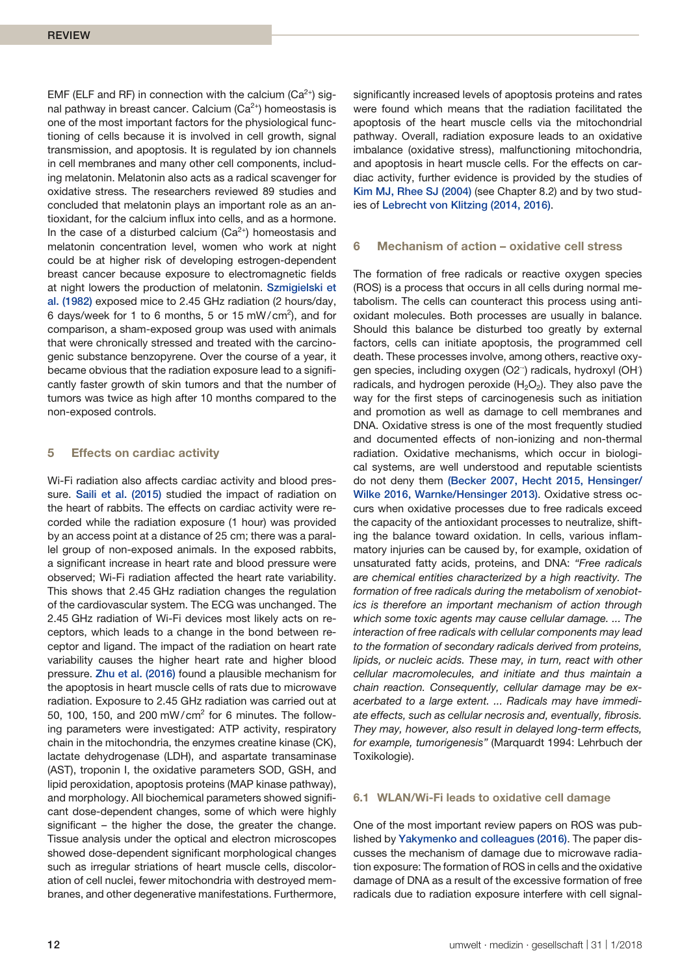EMF (ELF and RF) in connection with the calcium ( $Ca<sup>2+</sup>$ ) signal pathway in breast cancer. Calcium ( $Ca<sup>2+</sup>$ ) homeostasis is one of the most important factors for the physiological functioning of cells because it is involved in cell growth, signal transmission, and apoptosis. It is regulated by ion channels in cell membranes and many other cell components, including melatonin. Melatonin also acts as a radical scavenger for oxidative stress. The researchers reviewed 89 studies and concluded that melatonin plays an important role as an antioxidant, for the calcium influx into cells, and as a hormone. In the case of a disturbed calcium ( $Ca<sup>2+</sup>$ ) homeostasis and melatonin concentration level, women who work at night could be at higher risk of developing estrogen-dependent breast cancer because exposure to electromagnetic fields at night lowers the production of melatonin. Szmigielski et al. (1982) exposed mice to 2.45 GHz radiation (2 hours/day, 6 days/week for 1 to 6 months, 5 or 15 mW/cm<sup>2</sup>), and for comparison, a sham-exposed group was used with animals that were chronically stressed and treated with the carcinogenic substance benzopyrene. Over the course of a year, it became obvious that the radiation exposure lead to a significantly faster growth of skin tumors and that the number of tumors was twice as high after 10 months compared to the non-exposed controls.

# **5 Effects on cardiac activity**

Wi-Fi radiation also affects cardiac activity and blood pressure. Saili et al. (2015) studied the impact of radiation on the heart of rabbits. The effects on cardiac activity were recorded while the radiation exposure (1 hour) was provided by an access point at a distance of 25 cm; there was a parallel group of non-exposed animals. In the exposed rabbits, a significant increase in heart rate and blood pressure were observed; Wi-Fi radiation affected the heart rate variability. This shows that 2.45 GHz radiation changes the regulation of the cardiovascular system. The ECG was unchanged. The 2.45 GHz radiation of Wi-Fi devices most likely acts on receptors, which leads to a change in the bond between receptor and ligand. The impact of the radiation on heart rate variability causes the higher heart rate and higher blood pressure. Zhu et al. (2016) found a plausible mechanism for the apoptosis in heart muscle cells of rats due to microwave radiation. Exposure to 2.45 GHz radiation was carried out at 50, 100, 150, and 200 mW/cm<sup>2</sup> for 6 minutes. The following parameters were investigated: ATP activity, respiratory chain in the mitochondria, the enzymes creatine kinase (CK), lactate dehydrogenase (LDH), and aspartate transaminase (AST), troponin I, the oxidative parameters SOD, GSH, and lipid peroxidation, apoptosis proteins (MAP kinase pathway), and morphology. All biochemical parameters showed significant dose-dependent changes, some of which were highly significant – the higher the dose, the greater the change. Tissue analysis under the optical and electron microscopes showed dose-dependent significant morphological changes such as irregular striations of heart muscle cells, discoloration of cell nuclei, fewer mitochondria with destroyed membranes, and other degenerative manifestations. Furthermore,

significantly increased levels of apoptosis proteins and rates were found which means that the radiation facilitated the apoptosis of the heart muscle cells via the mitochondrial pathway. Overall, radiation exposure leads to an oxidative imbalance (oxidative stress), malfunctioning mitochondria, and apoptosis in heart muscle cells. For the effects on cardiac activity, further evidence is provided by the studies of Kim MJ, Rhee SJ (2004) (see Chapter 8.2) and by two studies of Lebrecht von Klitzing (2014, 2016).

#### **6 Mechanism of action – oxidative cell stress**

The formation of free radicals or reactive oxygen species (ROS) is a process that occurs in all cells during normal metabolism. The cells can counteract this process using antioxidant molecules. Both processes are usually in balance. Should this balance be disturbed too greatly by external factors, cells can initiate apoptosis, the programmed cell death. These processes involve, among others, reactive oxygen species, including oxygen (O2<sup>∙</sup>) radicals, hydroxyl (OH) radicals, and hydrogen peroxide  $(H<sub>2</sub>O<sub>2</sub>)$ . They also pave the way for the first steps of carcinogenesis such as initiation and promotion as well as damage to cell membranes and DNA. Oxidative stress is one of the most frequently studied and documented effects of non-ionizing and non-thermal radiation. Oxidative mechanisms, which occur in biological systems, are well understood and reputable scientists do not deny them (Becker 2007, Hecht 2015, Hensinger/ Wilke 2016, Warnke/Hensinger 2013). Oxidative stress occurs when oxidative processes due to free radicals exceed the capacity of the antioxidant processes to neutralize, shifting the balance toward oxidation. In cells, various inflammatory injuries can be caused by, for example, oxidation of unsaturated fatty acids, proteins, and DNA: *"Free radicals are chemical entities characterized by a high reactivity. The formation of free radicals during the metabolism of xenobiotics is therefore an important mechanism of action through which some toxic agents may cause cellular damage. ... The interaction of free radicals with cellular components may lead to the formation of secondary radicals derived from proteins, lipids, or nucleic acids. These may, in turn, react with other cellular macromolecules, and initiate and thus maintain a chain reaction. Consequently, cellular damage may be exacerbated to a large extent. ... Radicals may have immediate effects, such as cellular necrosis and, eventually, fibrosis. They may, however, also result in delayed long-term effects, for example, tumorigenesis"* (Marquardt 1994: Lehrbuch der Toxikologie).

#### **6.1 WLAN/Wi-Fi leads to oxidative cell damage**

One of the most important review papers on ROS was published by Yakymenko and colleagues (2016). The paper discusses the mechanism of damage due to microwave radiation exposure: The formation of ROS in cells and the oxidative damage of DNA as a result of the excessive formation of free radicals due to radiation exposure interfere with cell signal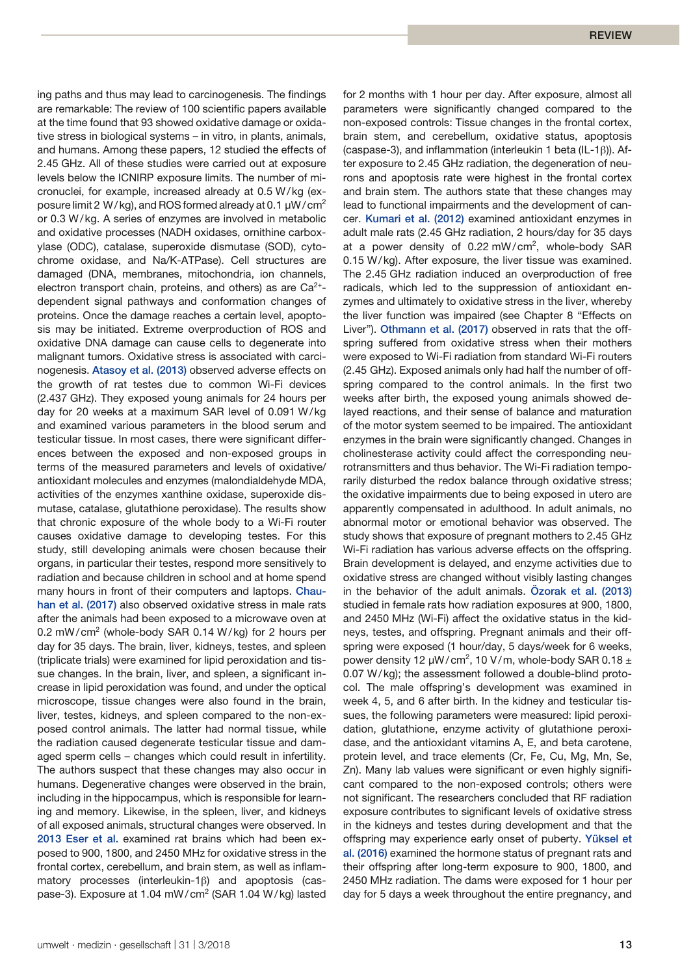ing paths and thus may lead to carcinogenesis. The findings are remarkable: The review of 100 scientific papers available at the time found that 93 showed oxidative damage or oxidative stress in biological systems – in vitro, in plants, animals, and humans. Among these papers, 12 studied the effects of 2.45 GHz. All of these studies were carried out at exposure levels below the ICNIRP exposure limits. The number of micronuclei, for example, increased already at 0.5 W/kg (exposure limit 2 W/kg), and ROS formed already at 0.1  $\mu$ W/cm<sup>2</sup> or 0.3 W/kg. A series of enzymes are involved in metabolic and oxidative processes (NADH oxidases, ornithine carboxylase (ODC), catalase, superoxide dismutase (SOD), cytochrome oxidase, and Na/K-ATPase). Cell structures are damaged (DNA, membranes, mitochondria, ion channels, electron transport chain, proteins, and others) as are  $Ca^{2+}$ dependent signal pathways and conformation changes of proteins. Once the damage reaches a certain level, apoptosis may be initiated. Extreme overproduction of ROS and oxidative DNA damage can cause cells to degenerate into malignant tumors. Oxidative stress is associated with carcinogenesis. Atasoy et al. (2013) observed adverse effects on the growth of rat testes due to common Wi-Fi devices (2.437 GHz). They exposed young animals for 24 hours per day for 20 weeks at a maximum SAR level of 0.091 W/kg and examined various parameters in the blood serum and testicular tissue. In most cases, there were significant differences between the exposed and non-exposed groups in terms of the measured parameters and levels of oxidative/ antioxidant molecules and enzymes (malondialdehyde MDA, activities of the enzymes xanthine oxidase, superoxide dismutase, catalase, glutathione peroxidase). The results show that chronic exposure of the whole body to a Wi-Fi router causes oxidative damage to developing testes. For this study, still developing animals were chosen because their organs, in particular their testes, respond more sensitively to radiation and because children in school and at home spend many hours in front of their computers and laptops. Chauhan et al. (2017) also observed oxidative stress in male rats after the animals had been exposed to a microwave oven at 0.2 mW/cm<sup>2</sup> (whole-body SAR 0.14 W/kg) for 2 hours per day for 35 days. The brain, liver, kidneys, testes, and spleen (triplicate trials) were examined for lipid peroxidation and tissue changes. In the brain, liver, and spleen, a significant increase in lipid peroxidation was found, and under the optical microscope, tissue changes were also found in the brain, liver, testes, kidneys, and spleen compared to the non-exposed control animals. The latter had normal tissue, while the radiation caused degenerate testicular tissue and damaged sperm cells – changes which could result in infertility. The authors suspect that these changes may also occur in humans. Degenerative changes were observed in the brain, including in the hippocampus, which is responsible for learning and memory. Likewise, in the spleen, liver, and kidneys of all exposed animals, structural changes were observed. In 2013 Eser et al. examined rat brains which had been exposed to 900, 1800, and 2450 MHz for oxidative stress in the frontal cortex, cerebellum, and brain stem, as well as inflammatory processes (interleukin-1β) and apoptosis (caspase-3). Exposure at 1.04 mW/cm<sup>2</sup> (SAR 1.04 W/kg) lasted for 2 months with 1 hour per day. After exposure, almost all parameters were significantly changed compared to the non-exposed controls: Tissue changes in the frontal cortex, brain stem, and cerebellum, oxidative status, apoptosis (caspase-3), and inflammation (interleukin 1 beta (IL-1β)). After exposure to 2.45 GHz radiation, the degeneration of neurons and apoptosis rate were highest in the frontal cortex and brain stem. The authors state that these changes may lead to functional impairments and the development of cancer. Kumari et al. (2012) examined antioxidant enzymes in adult male rats (2.45 GHz radiation, 2 hours/day for 35 days at a power density of 0.22 mW/cm<sup>2</sup>, whole-body SAR 0.15 W/kg). After exposure, the liver tissue was examined. The 2.45 GHz radiation induced an overproduction of free radicals, which led to the suppression of antioxidant enzymes and ultimately to oxidative stress in the liver, whereby the liver function was impaired (see Chapter 8 "Effects on Liver"). Othmann et al. (2017) observed in rats that the offspring suffered from oxidative stress when their mothers were exposed to Wi-Fi radiation from standard Wi-Fi routers (2.45 GHz). Exposed animals only had half the number of offspring compared to the control animals. In the first two weeks after birth, the exposed young animals showed delayed reactions, and their sense of balance and maturation of the motor system seemed to be impaired. The antioxidant enzymes in the brain were significantly changed. Changes in cholinesterase activity could affect the corresponding neurotransmitters and thus behavior. The Wi-Fi radiation temporarily disturbed the redox balance through oxidative stress; the oxidative impairments due to being exposed in utero are apparently compensated in adulthood. In adult animals, no abnormal motor or emotional behavior was observed. The study shows that exposure of pregnant mothers to 2.45 GHz Wi-Fi radiation has various adverse effects on the offspring. Brain development is delayed, and enzyme activities due to oxidative stress are changed without visibly lasting changes in the behavior of the adult animals. Özorak et al. (2013) studied in female rats how radiation exposures at 900, 1800, and 2450 MHz (Wi-Fi) affect the oxidative status in the kidneys, testes, and offspring. Pregnant animals and their offspring were exposed (1 hour/day, 5 days/week for 6 weeks, power density 12  $\mu$ W/cm<sup>2</sup>, 10 V/m, whole-body SAR 0.18  $\pm$ 0.07 W/kg); the assessment followed a double-blind protocol. The male offspring's development was examined in week 4, 5, and 6 after birth. In the kidney and testicular tissues, the following parameters were measured: lipid peroxidation, glutathione, enzyme activity of glutathione peroxidase, and the antioxidant vitamins A, E, and beta carotene, protein level, and trace elements (Cr, Fe, Cu, Mg, Mn, Se, Zn). Many lab values were significant or even highly significant compared to the non-exposed controls; others were not significant. The researchers concluded that RF radiation exposure contributes to significant levels of oxidative stress in the kidneys and testes during development and that the offspring may experience early onset of puberty. Yüksel et al. (2016) examined the hormone status of pregnant rats and their offspring after long-term exposure to 900, 1800, and 2450 MHz radiation. The dams were exposed for 1 hour per day for 5 days a week throughout the entire pregnancy, and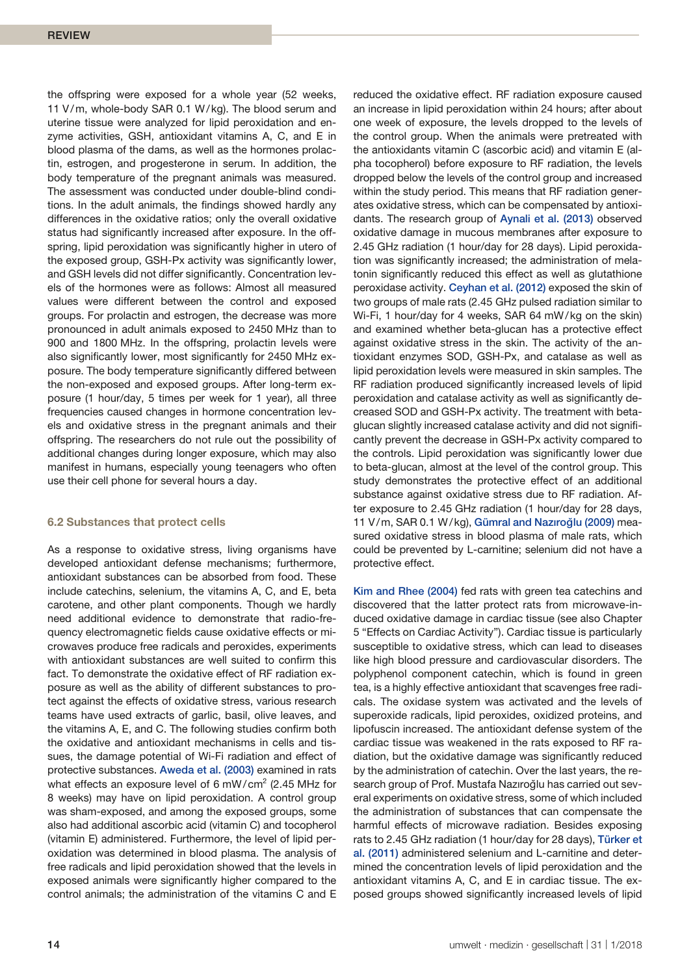the offspring were exposed for a whole year (52 weeks, 11 V/m, whole-body SAR 0.1 W/kg). The blood serum and uterine tissue were analyzed for lipid peroxidation and enzyme activities, GSH, antioxidant vitamins A, C, and E in blood plasma of the dams, as well as the hormones prolactin, estrogen, and progesterone in serum. In addition, the body temperature of the pregnant animals was measured. The assessment was conducted under double-blind conditions. In the adult animals, the findings showed hardly any differences in the oxidative ratios; only the overall oxidative status had significantly increased after exposure. In the offspring, lipid peroxidation was significantly higher in utero of the exposed group, GSH-Px activity was significantly lower, and GSH levels did not differ significantly. Concentration levels of the hormones were as follows: Almost all measured values were different between the control and exposed groups. For prolactin and estrogen, the decrease was more pronounced in adult animals exposed to 2450 MHz than to 900 and 1800 MHz. In the offspring, prolactin levels were also significantly lower, most significantly for 2450 MHz exposure. The body temperature significantly differed between the non-exposed and exposed groups. After long-term exposure (1 hour/day, 5 times per week for 1 year), all three frequencies caused changes in hormone concentration levels and oxidative stress in the pregnant animals and their offspring. The researchers do not rule out the possibility of additional changes during longer exposure, which may also manifest in humans, especially young teenagers who often use their cell phone for several hours a day.

## **6.2 Substances that protect cells**

As a response to oxidative stress, living organisms have developed antioxidant defense mechanisms; furthermore, antioxidant substances can be absorbed from food. These include catechins, selenium, the vitamins A, C, and E, beta carotene, and other plant components. Though we hardly need additional evidence to demonstrate that radio-frequency electromagnetic fields cause oxidative effects or microwaves produce free radicals and peroxides, experiments with antioxidant substances are well suited to confirm this fact. To demonstrate the oxidative effect of RF radiation exposure as well as the ability of different substances to protect against the effects of oxidative stress, various research teams have used extracts of garlic, basil, olive leaves, and the vitamins A, E, and C. The following studies confirm both the oxidative and antioxidant mechanisms in cells and tissues, the damage potential of Wi-Fi radiation and effect of protective substances. Aweda et al. (2003) examined in rats what effects an exposure level of 6 mW/cm<sup>2</sup> (2.45 MHz for 8 weeks) may have on lipid peroxidation. A control group was sham-exposed, and among the exposed groups, some also had additional ascorbic acid (vitamin C) and tocopherol (vitamin E) administered. Furthermore, the level of lipid peroxidation was determined in blood plasma. The analysis of free radicals and lipid peroxidation showed that the levels in exposed animals were significantly higher compared to the control animals; the administration of the vitamins C and E

reduced the oxidative effect. RF radiation exposure caused an increase in lipid peroxidation within 24 hours; after about one week of exposure, the levels dropped to the levels of the control group. When the animals were pretreated with the antioxidants vitamin C (ascorbic acid) and vitamin E (alpha tocopherol) before exposure to RF radiation, the levels dropped below the levels of the control group and increased within the study period. This means that RF radiation generates oxidative stress, which can be compensated by antioxidants. The research group of Aynali et al. (2013) observed oxidative damage in mucous membranes after exposure to 2.45 GHz radiation (1 hour/day for 28 days). Lipid peroxidation was significantly increased; the administration of melatonin significantly reduced this effect as well as glutathione peroxidase activity. Ceyhan et al. (2012) exposed the skin of two groups of male rats (2.45 GHz pulsed radiation similar to Wi-Fi, 1 hour/day for 4 weeks, SAR 64 mW/kg on the skin) and examined whether beta-glucan has a protective effect against oxidative stress in the skin. The activity of the antioxidant enzymes SOD, GSH-Px, and catalase as well as lipid peroxidation levels were measured in skin samples. The RF radiation produced significantly increased levels of lipid peroxidation and catalase activity as well as significantly decreased SOD and GSH-Px activity. The treatment with betaglucan slightly increased catalase activity and did not significantly prevent the decrease in GSH-Px activity compared to the controls. Lipid peroxidation was significantly lower due to beta-glucan, almost at the level of the control group. This study demonstrates the protective effect of an additional substance against oxidative stress due to RF radiation. After exposure to 2.45 GHz radiation (1 hour/day for 28 days, 11 V/m, SAR 0.1 W/kg), Gümral and Nazıroğlu (2009) measured oxidative stress in blood plasma of male rats, which could be prevented by L-carnitine; selenium did not have a protective effect.

Kim and Rhee (2004) fed rats with green tea catechins and discovered that the latter protect rats from microwave-induced oxidative damage in cardiac tissue (see also Chapter 5 "Effects on Cardiac Activity"). Cardiac tissue is particularly susceptible to oxidative stress, which can lead to diseases like high blood pressure and cardiovascular disorders. The polyphenol component catechin, which is found in green tea, is a highly effective antioxidant that scavenges free radicals. The oxidase system was activated and the levels of superoxide radicals, lipid peroxides, oxidized proteins, and lipofuscin increased. The antioxidant defense system of the cardiac tissue was weakened in the rats exposed to RF radiation, but the oxidative damage was significantly reduced by the administration of catechin. Over the last years, the research group of Prof. Mustafa Nazıroğlu has carried out several experiments on oxidative stress, some of which included the administration of substances that can compensate the harmful effects of microwave radiation. Besides exposing rats to 2.45 GHz radiation (1 hour/day for 28 days), Türker et al. (2011) administered selenium and L-carnitine and determined the concentration levels of lipid peroxidation and the antioxidant vitamins A, C, and E in cardiac tissue. The exposed groups showed significantly increased levels of lipid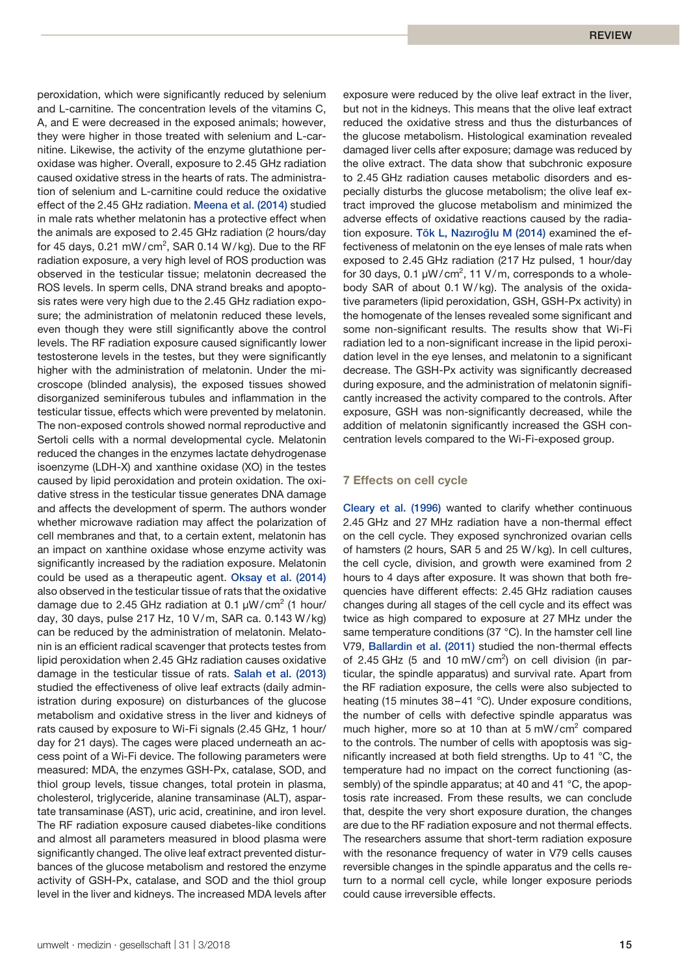peroxidation, which were significantly reduced by selenium and L-carnitine. The concentration levels of the vitamins C, A, and E were decreased in the exposed animals; however, they were higher in those treated with selenium and L-carnitine. Likewise, the activity of the enzyme glutathione peroxidase was higher. Overall, exposure to 2.45 GHz radiation caused oxidative stress in the hearts of rats. The administration of selenium and L-carnitine could reduce the oxidative effect of the 2.45 GHz radiation. Meena et al. (2014) studied in male rats whether melatonin has a protective effect when the animals are exposed to 2.45 GHz radiation (2 hours/day for 45 days, 0.21 mW/cm<sup>2</sup>, SAR 0.14 W/kg). Due to the RF radiation exposure, a very high level of ROS production was observed in the testicular tissue; melatonin decreased the ROS levels. In sperm cells, DNA strand breaks and apoptosis rates were very high due to the 2.45 GHz radiation exposure; the administration of melatonin reduced these levels, even though they were still significantly above the control levels. The RF radiation exposure caused significantly lower testosterone levels in the testes, but they were significantly higher with the administration of melatonin. Under the microscope (blinded analysis), the exposed tissues showed disorganized seminiferous tubules and inflammation in the testicular tissue, effects which were prevented by melatonin. The non-exposed controls showed normal reproductive and Sertoli cells with a normal developmental cycle. Melatonin reduced the changes in the enzymes lactate dehydrogenase isoenzyme (LDH-X) and xanthine oxidase (XO) in the testes caused by lipid peroxidation and protein oxidation. The oxidative stress in the testicular tissue generates DNA damage and affects the development of sperm. The authors wonder whether microwave radiation may affect the polarization of cell membranes and that, to a certain extent, melatonin has an impact on xanthine oxidase whose enzyme activity was significantly increased by the radiation exposure. Melatonin could be used as a therapeutic agent. Oksay et al. (2014) also observed in the testicular tissue of rats that the oxidative damage due to 2.45 GHz radiation at 0.1  $\mu$ W/cm<sup>2</sup> (1 hour/ day, 30 days, pulse 217 Hz, 10 V/m, SAR ca. 0.143 W/kg) can be reduced by the administration of melatonin. Melatonin is an efficient radical scavenger that protects testes from lipid peroxidation when 2.45 GHz radiation causes oxidative damage in the testicular tissue of rats. Salah et al. (2013) studied the effectiveness of olive leaf extracts (daily administration during exposure) on disturbances of the glucose metabolism and oxidative stress in the liver and kidneys of rats caused by exposure to Wi-Fi signals (2.45 GHz, 1 hour/ day for 21 days). The cages were placed underneath an access point of a Wi-Fi device. The following parameters were measured: MDA, the enzymes GSH-Px, catalase, SOD, and thiol group levels, tissue changes, total protein in plasma, cholesterol, triglyceride, alanine transaminase (ALT), aspartate transaminase (AST), uric acid, creatinine, and iron level. The RF radiation exposure caused diabetes-like conditions and almost all parameters measured in blood plasma were significantly changed. The olive leaf extract prevented disturbances of the glucose metabolism and restored the enzyme activity of GSH-Px, catalase, and SOD and the thiol group level in the liver and kidneys. The increased MDA levels after

exposure were reduced by the olive leaf extract in the liver, but not in the kidneys. This means that the olive leaf extract reduced the oxidative stress and thus the disturbances of the glucose metabolism. Histological examination revealed damaged liver cells after exposure; damage was reduced by the olive extract. The data show that subchronic exposure to 2.45 GHz radiation causes metabolic disorders and especially disturbs the glucose metabolism; the olive leaf extract improved the glucose metabolism and minimized the adverse effects of oxidative reactions caused by the radiation exposure. Tök L, Nazıroğlu M (2014) examined the effectiveness of melatonin on the eye lenses of male rats when exposed to 2.45 GHz radiation (217 Hz pulsed, 1 hour/day for 30 days,  $0.1 \mu W/cm^2$ , 11 V/m, corresponds to a wholebody SAR of about 0.1 W/kg). The analysis of the oxidative parameters (lipid peroxidation, GSH, GSH-Px activity) in the homogenate of the lenses revealed some significant and some non-significant results. The results show that Wi-Fi radiation led to a non-significant increase in the lipid peroxidation level in the eye lenses, and melatonin to a significant decrease. The GSH-Px activity was significantly decreased during exposure, and the administration of melatonin significantly increased the activity compared to the controls. After exposure, GSH was non-significantly decreased, while the addition of melatonin significantly increased the GSH concentration levels compared to the Wi-Fi-exposed group.

# **7 Effects on cell cycle**

Cleary et al. (1996) wanted to clarify whether continuous 2.45 GHz and 27 MHz radiation have a non-thermal effect on the cell cycle. They exposed synchronized ovarian cells of hamsters (2 hours, SAR 5 and 25 W/kg). In cell cultures, the cell cycle, division, and growth were examined from 2 hours to 4 days after exposure. It was shown that both frequencies have different effects: 2.45 GHz radiation causes changes during all stages of the cell cycle and its effect was twice as high compared to exposure at 27 MHz under the same temperature conditions (37 °C). In the hamster cell line V79, Ballardin et al. (2011) studied the non-thermal effects of 2.45 GHz (5 and 10 mW/cm<sup>2</sup>) on cell division (in particular, the spindle apparatus) and survival rate. Apart from the RF radiation exposure, the cells were also subjected to heating (15 minutes 38-41 °C). Under exposure conditions, the number of cells with defective spindle apparatus was much higher, more so at 10 than at 5 mW/cm $^2$  compared to the controls. The number of cells with apoptosis was significantly increased at both field strengths. Up to 41 °C, the temperature had no impact on the correct functioning (assembly) of the spindle apparatus; at 40 and 41 °C, the apoptosis rate increased. From these results, we can conclude that, despite the very short exposure duration, the changes are due to the RF radiation exposure and not thermal effects. The researchers assume that short-term radiation exposure with the resonance frequency of water in V79 cells causes reversible changes in the spindle apparatus and the cells return to a normal cell cycle, while longer exposure periods could cause irreversible effects.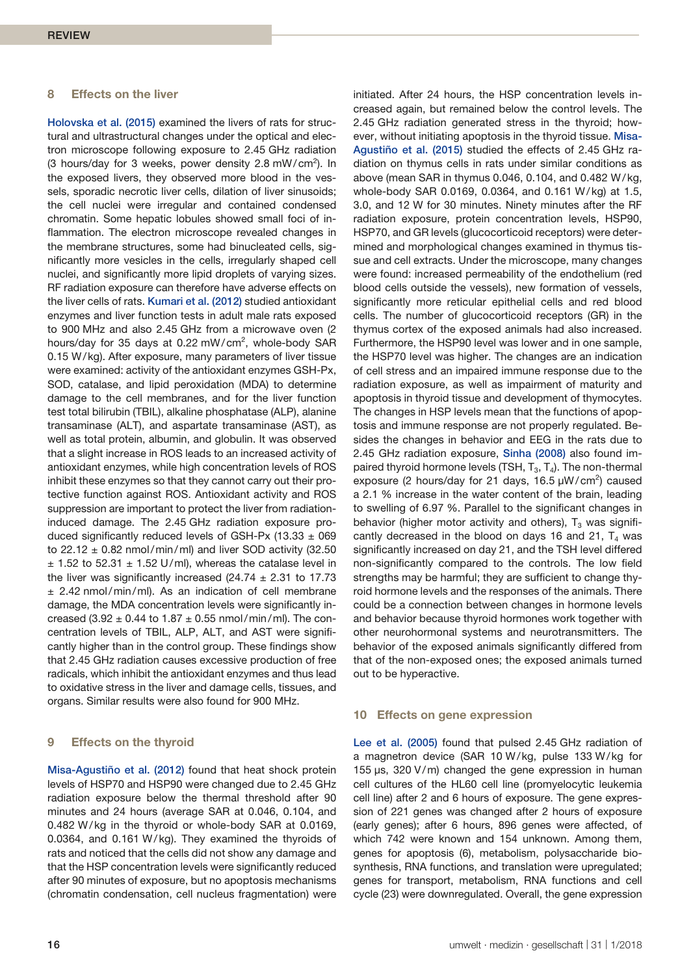#### **8 Effects on the liver**

Holovska et al. (2015) examined the livers of rats for structural and ultrastructural changes under the optical and electron microscope following exposure to 2.45 GHz radiation (3 hours/day for 3 weeks, power density 2.8 mW/cm<sup>2</sup>). In the exposed livers, they observed more blood in the vessels, sporadic necrotic liver cells, dilation of liver sinusoids; the cell nuclei were irregular and contained condensed chromatin. Some hepatic lobules showed small foci of inflammation. The electron microscope revealed changes in the membrane structures, some had binucleated cells, significantly more vesicles in the cells, irregularly shaped cell nuclei, and significantly more lipid droplets of varying sizes. RF radiation exposure can therefore have adverse effects on the liver cells of rats. Kumari et al. (2012) studied antioxidant enzymes and liver function tests in adult male rats exposed to 900 MHz and also 2.45 GHz from a microwave oven (2 hours/day for 35 days at 0.22 mW/cm<sup>2</sup>, whole-body SAR 0.15 W/kg). After exposure, many parameters of liver tissue were examined: activity of the antioxidant enzymes GSH-Px, SOD, catalase, and lipid peroxidation (MDA) to determine damage to the cell membranes, and for the liver function test total bilirubin (TBIL), alkaline phosphatase (ALP), alanine transaminase (ALT), and aspartate transaminase (AST), as well as total protein, albumin, and globulin. It was observed that a slight increase in ROS leads to an increased activity of antioxidant enzymes, while high concentration levels of ROS inhibit these enzymes so that they cannot carry out their protective function against ROS. Antioxidant activity and ROS suppression are important to protect the liver from radiationinduced damage. The 2.45 GHz radiation exposure produced significantly reduced levels of GSH-Px (13.33  $\pm$  069 to  $22.12 \pm 0.82$  nmol/min/ml) and liver SOD activity (32.50  $\pm$  1.52 to 52.31  $\pm$  1.52 U/ml), whereas the catalase level in the liver was significantly increased (24.74  $\pm$  2.31 to 17.73  $± 2.42$  nmol/min/ml). As an indication of cell membrane damage, the MDA concentration levels were significantly increased (3.92  $\pm$  0.44 to 1.87  $\pm$  0.55 nmol/min/ml). The concentration levels of TBIL, ALP, ALT, and AST were significantly higher than in the control group. These findings show that 2.45 GHz radiation causes excessive production of free radicals, which inhibit the antioxidant enzymes and thus lead to oxidative stress in the liver and damage cells, tissues, and organs. Similar results were also found for 900 MHz.

## **9 Effects on the thyroid**

Misa-Agustiño et al. (2012) found that heat shock protein levels of HSP70 and HSP90 were changed due to 2.45 GHz radiation exposure below the thermal threshold after 90 minutes and 24 hours (average SAR at 0.046, 0.104, and 0.482 W/kg in the thyroid or whole-body SAR at 0.0169, 0.0364, and 0.161 W/kg). They examined the thyroids of rats and noticed that the cells did not show any damage and that the HSP concentration levels were significantly reduced after 90 minutes of exposure, but no apoptosis mechanisms (chromatin condensation, cell nucleus fragmentation) were creased again, but remained below the control levels. The 2.45 GHz radiation generated stress in the thyroid; however, without initiating apoptosis in the thyroid tissue. Misa-Agustiño et al. (2015) studied the effects of 2.45 GHz radiation on thymus cells in rats under similar conditions as above (mean SAR in thymus 0.046, 0.104, and 0.482 W/ kg, whole-body SAR 0.0169, 0.0364, and 0.161 W/kg) at 1.5, 3.0, and 12 W for 30 minutes. Ninety minutes after the RF radiation exposure, protein concentration levels, HSP90, HSP70, and GR levels (glucocorticoid receptors) were determined and morphological changes examined in thymus tissue and cell extracts. Under the microscope, many changes were found: increased permeability of the endothelium (red blood cells outside the vessels), new formation of vessels, significantly more reticular epithelial cells and red blood cells. The number of glucocorticoid receptors (GR) in the thymus cortex of the exposed animals had also increased. Furthermore, the HSP90 level was lower and in one sample, the HSP70 level was higher. The changes are an indication of cell stress and an impaired immune response due to the radiation exposure, as well as impairment of maturity and apoptosis in thyroid tissue and development of thymocytes. The changes in HSP levels mean that the functions of apoptosis and immune response are not properly regulated. Besides the changes in behavior and EEG in the rats due to 2.45 GHz radiation exposure, Sinha (2008) also found impaired thyroid hormone levels (TSH,  $T_3$ ,  $T_4$ ). The non-thermal exposure (2 hours/day for 21 days,  $16.5 \mu W/cm^2$ ) caused a 2.1 % increase in the water content of the brain, leading to swelling of 6.97 %. Parallel to the significant changes in behavior (higher motor activity and others),  $T_3$  was significantly decreased in the blood on days 16 and 21,  $T_4$  was significantly increased on day 21, and the TSH level differed non-significantly compared to the controls. The low field strengths may be harmful; they are sufficient to change thyroid hormone levels and the responses of the animals. There could be a connection between changes in hormone levels and behavior because thyroid hormones work together with other neurohormonal systems and neurotransmitters. The behavior of the exposed animals significantly differed from that of the non-exposed ones; the exposed animals turned out to be hyperactive.

initiated. After 24 hours, the HSP concentration levels in-

#### **10 Effects on gene expression**

Lee et al. (2005) found that pulsed 2.45 GHz radiation of a magnetron device (SAR 10 W/kg, pulse 133 W/kg for 155 µs, 320 V/m) changed the gene expression in human cell cultures of the HL60 cell line (promyelocytic leukemia cell line) after 2 and 6 hours of exposure. The gene expression of 221 genes was changed after 2 hours of exposure (early genes); after 6 hours, 896 genes were affected, of which 742 were known and 154 unknown. Among them, genes for apoptosis (6), metabolism, polysaccharide biosynthesis, RNA functions, and translation were upregulated; genes for transport, metabolism, RNA functions and cell cycle (23) were downregulated. Overall, the gene expression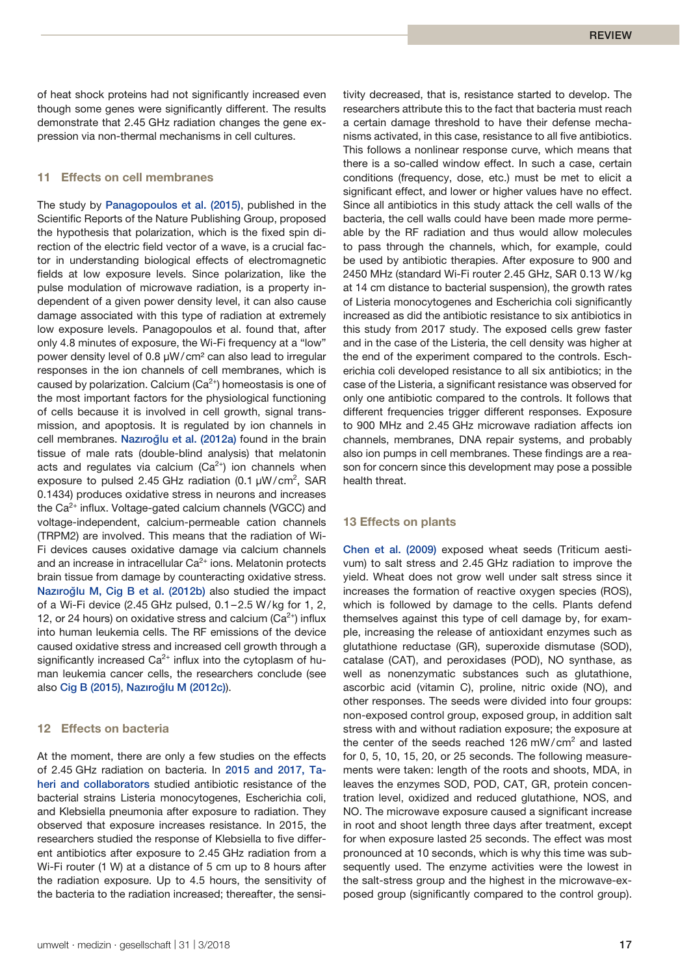of heat shock proteins had not significantly increased even though some genes were significantly different. The results demonstrate that 2.45 GHz radiation changes the gene expression via non-thermal mechanisms in cell cultures.

# **11 Effects on cell membranes**

The study by Panagopoulos et al. (2015), published in the Scientific Reports of the Nature Publishing Group, proposed the hypothesis that polarization, which is the fixed spin direction of the electric field vector of a wave, is a crucial factor in understanding biological effects of electromagnetic fields at low exposure levels. Since polarization, like the pulse modulation of microwave radiation, is a property independent of a given power density level, it can also cause damage associated with this type of radiation at extremely low exposure levels. Panagopoulos et al. found that, after only 4.8 minutes of exposure, the Wi-Fi frequency at a "low" power density level of 0.8 µW/cm² can also lead to irregular responses in the ion channels of cell membranes, which is caused by polarization. Calcium  $(Ca^{2+})$  homeostasis is one of the most important factors for the physiological functioning of cells because it is involved in cell growth, signal transmission, and apoptosis. It is regulated by ion channels in cell membranes. Nazıroğlu et al. (2012a) found in the brain tissue of male rats (double-blind analysis) that melatonin acts and regulates via calcium  $(Ca^{2+})$  ion channels when exposure to pulsed 2.45 GHz radiation (0.1  $\mu$ W/cm<sup>2</sup>, SAR 0.1434) produces oxidative stress in neurons and increases the  $Ca<sup>2+</sup>$  influx. Voltage-gated calcium channels (VGCC) and voltage-independent, calcium-permeable cation channels (TRPM2) are involved. This means that the radiation of Wi-Fi devices causes oxidative damage via calcium channels and an increase in intracellular  $Ca^{2+}$  ions. Melatonin protects brain tissue from damage by counteracting oxidative stress. Nazıroğlu M, Cig B et al. (2012b) also studied the impact of a Wi-Fi device (2.45 GHz pulsed, 0.1–2.5 W/kg for 1, 2, 12, or 24 hours) on oxidative stress and calcium ( $Ca<sup>2+</sup>$ ) influx into human leukemia cells. The RF emissions of the device caused oxidative stress and increased cell growth through a significantly increased  $Ca^{2+}$  influx into the cytoplasm of human leukemia cancer cells, the researchers conclude (see also Cig B (2015), Nazıroğlu M (2012c)).

#### **12 Effects on bacteria**

At the moment, there are only a few studies on the effects of 2.45 GHz radiation on bacteria. In 2015 and 2017, Taheri and collaborators studied antibiotic resistance of the bacterial strains Listeria monocytogenes, Escherichia coli, and Klebsiella pneumonia after exposure to radiation. They observed that exposure increases resistance. In 2015, the researchers studied the response of Klebsiella to five different antibiotics after exposure to 2.45 GHz radiation from a Wi-Fi router (1 W) at a distance of 5 cm up to 8 hours after the radiation exposure. Up to 4.5 hours, the sensitivity of the bacteria to the radiation increased; thereafter, the sensi-

umwelt · medizin · gesellschaft | 31 | 3/2018 17

tivity decreased, that is, resistance started to develop. The researchers attribute this to the fact that bacteria must reach a certain damage threshold to have their defense mechanisms activated, in this case, resistance to all five antibiotics. This follows a nonlinear response curve, which means that there is a so-called window effect. In such a case, certain conditions (frequency, dose, etc.) must be met to elicit a significant effect, and lower or higher values have no effect. Since all antibiotics in this study attack the cell walls of the bacteria, the cell walls could have been made more permeable by the RF radiation and thus would allow molecules to pass through the channels, which, for example, could be used by antibiotic therapies. After exposure to 900 and 2450 MHz (standard Wi-Fi router 2.45 GHz, SAR 0.13 W/kg at 14 cm distance to bacterial suspension), the growth rates of Listeria monocytogenes and Escherichia coli significantly increased as did the antibiotic resistance to six antibiotics in this study from 2017 study. The exposed cells grew faster and in the case of the Listeria, the cell density was higher at the end of the experiment compared to the controls. Escherichia coli developed resistance to all six antibiotics; in the case of the Listeria, a significant resistance was observed for only one antibiotic compared to the controls. It follows that different frequencies trigger different responses. Exposure to 900 MHz and 2.45 GHz microwave radiation affects ion channels, membranes, DNA repair systems, and probably also ion pumps in cell membranes. These findings are a reason for concern since this development may pose a possible health threat.

# **13 Effects on plants**

Chen et al. (2009) exposed wheat seeds (Triticum aestivum) to salt stress and 2.45 GHz radiation to improve the yield. Wheat does not grow well under salt stress since it increases the formation of reactive oxygen species (ROS), which is followed by damage to the cells. Plants defend themselves against this type of cell damage by, for example, increasing the release of antioxidant enzymes such as glutathione reductase (GR), superoxide dismutase (SOD), catalase (CAT), and peroxidases (POD), NO synthase, as well as nonenzymatic substances such as glutathione, ascorbic acid (vitamin C), proline, nitric oxide (NO), and other responses. The seeds were divided into four groups: non-exposed control group, exposed group, in addition salt stress with and without radiation exposure; the exposure at the center of the seeds reached 126 mW/cm<sup>2</sup> and lasted for 0, 5, 10, 15, 20, or 25 seconds. The following measurements were taken: length of the roots and shoots, MDA, in leaves the enzymes SOD, POD, CAT, GR, protein concentration level, oxidized and reduced glutathione, NOS, and NO. The microwave exposure caused a significant increase in root and shoot length three days after treatment, except for when exposure lasted 25 seconds. The effect was most pronounced at 10 seconds, which is why this time was subsequently used. The enzyme activities were the lowest in the salt-stress group and the highest in the microwave-exposed group (significantly compared to the control group).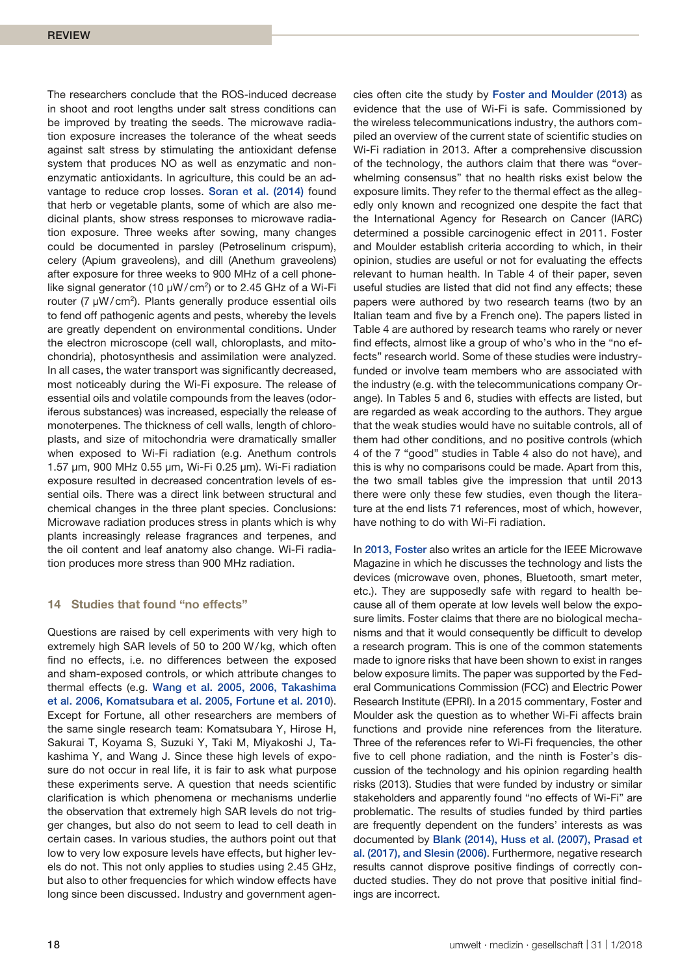The researchers conclude that the ROS-induced decrease in shoot and root lengths under salt stress conditions can be improved by treating the seeds. The microwave radiation exposure increases the tolerance of the wheat seeds against salt stress by stimulating the antioxidant defense system that produces NO as well as enzymatic and nonenzymatic antioxidants. In agriculture, this could be an advantage to reduce crop losses. Soran et al. (2014) found that herb or vegetable plants, some of which are also medicinal plants, show stress responses to microwave radiation exposure. Three weeks after sowing, many changes could be documented in parsley (Petroselinum crispum), celery (Apium graveolens), and dill (Anethum graveolens) after exposure for three weeks to 900 MHz of a cell phonelike signal generator (10  $\mu$ W/ cm<sup>2</sup>) or to 2.45 GHz of a Wi-Fi router (7  $\mu$ W/ cm<sup>2</sup>). Plants generally produce essential oils to fend off pathogenic agents and pests, whereby the levels are greatly dependent on environmental conditions. Under the electron microscope (cell wall, chloroplasts, and mitochondria), photosynthesis and assimilation were analyzed. In all cases, the water transport was significantly decreased, most noticeably during the Wi-Fi exposure. The release of essential oils and volatile compounds from the leaves (odoriferous substances) was increased, especially the release of monoterpenes. The thickness of cell walls, length of chloroplasts, and size of mitochondria were dramatically smaller when exposed to Wi-Fi radiation (e.g. Anethum controls 1.57 µm, 900 MHz 0.55 µm, Wi-Fi 0.25 µm). Wi-Fi radiation exposure resulted in decreased concentration levels of essential oils. There was a direct link between structural and chemical changes in the three plant species. Conclusions: Microwave radiation produces stress in plants which is why plants increasingly release fragrances and terpenes, and the oil content and leaf anatomy also change. Wi-Fi radiation produces more stress than 900 MHz radiation.

# **14 Studies that found "no effects"**

Questions are raised by cell experiments with very high to extremely high SAR levels of 50 to 200 W/kg, which often find no effects, i.e. no differences between the exposed and sham-exposed controls, or which attribute changes to thermal effects (e.g. Wang et al. 2005, 2006, Takashima et al. 2006, Komatsubara et al. 2005, Fortune et al. 2010). Except for Fortune, all other researchers are members of the same single research team: Komatsubara Y, Hirose H, Sakurai T, Koyama S, Suzuki Y, Taki M, Miyakoshi J, Takashima Y, and Wang J. Since these high levels of exposure do not occur in real life, it is fair to ask what purpose these experiments serve. A question that needs scientific clarification is which phenomena or mechanisms underlie the observation that extremely high SAR levels do not trigger changes, but also do not seem to lead to cell death in certain cases. In various studies, the authors point out that low to very low exposure levels have effects, but higher levels do not. This not only applies to studies using 2.45 GHz, but also to other frequencies for which window effects have long since been discussed. Industry and government agencies often cite the study by Foster and Moulder (2013) as evidence that the use of Wi-Fi is safe. Commissioned by the wireless telecommunications industry, the authors compiled an overview of the current state of scientific studies on Wi-Fi radiation in 2013. After a comprehensive discussion of the technology, the authors claim that there was "overwhelming consensus" that no health risks exist below the exposure limits. They refer to the thermal effect as the allegedly only known and recognized one despite the fact that the International Agency for Research on Cancer (IARC) determined a possible carcinogenic effect in 2011. Foster and Moulder establish criteria according to which, in their opinion, studies are useful or not for evaluating the effects relevant to human health. In Table 4 of their paper, seven useful studies are listed that did not find any effects; these papers were authored by two research teams (two by an Italian team and five by a French one). The papers listed in Table 4 are authored by research teams who rarely or never find effects, almost like a group of who's who in the "no effects" research world. Some of these studies were industryfunded or involve team members who are associated with the industry (e.g. with the telecommunications company Orange). In Tables 5 and 6, studies with effects are listed, but are regarded as weak according to the authors. They argue that the weak studies would have no suitable controls, all of them had other conditions, and no positive controls (which 4 of the 7 "good" studies in Table 4 also do not have), and this is why no comparisons could be made. Apart from this, the two small tables give the impression that until 2013 there were only these few studies, even though the literature at the end lists 71 references, most of which, however, have nothing to do with Wi-Fi radiation.

In 2013, Foster also writes an article for the IEEE Microwave Magazine in which he discusses the technology and lists the devices (microwave oven, phones, Bluetooth, smart meter, etc.). They are supposedly safe with regard to health because all of them operate at low levels well below the exposure limits. Foster claims that there are no biological mechanisms and that it would consequently be difficult to develop a research program. This is one of the common statements made to ignore risks that have been shown to exist in ranges below exposure limits. The paper was supported by the Federal Communications Commission (FCC) and Electric Power Research Institute (EPRI). In a 2015 commentary, Foster and Moulder ask the question as to whether Wi-Fi affects brain functions and provide nine references from the literature. Three of the references refer to Wi-Fi frequencies, the other five to cell phone radiation, and the ninth is Foster's discussion of the technology and his opinion regarding health risks (2013). Studies that were funded by industry or similar stakeholders and apparently found "no effects of Wi-Fi" are problematic. The results of studies funded by third parties are frequently dependent on the funders' interests as was documented by Blank (2014), Huss et al. (2007), Prasad et al. (2017), and Slesin (2006). Furthermore, negative research results cannot disprove positive findings of correctly conducted studies. They do not prove that positive initial findings are incorrect.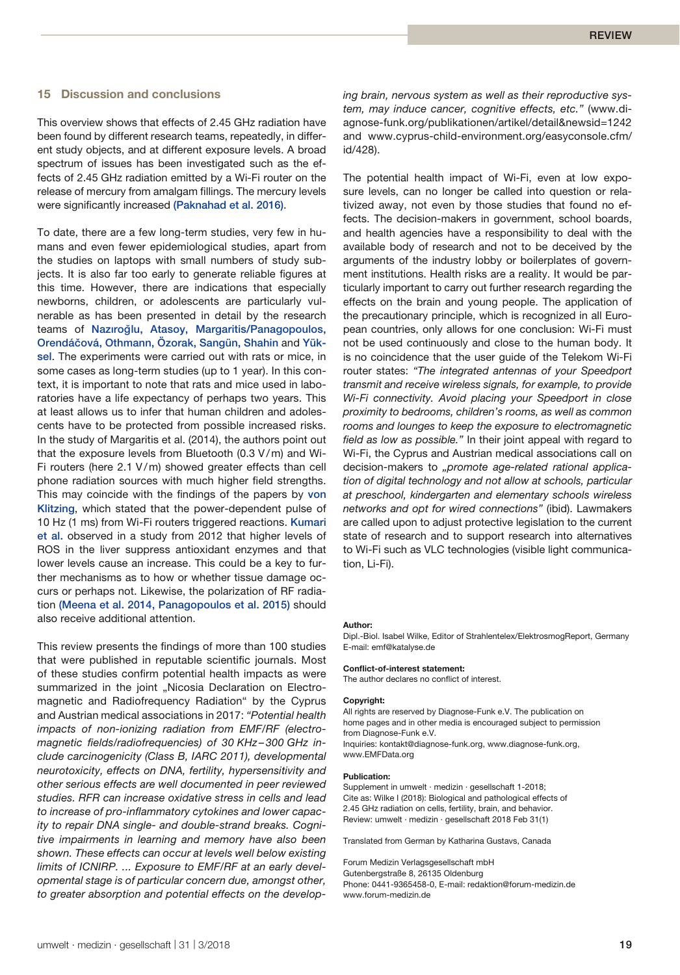# **15 Discussion and conclusions**

This overview shows that effects of 2.45 GHz radiation have been found by different research teams, repeatedly, in different study objects, and at different exposure levels. A broad spectrum of issues has been investigated such as the effects of 2.45 GHz radiation emitted by a Wi-Fi router on the release of mercury from amalgam fillings. The mercury levels were significantly increased (Paknahad et al. 2016).

To date, there are a few long-term studies, very few in humans and even fewer epidemiological studies, apart from the studies on laptops with small numbers of study subjects. It is also far too early to generate reliable figures at this time. However, there are indications that especially newborns, children, or adolescents are particularly vulnerable as has been presented in detail by the research teams of Nazıroğlu, Atasoy, Margaritis/Panagopoulos, Orendáčová, Othmann, Özorak, Sangün, Shahin and Yüksel. The experiments were carried out with rats or mice, in some cases as long-term studies (up to 1 year). In this context, it is important to note that rats and mice used in laboratories have a life expectancy of perhaps two years. This at least allows us to infer that human children and adolescents have to be protected from possible increased risks. In the study of Margaritis et al. (2014), the authors point out that the exposure levels from Bluetooth (0.3 V/m) and Wi-Fi routers (here 2.1 V/m) showed greater effects than cell phone radiation sources with much higher field strengths. This may coincide with the findings of the papers by von Klitzing, which stated that the power-dependent pulse of 10 Hz (1 ms) from Wi-Fi routers triggered reactions. Kumari et al. observed in a study from 2012 that higher levels of ROS in the liver suppress antioxidant enzymes and that lower levels cause an increase. This could be a key to further mechanisms as to how or whether tissue damage occurs or perhaps not. Likewise, the polarization of RF radiation (Meena et al. 2014, Panagopoulos et al. 2015) should also receive additional attention.

This review presents the findings of more than 100 studies that were published in reputable scientific journals. Most of these studies confirm potential health impacts as were summarized in the joint "Nicosia Declaration on Electromagnetic and Radiofrequency Radiation" by the Cyprus and Austrian medical associations in 2017: *"Potential health impacts of non-ionizing radiation from EMF/RF (electromagnetic fields/radiofrequencies) of 30 KHz – 300 GHz include carcinogenicity (Class B, IARC 2011), developmental neurotoxicity, effects on DNA, fertility, hypersensitivity and other serious effects are well documented in peer reviewed studies. RFR can increase oxidative stress in cells and lead to increase of pro-inflammatory cytokines and lower capacity to repair DNA single- and double-strand breaks. Cognitive impairments in learning and memory have also been shown. These effects can occur at levels well below existing limits of ICNIRP. ... Exposure to EMF/RF at an early developmental stage is of particular concern due, amongst other, to greater absorption and potential effects on the develop-* *ing brain, nervous system as well as their reproductive system, may induce cancer, cognitive effects, etc."* (www.diagnose-funk.org/publikationen/artikel/detail&newsid=1242 and www.cyprus-child-environment.org/easyconsole.cfm/ id/428).

The potential health impact of Wi-Fi, even at low exposure levels, can no longer be called into question or relativized away, not even by those studies that found no effects. The decision-makers in government, school boards, and health agencies have a responsibility to deal with the available body of research and not to be deceived by the arguments of the industry lobby or boilerplates of government institutions. Health risks are a reality. It would be particularly important to carry out further research regarding the effects on the brain and young people. The application of the precautionary principle, which is recognized in all European countries, only allows for one conclusion: Wi-Fi must not be used continuously and close to the human body. It is no coincidence that the user guide of the Telekom Wi-Fi router states: *"The integrated antennas of your Speedport transmit and receive wireless signals, for example, to provide Wi-Fi connectivity. Avoid placing your Speedport in close proximity to bedrooms, children's rooms, as well as common rooms and lounges to keep the exposure to electromagnetic field as low as possible."* In their joint appeal with regard to Wi-Fi, the Cyprus and Austrian medical associations call on decision-makers to *"promote age-related rational application of digital technology and not allow at schools, particular at preschool, kindergarten and elementary schools wireless networks and opt for wired connections"* (ibid). Lawmakers are called upon to adjust protective legislation to the current state of research and to support research into alternatives to Wi-Fi such as VLC technologies (visible light communication, Li-Fi).

#### **Author:**

Dipl.-Biol. Isabel Wilke, Editor of Strahlentelex/ElektrosmogReport, Germany E-mail: emf@katalyse.de

#### **Conflict-of-interest statement:**

The author declares no conflict of interest.

#### **Copyright:**

All rights are reserved by Diagnose-Funk e.V. The publication on home pages and in other media is encouraged subject to permission from Diagnose-Funk e.V. Inquiries: kontakt@diagnose-funk.org, www.diagnose-funk.org, www.EMFData.org

#### **Publication:**

Supplement in umwelt ∙ medizin ∙ gesellschaft 1-2018; Cite as: Wilke I (2018): Biological and pathological effects of 2.45 GHz radiation on cells, fertility, brain, and behavior. Review: umwelt ∙ medizin ∙ gesellschaft 2018 Feb 31(1)

Translated from German by Katharina Gustavs, Canada

Forum Medizin Verlagsgesellschaft mbH Gutenbergstraße 8, 26135 Oldenburg Phone: 0441-9365458-0, E-mail: redaktion@forum-medizin.de www.forum-medizin.de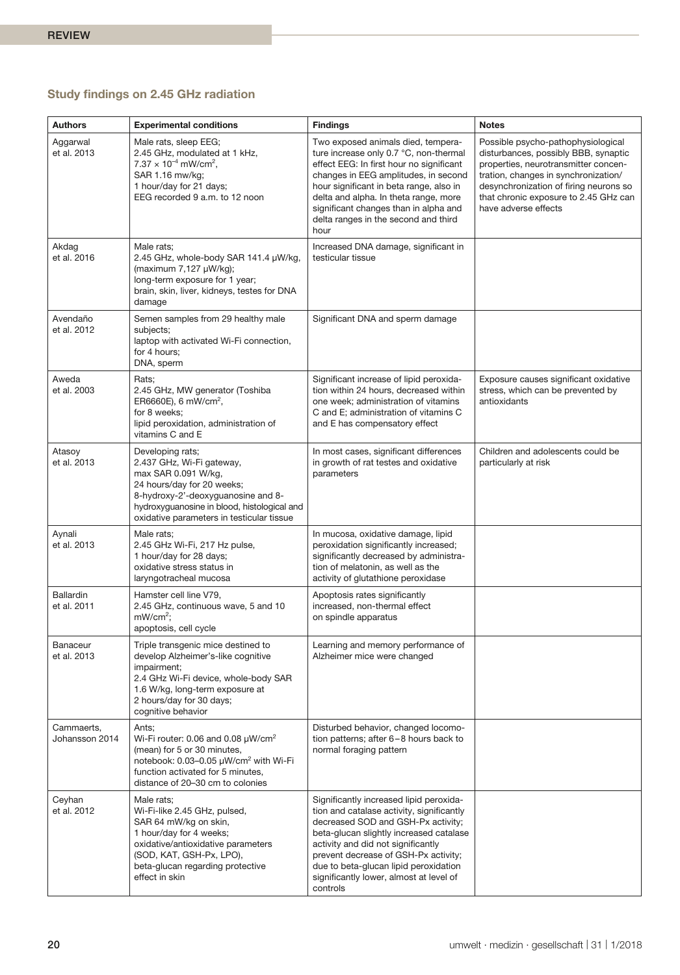# **Study findings on 2.45 GHz radiation**

| <b>Authors</b>                  | <b>Experimental conditions</b>                                                                                                                                                                                                       | <b>Findings</b>                                                                                                                                                                                                                                                                                                                                     | <b>Notes</b>                                                                                                                                                                                                                                                          |
|---------------------------------|--------------------------------------------------------------------------------------------------------------------------------------------------------------------------------------------------------------------------------------|-----------------------------------------------------------------------------------------------------------------------------------------------------------------------------------------------------------------------------------------------------------------------------------------------------------------------------------------------------|-----------------------------------------------------------------------------------------------------------------------------------------------------------------------------------------------------------------------------------------------------------------------|
| Aggarwal<br>et al. 2013         | Male rats, sleep EEG;<br>2.45 GHz, modulated at 1 kHz,<br>$7.37 \times 10^{-4}$ mW/cm <sup>2</sup> ,<br>SAR 1.16 mw/ka:<br>1 hour/day for 21 days;<br>EEG recorded 9 a.m. to 12 noon                                                 | Two exposed animals died, tempera-<br>ture increase only 0.7 °C, non-thermal<br>effect EEG: In first hour no significant<br>changes in EEG amplitudes, in second<br>hour significant in beta range, also in<br>delta and alpha. In theta range, more<br>significant changes than in alpha and<br>delta ranges in the second and third<br>hour       | Possible psycho-pathophysiological<br>disturbances, possibly BBB, synaptic<br>properties, neurotransmitter concen-<br>tration, changes in synchronization/<br>desynchronization of firing neurons so<br>that chronic exposure to 2.45 GHz can<br>have adverse effects |
| Akdag<br>et al. 2016            | Male rats;<br>2.45 GHz, whole-body SAR 141.4 µW/kg,<br>(maximum 7,127 µW/kg);<br>long-term exposure for 1 year;<br>brain, skin, liver, kidneys, testes for DNA<br>damage                                                             | Increased DNA damage, significant in<br>testicular tissue                                                                                                                                                                                                                                                                                           |                                                                                                                                                                                                                                                                       |
| Avendaño<br>et al. 2012         | Semen samples from 29 healthy male<br>subjects;<br>laptop with activated Wi-Fi connection,<br>for 4 hours;<br>DNA, sperm                                                                                                             | Significant DNA and sperm damage                                                                                                                                                                                                                                                                                                                    |                                                                                                                                                                                                                                                                       |
| Aweda<br>et al. 2003            | Rats;<br>2.45 GHz, MW generator (Toshiba<br>ER6660E), 6 mW/cm <sup>2</sup> ,<br>for 8 weeks;<br>lipid peroxidation, administration of<br>vitamins C and E                                                                            | Significant increase of lipid peroxida-<br>tion within 24 hours, decreased within<br>one week; administration of vitamins<br>C and E; administration of vitamins C<br>and E has compensatory effect                                                                                                                                                 | Exposure causes significant oxidative<br>stress, which can be prevented by<br>antioxidants                                                                                                                                                                            |
| Atasoy<br>et al. 2013           | Developing rats;<br>2.437 GHz, Wi-Fi gateway,<br>max SAR 0.091 W/kg,<br>24 hours/day for 20 weeks;<br>8-hydroxy-2'-deoxyguanosine and 8-<br>hydroxyguanosine in blood, histological and<br>oxidative parameters in testicular tissue | In most cases, significant differences<br>in growth of rat testes and oxidative<br>parameters                                                                                                                                                                                                                                                       | Children and adolescents could be<br>particularly at risk                                                                                                                                                                                                             |
| Aynali<br>et al. 2013           | Male rats;<br>2.45 GHz Wi-Fi, 217 Hz pulse,<br>1 hour/day for 28 days;<br>oxidative stress status in<br>laryngotracheal mucosa                                                                                                       | In mucosa, oxidative damage, lipid<br>peroxidation significantly increased;<br>significantly decreased by administra-<br>tion of melatonin, as well as the<br>activity of glutathione peroxidase                                                                                                                                                    |                                                                                                                                                                                                                                                                       |
| <b>Ballardin</b><br>et al. 2011 | Hamster cell line V79,<br>2.45 GHz, continuous wave, 5 and 10<br>$mW/cm2$ :<br>apoptosis, cell cycle                                                                                                                                 | Apoptosis rates significantly<br>increased, non-thermal effect<br>on spindle apparatus                                                                                                                                                                                                                                                              |                                                                                                                                                                                                                                                                       |
| Banaceur<br>et al. 2013         | Triple transgenic mice destined to<br>develop Alzheimer's-like cognitive<br>impairment;<br>2.4 GHz Wi-Fi device, whole-body SAR<br>1.6 W/kg, long-term exposure at<br>2 hours/day for 30 days;<br>cognitive behavior                 | Learning and memory performance of<br>Alzheimer mice were changed                                                                                                                                                                                                                                                                                   |                                                                                                                                                                                                                                                                       |
| Cammaerts,<br>Johansson 2014    | Ants;<br>Wi-Fi router: 0.06 and 0.08 $\mu$ W/cm <sup>2</sup><br>(mean) for 5 or 30 minutes,<br>notebook: 0.03–0.05 µW/cm <sup>2</sup> with Wi-Fi<br>function activated for 5 minutes,<br>distance of 20-30 cm to colonies            | Disturbed behavior, changed locomo-<br>tion patterns; after 6-8 hours back to<br>normal foraging pattern                                                                                                                                                                                                                                            |                                                                                                                                                                                                                                                                       |
| Ceyhan<br>et al. 2012           | Male rats;<br>Wi-Fi-like 2.45 GHz, pulsed,<br>SAR 64 mW/kg on skin,<br>1 hour/day for 4 weeks;<br>oxidative/antioxidative parameters<br>(SOD, KAT, GSH-Px, LPO),<br>beta-glucan regarding protective<br>effect in skin               | Significantly increased lipid peroxida-<br>tion and catalase activity, significantly<br>decreased SOD and GSH-Px activity;<br>beta-glucan slightly increased catalase<br>activity and did not significantly<br>prevent decrease of GSH-Px activity;<br>due to beta-glucan lipid peroxidation<br>significantly lower, almost at level of<br>controls |                                                                                                                                                                                                                                                                       |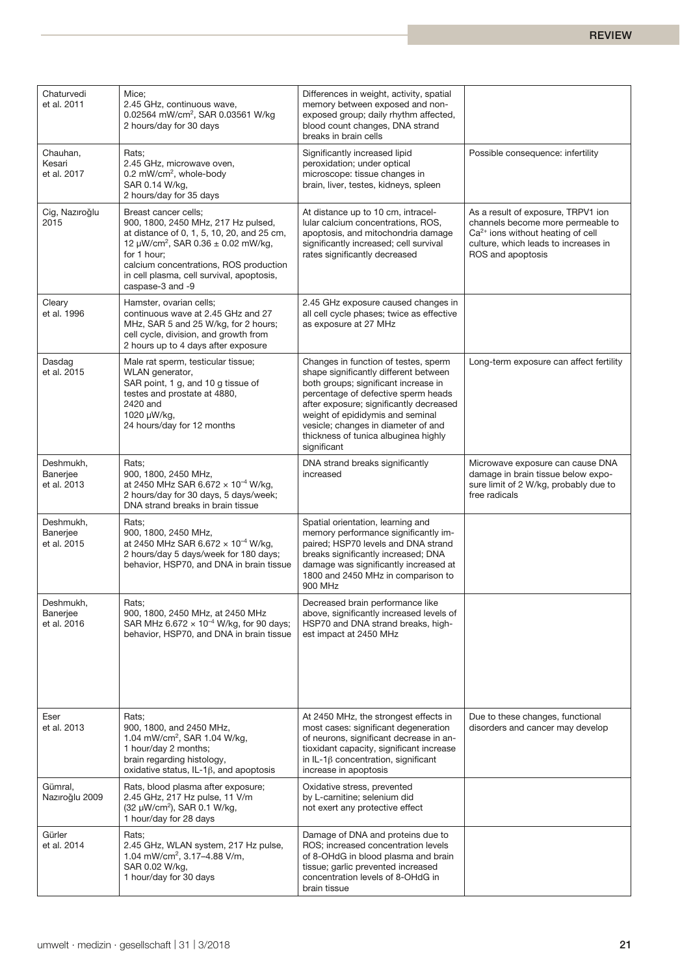| Chaturvedi<br>et al. 2011            | Mice;<br>2.45 GHz, continuous wave,<br>0.02564 mW/cm <sup>2</sup> , SAR 0.03561 W/kg<br>2 hours/day for 30 days                                                                                                                                                                           | Differences in weight, activity, spatial<br>memory between exposed and non-<br>exposed group; daily rhythm affected,<br>blood count changes, DNA strand<br>breaks in brain cells                                                                                                                                                          |                                                                                                                                                                             |
|--------------------------------------|-------------------------------------------------------------------------------------------------------------------------------------------------------------------------------------------------------------------------------------------------------------------------------------------|-------------------------------------------------------------------------------------------------------------------------------------------------------------------------------------------------------------------------------------------------------------------------------------------------------------------------------------------|-----------------------------------------------------------------------------------------------------------------------------------------------------------------------------|
| Chauhan,<br>Kesari<br>et al. 2017    | Rats;<br>2.45 GHz, microwave oven,<br>0.2 mW/cm <sup>2</sup> , whole-body<br>SAR 0.14 W/kg,<br>2 hours/day for 35 days                                                                                                                                                                    | Significantly increased lipid<br>peroxidation; under optical<br>microscope: tissue changes in<br>brain, liver, testes, kidneys, spleen                                                                                                                                                                                                    | Possible consequence: infertility                                                                                                                                           |
| Cig, Nazıroğlu<br>2015               | Breast cancer cells;<br>900, 1800, 2450 MHz, 217 Hz pulsed,<br>at distance of 0, 1, 5, 10, 20, and 25 cm,<br>12 µW/cm <sup>2</sup> , SAR $0.36 \pm 0.02$ mW/kg,<br>for 1 hour;<br>calcium concentrations, ROS production<br>in cell plasma, cell survival, apoptosis,<br>caspase-3 and -9 | At distance up to 10 cm, intracel-<br>lular calcium concentrations, ROS,<br>apoptosis, and mitochondria damage<br>significantly increased; cell survival<br>rates significantly decreased                                                                                                                                                 | As a result of exposure, TRPV1 ion<br>channels become more permeable to<br>$Ca2+$ ions without heating of cell<br>culture, which leads to increases in<br>ROS and apoptosis |
| Cleary<br>et al. 1996                | Hamster, ovarian cells;<br>continuous wave at 2.45 GHz and 27<br>MHz, SAR 5 and 25 W/kg, for 2 hours;<br>cell cycle, division, and growth from<br>2 hours up to 4 days after exposure                                                                                                     | 2.45 GHz exposure caused changes in<br>all cell cycle phases; twice as effective<br>as exposure at 27 MHz                                                                                                                                                                                                                                 |                                                                                                                                                                             |
| Dasdag<br>et al. 2015                | Male rat sperm, testicular tissue;<br>WLAN generator,<br>SAR point, 1 g, and 10 g tissue of<br>testes and prostate at 4880,<br>2420 and<br>1020 µW/kg,<br>24 hours/day for 12 months                                                                                                      | Changes in function of testes, sperm<br>shape significantly different between<br>both groups; significant increase in<br>percentage of defective sperm heads<br>after exposure; significantly decreased<br>weight of epididymis and seminal<br>vesicle; changes in diameter of and<br>thickness of tunica albuginea highly<br>significant | Long-term exposure can affect fertility                                                                                                                                     |
| Deshmukh,<br>Banerjee<br>et al. 2013 | Rats:<br>900, 1800, 2450 MHz,<br>at 2450 MHz SAR 6.672 $\times$ 10 <sup>-4</sup> W/kg,<br>2 hours/day for 30 days, 5 days/week;<br>DNA strand breaks in brain tissue                                                                                                                      | DNA strand breaks significantly<br>increased                                                                                                                                                                                                                                                                                              | Microwave exposure can cause DNA<br>damage in brain tissue below expo-<br>sure limit of 2 W/kg, probably due to<br>free radicals                                            |
| Deshmukh,<br>Banerjee<br>et al. 2015 | Rats:<br>900, 1800, 2450 MHz,<br>at 2450 MHz SAR 6.672 $\times$ 10 <sup>-4</sup> W/kg,<br>2 hours/day 5 days/week for 180 days;<br>behavior, HSP70, and DNA in brain tissue                                                                                                               | Spatial orientation, learning and<br>memory performance significantly im-<br>paired; HSP70 levels and DNA strand<br>breaks significantly increased; DNA<br>damage was significantly increased at<br>1800 and 2450 MHz in comparison to<br>900 MHz                                                                                         |                                                                                                                                                                             |
| Deshmukh,<br>Banerjee<br>et al. 2016 | Rats:<br>900, 1800, 2450 MHz, at 2450 MHz<br>SAR MHz 6.672 $\times$ 10 <sup>-4</sup> W/kg, for 90 days;<br>behavior, HSP70, and DNA in brain tissue                                                                                                                                       | Decreased brain performance like<br>above, significantly increased levels of<br>HSP70 and DNA strand breaks, high-<br>est impact at 2450 MHz                                                                                                                                                                                              |                                                                                                                                                                             |
| Eser<br>et al. 2013                  | Rats;<br>900, 1800, and 2450 MHz,<br>1.04 mW/cm <sup>2</sup> , SAR 1.04 W/kg,<br>1 hour/day 2 months;<br>brain regarding histology,<br>oxidative status, $IL-1\beta$ , and apoptosis                                                                                                      | At 2450 MHz, the strongest effects in<br>most cases: significant degeneration<br>of neurons, significant decrease in an-<br>tioxidant capacity, significant increase<br>in IL-1 $\beta$ concentration, significant<br>increase in apoptosis                                                                                               | Due to these changes, functional<br>disorders and cancer may develop                                                                                                        |
| Gümral,<br>Nazıroğlu 2009            | Rats, blood plasma after exposure;<br>2.45 GHz, 217 Hz pulse, 11 V/m<br>(32 µW/cm <sup>2</sup> ), SAR 0.1 W/kg,<br>1 hour/day for 28 days                                                                                                                                                 | Oxidative stress, prevented<br>by L-carnitine; selenium did<br>not exert any protective effect                                                                                                                                                                                                                                            |                                                                                                                                                                             |
| Gürler<br>et al. 2014                | Rats;<br>2.45 GHz, WLAN system, 217 Hz pulse,<br>1.04 mW/cm <sup>2</sup> , 3.17-4.88 V/m,<br>SAR 0.02 W/kg,<br>1 hour/day for 30 days                                                                                                                                                     | Damage of DNA and proteins due to<br>ROS; increased concentration levels<br>of 8-OHdG in blood plasma and brain<br>tissue; garlic prevented increased<br>concentration levels of 8-OHdG in<br>brain tissue                                                                                                                                |                                                                                                                                                                             |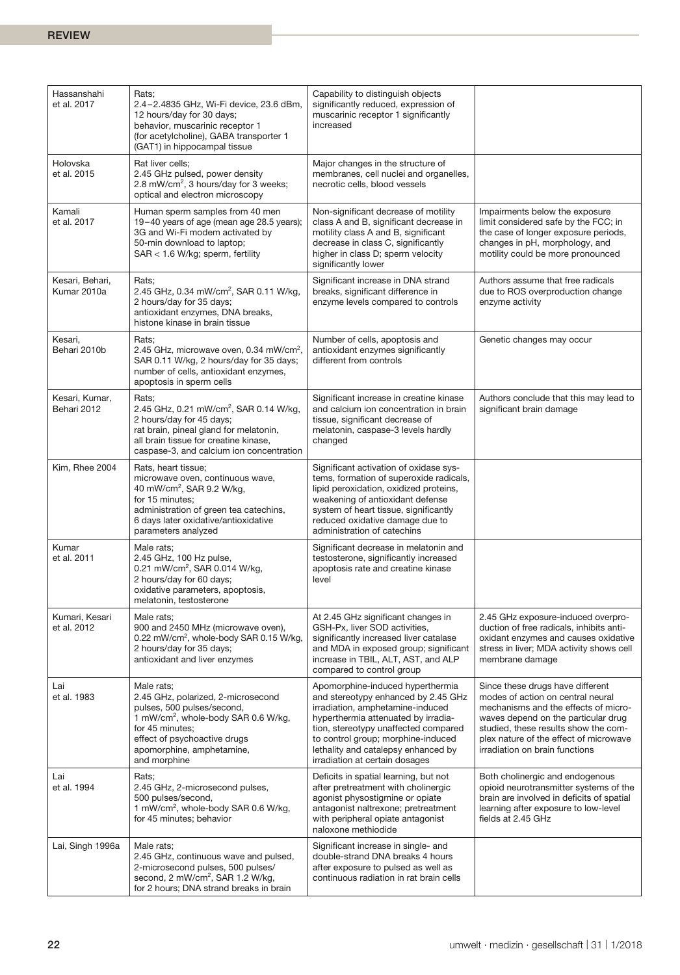| Hassanshahi<br>et al. 2017     | Rats;<br>2.4-2.4835 GHz, Wi-Fi device, 23.6 dBm,<br>12 hours/day for 30 days;<br>behavior, muscarinic receptor 1<br>(for acetylcholine), GABA transporter 1<br>(GAT1) in hippocampal tissue                                       | Capability to distinguish objects<br>significantly reduced, expression of<br>muscarinic receptor 1 significantly<br>increased                                                                                                                                                                             |                                                                                                                                                                                                                                                                          |
|--------------------------------|-----------------------------------------------------------------------------------------------------------------------------------------------------------------------------------------------------------------------------------|-----------------------------------------------------------------------------------------------------------------------------------------------------------------------------------------------------------------------------------------------------------------------------------------------------------|--------------------------------------------------------------------------------------------------------------------------------------------------------------------------------------------------------------------------------------------------------------------------|
| Holovska<br>et al. 2015        | Rat liver cells:<br>2.45 GHz pulsed, power density<br>2.8 mW/cm <sup>2</sup> , 3 hours/day for 3 weeks;<br>optical and electron microscopy                                                                                        | Major changes in the structure of<br>membranes, cell nuclei and organelles,<br>necrotic cells, blood vessels                                                                                                                                                                                              |                                                                                                                                                                                                                                                                          |
| Kamali<br>et al. 2017          | Human sperm samples from 40 men<br>19-40 years of age (mean age 28.5 years);<br>3G and Wi-Fi modem activated by<br>50-min download to laptop;<br>SAR < 1.6 W/kg; sperm, fertility                                                 | Non-significant decrease of motility<br>class A and B, significant decrease in<br>motility class A and B, significant<br>decrease in class C, significantly<br>higher in class D; sperm velocity<br>significantly lower                                                                                   | Impairments below the exposure<br>limit considered safe by the FCC; in<br>the case of longer exposure periods,<br>changes in pH, morphology, and<br>motility could be more pronounced                                                                                    |
| Kesari, Behari,<br>Kumar 2010a | Rats;<br>2.45 GHz, 0.34 mW/cm <sup>2</sup> , SAR 0.11 W/kg,<br>2 hours/day for 35 days;<br>antioxidant enzymes, DNA breaks,<br>histone kinase in brain tissue                                                                     | Significant increase in DNA strand<br>breaks, significant difference in<br>enzyme levels compared to controls                                                                                                                                                                                             | Authors assume that free radicals<br>due to ROS overproduction change<br>enzyme activity                                                                                                                                                                                 |
| Kesari,<br>Behari 2010b        | Rats;<br>2.45 GHz, microwave oven, 0.34 mW/cm <sup>2</sup> ,<br>SAR 0.11 W/kg, 2 hours/day for 35 days;<br>number of cells, antioxidant enzymes,<br>apoptosis in sperm cells                                                      | Number of cells, apoptosis and<br>antioxidant enzymes significantly<br>different from controls                                                                                                                                                                                                            | Genetic changes may occur                                                                                                                                                                                                                                                |
| Kesari, Kumar,<br>Behari 2012  | Rats;<br>2.45 GHz, 0.21 mW/cm <sup>2</sup> , SAR 0.14 W/kg,<br>2 hours/day for 45 days;<br>rat brain, pineal gland for melatonin,<br>all brain tissue for creatine kinase,<br>caspase-3, and calcium ion concentration            | Significant increase in creatine kinase<br>and calcium ion concentration in brain<br>tissue, significant decrease of<br>melatonin, caspase-3 levels hardly<br>changed                                                                                                                                     | Authors conclude that this may lead to<br>significant brain damage                                                                                                                                                                                                       |
| Kim, Rhee 2004                 | Rats, heart tissue;<br>microwave oven, continuous wave,<br>40 mW/cm <sup>2</sup> , SAR 9.2 W/kg,<br>for 15 minutes;<br>administration of green tea catechins,<br>6 days later oxidative/antioxidative<br>parameters analyzed      | Significant activation of oxidase sys-<br>tems, formation of superoxide radicals,<br>lipid peroxidation, oxidized proteins,<br>weakening of antioxidant defense<br>system of heart tissue, significantly<br>reduced oxidative damage due to<br>administration of catechins                                |                                                                                                                                                                                                                                                                          |
| Kumar<br>et al. 2011           | Male rats;<br>2.45 GHz, 100 Hz pulse,<br>0.21 mW/cm <sup>2</sup> , SAR 0.014 W/kg,<br>2 hours/day for 60 days;<br>oxidative parameters, apoptosis,<br>melatonin, testosterone                                                     | Significant decrease in melatonin and<br>testosterone, significantly increased<br>apoptosis rate and creatine kinase<br>level                                                                                                                                                                             |                                                                                                                                                                                                                                                                          |
| Kumari, Kesari<br>et al. 2012  | Male rats;<br>900 and 2450 MHz (microwave oven),<br>0.22 mW/cm <sup>2</sup> , whole-body SAR 0.15 W/kg,<br>2 hours/day for 35 days;<br>antioxidant and liver enzymes                                                              | At 2.45 GHz significant changes in<br>GSH-Px, liver SOD activities,<br>significantly increased liver catalase<br>and MDA in exposed group; significant<br>increase in TBIL, ALT, AST, and ALP<br>compared to control group                                                                                | 2.45 GHz exposure-induced overpro-<br>duction of free radicals, inhibits anti-<br>oxidant enzymes and causes oxidative<br>stress in liver; MDA activity shows cell<br>membrane damage                                                                                    |
| Lai<br>et al. 1983             | Male rats;<br>2.45 GHz, polarized, 2-microsecond<br>pulses, 500 pulses/second,<br>1 mW/cm <sup>2</sup> , whole-body SAR 0.6 W/kg,<br>for 45 minutes;<br>effect of psychoactive drugs<br>apomorphine, amphetamine,<br>and morphine | Apomorphine-induced hyperthermia<br>and stereotypy enhanced by 2.45 GHz<br>irradiation, amphetamine-induced<br>hyperthermia attenuated by irradia-<br>tion, stereotypy unaffected compared<br>to control group; morphine-induced<br>lethality and catalepsy enhanced by<br>irradiation at certain dosages | Since these drugs have different<br>modes of action on central neural<br>mechanisms and the effects of micro-<br>waves depend on the particular drug<br>studied, these results show the com-<br>plex nature of the effect of microwave<br>irradiation on brain functions |
| Lai<br>et al. 1994             | Rats;<br>2.45 GHz, 2-microsecond pulses,<br>500 pulses/second,<br>1 mW/cm <sup>2</sup> , whole-body SAR 0.6 W/kg,<br>for 45 minutes; behavior                                                                                     | Deficits in spatial learning, but not<br>after pretreatment with cholinergic<br>agonist physostigmine or opiate<br>antagonist naltrexone; pretreatment<br>with peripheral opiate antagonist<br>naloxone methiodide                                                                                        | Both cholinergic and endogenous<br>opioid neurotransmitter systems of the<br>brain are involved in deficits of spatial<br>learning after exposure to low-level<br>fields at 2.45 GHz                                                                                     |
| Lai, Singh 1996a               | Male rats;<br>2.45 GHz, continuous wave and pulsed,<br>2-microsecond pulses, 500 pulses/<br>second, 2 mW/cm <sup>2</sup> , SAR 1.2 W/kg,<br>for 2 hours; DNA strand breaks in brain                                               | Significant increase in single- and<br>double-strand DNA breaks 4 hours<br>after exposure to pulsed as well as<br>continuous radiation in rat brain cells                                                                                                                                                 |                                                                                                                                                                                                                                                                          |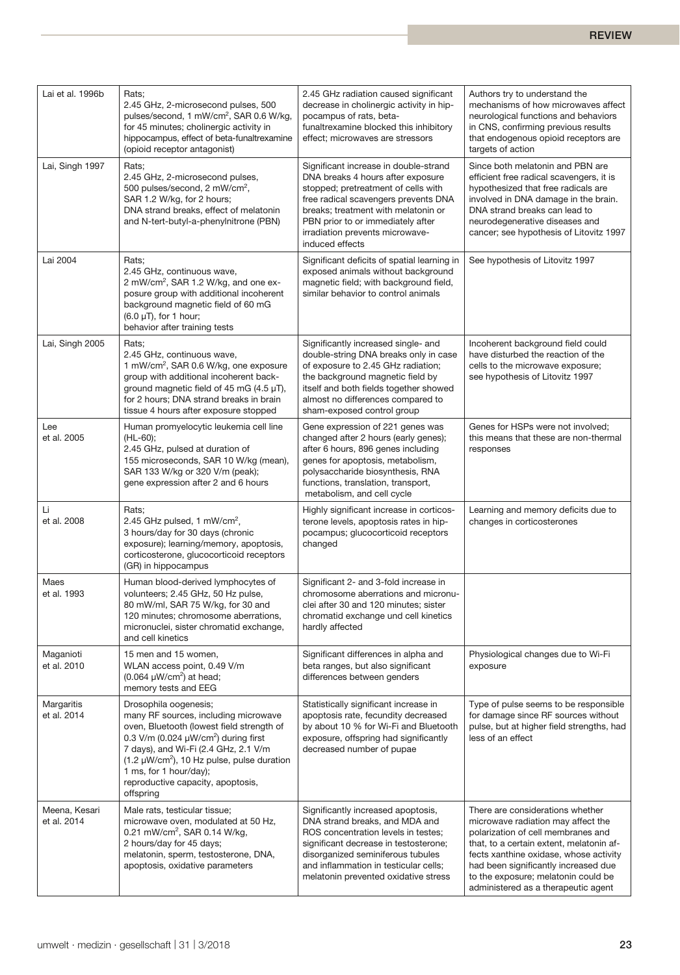| Lai et al. 1996b             | Rats;<br>2.45 GHz, 2-microsecond pulses, 500<br>pulses/second, 1 mW/cm <sup>2</sup> , SAR 0.6 W/kg,<br>for 45 minutes; cholinergic activity in<br>hippocampus, effect of beta-funaltrexamine<br>(opioid receptor antagonist)                                                                                                                | 2.45 GHz radiation caused significant<br>decrease in cholinergic activity in hip-<br>pocampus of rats, beta-<br>funaltrexamine blocked this inhibitory<br>effect; microwaves are stressors                                                                                                  | Authors try to understand the<br>mechanisms of how microwaves affect<br>neurological functions and behaviors<br>in CNS, confirming previous results<br>that endogenous opioid receptors are<br>targets of action                                                                                                         |
|------------------------------|---------------------------------------------------------------------------------------------------------------------------------------------------------------------------------------------------------------------------------------------------------------------------------------------------------------------------------------------|---------------------------------------------------------------------------------------------------------------------------------------------------------------------------------------------------------------------------------------------------------------------------------------------|--------------------------------------------------------------------------------------------------------------------------------------------------------------------------------------------------------------------------------------------------------------------------------------------------------------------------|
| Lai, Singh 1997              | Rats;<br>2.45 GHz, 2-microsecond pulses,<br>500 pulses/second, 2 mW/cm <sup>2</sup> ,<br>SAR 1.2 W/kg, for 2 hours;<br>DNA strand breaks, effect of melatonin<br>and N-tert-butyl-a-phenylnitrone (PBN)                                                                                                                                     | Significant increase in double-strand<br>DNA breaks 4 hours after exposure<br>stopped; pretreatment of cells with<br>free radical scavengers prevents DNA<br>breaks; treatment with melatonin or<br>PBN prior to or immediately after<br>irradiation prevents microwave-<br>induced effects | Since both melatonin and PBN are<br>efficient free radical scavengers, it is<br>hypothesized that free radicals are<br>involved in DNA damage in the brain.<br>DNA strand breaks can lead to<br>neurodegenerative diseases and<br>cancer; see hypothesis of Litovitz 1997                                                |
| Lai 2004                     | Rats;<br>2.45 GHz, continuous wave,<br>2 mW/cm <sup>2</sup> , SAR 1.2 W/kg, and one ex-<br>posure group with additional incoherent<br>background magnetic field of 60 mG<br>$(6.0 \mu T)$ , for 1 hour;<br>behavior after training tests                                                                                                    | Significant deficits of spatial learning in<br>exposed animals without background<br>magnetic field; with background field,<br>similar behavior to control animals                                                                                                                          | See hypothesis of Litovitz 1997                                                                                                                                                                                                                                                                                          |
| Lai, Singh 2005              | Rats;<br>2.45 GHz, continuous wave,<br>1 mW/cm <sup>2</sup> , SAR 0.6 W/kg, one exposure<br>group with additional incoherent back-<br>ground magnetic field of 45 mG $(4.5 \mu T)$ ,<br>for 2 hours: DNA strand breaks in brain<br>tissue 4 hours after exposure stopped                                                                    | Significantly increased single- and<br>double-string DNA breaks only in case<br>of exposure to 2.45 GHz radiation;<br>the background magnetic field by<br>itself and both fields together showed<br>almost no differences compared to<br>sham-exposed control group                         | Incoherent background field could<br>have disturbed the reaction of the<br>cells to the microwave exposure;<br>see hypothesis of Litovitz 1997                                                                                                                                                                           |
| Lee<br>et al. 2005           | Human promyelocytic leukemia cell line<br>(HL-60);<br>2.45 GHz, pulsed at duration of<br>155 microseconds, SAR 10 W/kg (mean),<br>SAR 133 W/kg or 320 V/m (peak);<br>gene expression after 2 and 6 hours                                                                                                                                    | Gene expression of 221 genes was<br>changed after 2 hours (early genes);<br>after 6 hours, 896 genes including<br>genes for apoptosis, metabolism,<br>polysaccharide biosynthesis, RNA<br>functions, translation, transport,<br>metabolism, and cell cycle                                  | Genes for HSPs were not involved;<br>this means that these are non-thermal<br>responses                                                                                                                                                                                                                                  |
| Li<br>et al. 2008            | Rats;<br>2.45 GHz pulsed, 1 mW/cm <sup>2</sup> ,<br>3 hours/day for 30 days (chronic<br>exposure); learning/memory, apoptosis,<br>corticosterone, glucocorticoid receptors<br>(GR) in hippocampus                                                                                                                                           | Highly significant increase in corticos-<br>terone levels, apoptosis rates in hip-<br>pocampus; glucocorticoid receptors<br>changed                                                                                                                                                         | Learning and memory deficits due to<br>changes in corticosterones                                                                                                                                                                                                                                                        |
| Maes<br>et al. 1993          | Human blood-derived lymphocytes of<br>volunteers; 2.45 GHz, 50 Hz pulse,<br>80 mW/ml, SAR 75 W/kg, for 30 and<br>120 minutes; chromosome aberrations,<br>micronuclei, sister chromatid exchange,<br>and cell kinetics                                                                                                                       | Significant 2- and 3-fold increase in<br>chromosome aberrations and micronu-<br>clei after 30 and 120 minutes; sister<br>chromatid exchange und cell kinetics<br>hardly affected                                                                                                            |                                                                                                                                                                                                                                                                                                                          |
| Maganioti<br>et al. 2010     | 15 men and 15 women.<br>WLAN access point, 0.49 V/m<br>$(0.064 \mu W/cm^2)$ at head;<br>memory tests and EEG                                                                                                                                                                                                                                | Significant differences in alpha and<br>beta ranges, but also significant<br>differences between genders                                                                                                                                                                                    | Physiological changes due to Wi-Fi<br>exposure                                                                                                                                                                                                                                                                           |
| Margaritis<br>et al. 2014    | Drosophila oogenesis;<br>many RF sources, including microwave<br>oven, Bluetooth (lowest field strength of<br>0.3 V/m (0.024 $\mu$ W/cm <sup>2</sup> ) during first<br>7 days), and Wi-Fi (2.4 GHz, 2.1 V/m<br>$(1.2 \mu W/cm^2)$ , 10 Hz pulse, pulse duration<br>1 ms, for 1 hour/day);<br>reproductive capacity, apoptosis,<br>offspring | Statistically significant increase in<br>apoptosis rate, fecundity decreased<br>by about 10 % for Wi-Fi and Bluetooth<br>exposure, offspring had significantly<br>decreased number of pupae                                                                                                 | Type of pulse seems to be responsible<br>for damage since RF sources without<br>pulse, but at higher field strengths, had<br>less of an effect                                                                                                                                                                           |
| Meena, Kesari<br>et al. 2014 | Male rats, testicular tissue;<br>microwave oven, modulated at 50 Hz,<br>0.21 mW/cm <sup>2</sup> , SAR 0.14 W/kg,<br>2 hours/day for 45 days;<br>melatonin, sperm, testosterone, DNA,<br>apoptosis, oxidative parameters                                                                                                                     | Significantly increased apoptosis,<br>DNA strand breaks, and MDA and<br>ROS concentration levels in testes;<br>significant decrease in testosterone;<br>disorganized seminiferous tubules<br>and inflammation in testicular cells;<br>melatonin prevented oxidative stress                  | There are considerations whether<br>microwave radiation may affect the<br>polarization of cell membranes and<br>that, to a certain extent, melatonin af-<br>fects xanthine oxidase, whose activity<br>had been significantly increased due<br>to the exposure; melatonin could be<br>administered as a therapeutic agent |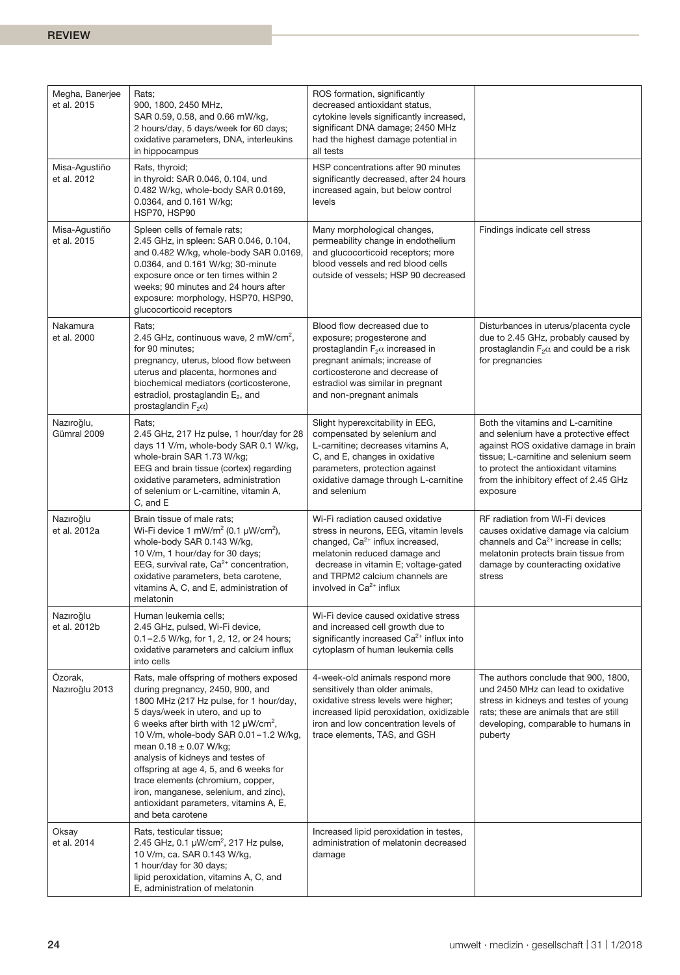| Megha, Banerjee<br>et al. 2015 | Rats;<br>900, 1800, 2450 MHz,<br>SAR 0.59, 0.58, and 0.66 mW/kg,<br>2 hours/day, 5 days/week for 60 days;<br>oxidative parameters, DNA, interleukins<br>in hippocampus                                                                                                                                                                                                                                                                                                                                                | ROS formation, significantly<br>decreased antioxidant status,<br>cytokine levels significantly increased,<br>significant DNA damage; 2450 MHz<br>had the highest damage potential in<br>all tests                                                                |                                                                                                                                                                                                                                                           |
|--------------------------------|-----------------------------------------------------------------------------------------------------------------------------------------------------------------------------------------------------------------------------------------------------------------------------------------------------------------------------------------------------------------------------------------------------------------------------------------------------------------------------------------------------------------------|------------------------------------------------------------------------------------------------------------------------------------------------------------------------------------------------------------------------------------------------------------------|-----------------------------------------------------------------------------------------------------------------------------------------------------------------------------------------------------------------------------------------------------------|
| Misa-Agustiño<br>et al. 2012   | Rats, thyroid;<br>in thyroid: SAR 0.046, 0.104, und<br>0.482 W/kg, whole-body SAR 0.0169,<br>0.0364, and 0.161 W/kg;<br>HSP70, HSP90                                                                                                                                                                                                                                                                                                                                                                                  | HSP concentrations after 90 minutes<br>significantly decreased, after 24 hours<br>increased again, but below control<br>levels                                                                                                                                   |                                                                                                                                                                                                                                                           |
| Misa-Agustiño<br>et al. 2015   | Spleen cells of female rats;<br>2.45 GHz, in spleen: SAR 0.046, 0.104,<br>and 0.482 W/kg, whole-body SAR 0.0169,<br>0.0364, and 0.161 W/kg; 30-minute<br>exposure once or ten times within 2<br>weeks; 90 minutes and 24 hours after<br>exposure: morphology, HSP70, HSP90,<br>glucocorticoid receptors                                                                                                                                                                                                               | Many morphological changes,<br>permeability change in endothelium<br>and glucocorticoid receptors; more<br>blood vessels and red blood cells<br>outside of vessels; HSP 90 decreased                                                                             | Findings indicate cell stress                                                                                                                                                                                                                             |
| Nakamura<br>et al. 2000        | Rats;<br>2.45 GHz, continuous wave, 2 mW/cm <sup>2</sup> ,<br>for 90 minutes;<br>pregnancy, uterus, blood flow between<br>uterus and placenta, hormones and<br>biochemical mediators (corticosterone,<br>estradiol, prostaglandin E <sub>2</sub> , and<br>prostaglandin $F_2\alpha$ )                                                                                                                                                                                                                                 | Blood flow decreased due to<br>exposure; progesterone and<br>prostaglandin $F_2\alpha$ increased in<br>pregnant animals; increase of<br>corticosterone and decrease of<br>estradiol was similar in pregnant<br>and non-pregnant animals                          | Disturbances in uterus/placenta cycle<br>due to 2.45 GHz, probably caused by<br>prostaglandin $F_2\alpha$ and could be a risk<br>for pregnancies                                                                                                          |
| Nazıroğlu,<br>Gümral 2009      | Rats;<br>2.45 GHz, 217 Hz pulse, 1 hour/day for 28<br>days 11 V/m, whole-body SAR 0.1 W/kg,<br>whole-brain SAR 1.73 W/kg;<br>EEG and brain tissue (cortex) regarding<br>oxidative parameters, administration<br>of selenium or L-carnitine, vitamin A,<br>C, and E                                                                                                                                                                                                                                                    | Slight hyperexcitability in EEG,<br>compensated by selenium and<br>L-carnitine; decreases vitamins A,<br>C, and E, changes in oxidative<br>parameters, protection against<br>oxidative damage through L-carnitine<br>and selenium                                | Both the vitamins and L-carnitine<br>and selenium have a protective effect<br>against ROS oxidative damage in brain<br>tissue; L-carnitine and selenium seem<br>to protect the antioxidant vitamins<br>from the inhibitory effect of 2.45 GHz<br>exposure |
| Nazıroğlu<br>et al. 2012a      | Brain tissue of male rats;<br>Wi-Fi device 1 mW/m <sup>2</sup> (0.1 $\mu$ W/cm <sup>2</sup> ),<br>whole-body SAR 0.143 W/kg,<br>10 V/m, 1 hour/day for 30 days;<br>EEG, survival rate, Ca <sup>2+</sup> concentration,<br>oxidative parameters, beta carotene,<br>vitamins A, C, and E, administration of<br>melatonin                                                                                                                                                                                                | Wi-Fi radiation caused oxidative<br>stress in neurons, EEG, vitamin levels<br>changed, Ca <sup>2+</sup> influx increased,<br>melatonin reduced damage and<br>decrease in vitamin E; voltage-gated<br>and TRPM2 calcium channels are<br>involved in $Ca2+$ influx | RF radiation from Wi-Fi devices<br>causes oxidative damage via calcium<br>channels and Ca <sup>2+</sup> increase in cells;<br>melatonin protects brain tissue from<br>damage by counteracting oxidative<br>stress                                         |
| Nazıroğlu<br>et al. 2012b      | Human leukemia cells;<br>2.45 GHz, pulsed, Wi-Fi device,<br>$0.1 - 2.5$ W/kg, for 1, 2, 12, or 24 hours;<br>oxidative parameters and calcium influx<br>into cells                                                                                                                                                                                                                                                                                                                                                     | Wi-Fi device caused oxidative stress<br>and increased cell growth due to<br>significantly increased $Ca2+$ influx into<br>cytoplasm of human leukemia cells                                                                                                      |                                                                                                                                                                                                                                                           |
| Özorak,<br>Nazıroğlu 2013      | Rats, male offspring of mothers exposed<br>during pregnancy, 2450, 900, and<br>1800 MHz (217 Hz pulse, for 1 hour/day,<br>5 days/week in utero, and up to<br>6 weeks after birth with 12 $\mu$ W/cm <sup>2</sup> ,<br>10 V/m, whole-body SAR 0.01-1.2 W/kg,<br>mean $0.18 \pm 0.07$ W/kg;<br>analysis of kidneys and testes of<br>offspring at age 4, 5, and 6 weeks for<br>trace elements (chromium, copper,<br>iron, manganese, selenium, and zinc),<br>antioxidant parameters, vitamins A, E,<br>and beta carotene | 4-week-old animals respond more<br>sensitively than older animals,<br>oxidative stress levels were higher;<br>increased lipid peroxidation, oxidizable<br>iron and low concentration levels of<br>trace elements, TAS, and GSH                                   | The authors conclude that 900, 1800,<br>und 2450 MHz can lead to oxidative<br>stress in kidneys and testes of young<br>rats; these are animals that are still<br>developing, comparable to humans in<br>puberty                                           |
| Oksay<br>et al. 2014           | Rats, testicular tissue;<br>2.45 GHz, 0.1 $\mu$ W/cm <sup>2</sup> , 217 Hz pulse,<br>10 V/m, ca. SAR 0.143 W/kg,<br>1 hour/day for 30 days;<br>lipid peroxidation, vitamins A, C, and<br>E, administration of melatonin                                                                                                                                                                                                                                                                                               | Increased lipid peroxidation in testes,<br>administration of melatonin decreased<br>damage                                                                                                                                                                       |                                                                                                                                                                                                                                                           |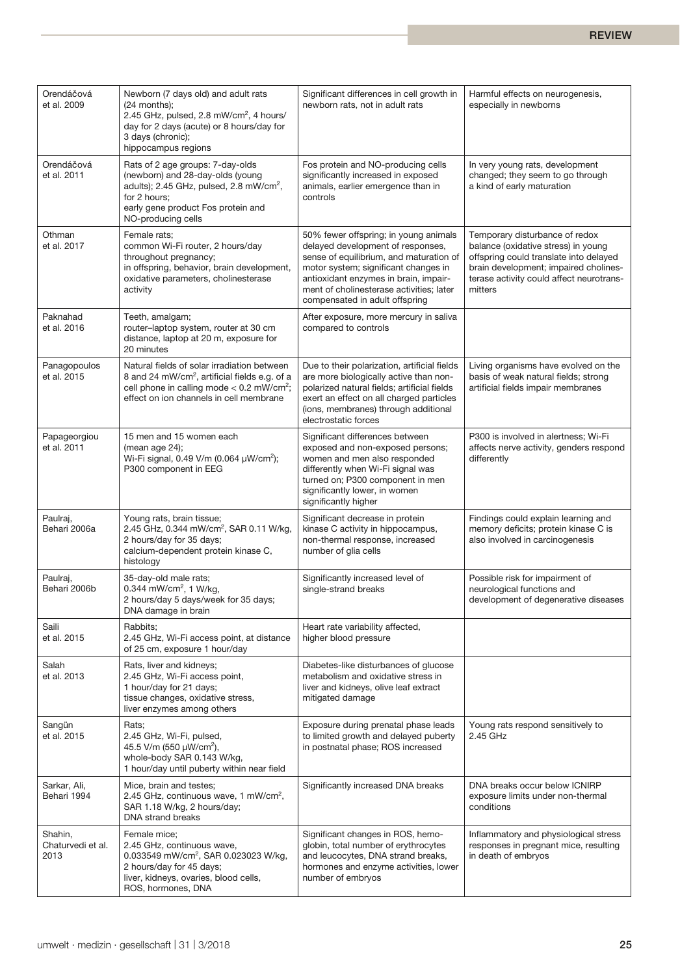| Orendáčová<br>et al. 2009            | Newborn (7 days old) and adult rats<br>$(24$ months);<br>2.45 GHz, pulsed, 2.8 mW/cm <sup>2</sup> , 4 hours/<br>day for 2 days (acute) or 8 hours/day for<br>3 days (chronic);<br>hippocampus regions          | Significant differences in cell growth in<br>newborn rats, not in adult rats                                                                                                                                                                                                         | Harmful effects on neurogenesis,<br>especially in newborns                                                                                                                                                      |
|--------------------------------------|----------------------------------------------------------------------------------------------------------------------------------------------------------------------------------------------------------------|--------------------------------------------------------------------------------------------------------------------------------------------------------------------------------------------------------------------------------------------------------------------------------------|-----------------------------------------------------------------------------------------------------------------------------------------------------------------------------------------------------------------|
| Orendáčová<br>et al. 2011            | Rats of 2 age groups: 7-day-olds<br>(newborn) and 28-day-olds (young<br>adults); 2.45 GHz, pulsed, 2.8 mW/cm <sup>2</sup> ,<br>for 2 hours;<br>early gene product Fos protein and<br>NO-producing cells        | Fos protein and NO-producing cells<br>significantly increased in exposed<br>animals, earlier emergence than in<br>controls                                                                                                                                                           | In very young rats, development<br>changed; they seem to go through<br>a kind of early maturation                                                                                                               |
| Othman<br>et al. 2017                | Female rats;<br>common Wi-Fi router, 2 hours/day<br>throughout pregnancy;<br>in offspring, behavior, brain development,<br>oxidative parameters, cholinesterase<br>activity                                    | 50% fewer offspring; in young animals<br>delayed development of responses,<br>sense of equilibrium, and maturation of<br>motor system; significant changes in<br>antioxidant enzymes in brain, impair-<br>ment of cholinesterase activities; later<br>compensated in adult offspring | Temporary disturbance of redox<br>balance (oxidative stress) in young<br>offspring could translate into delayed<br>brain development; impaired cholines-<br>terase activity could affect neurotrans-<br>mitters |
| Paknahad<br>et al. 2016              | Teeth, amalgam;<br>router-laptop system, router at 30 cm<br>distance, laptop at 20 m, exposure for<br>20 minutes                                                                                               | After exposure, more mercury in saliva<br>compared to controls                                                                                                                                                                                                                       |                                                                                                                                                                                                                 |
| Panagopoulos<br>et al. 2015          | Natural fields of solar irradiation between<br>8 and 24 mW/cm <sup>2</sup> , artificial fields e.g. of a<br>cell phone in calling mode $< 0.2$ mW/cm <sup>2</sup> ;<br>effect on ion channels in cell membrane | Due to their polarization, artificial fields<br>are more biologically active than non-<br>polarized natural fields; artificial fields<br>exert an effect on all charged particles<br>(ions, membranes) through additional<br>electrostatic forces                                    | Living organisms have evolved on the<br>basis of weak natural fields; strong<br>artificial fields impair membranes                                                                                              |
| Papageorgiou<br>et al. 2011          | 15 men and 15 women each<br>(mean age 24);<br>Wi-Fi signal, 0.49 V/m (0.064 µW/cm <sup>2</sup> );<br>P300 component in EEG                                                                                     | Significant differences between<br>exposed and non-exposed persons;<br>women and men also responded<br>differently when Wi-Fi signal was<br>turned on; P300 component in men<br>significantly lower, in women<br>significantly higher                                                | P300 is involved in alertness; Wi-Fi<br>affects nerve activity, genders respond<br>differently                                                                                                                  |
| Paulraj,<br>Behari 2006a             | Young rats, brain tissue;<br>2.45 GHz, 0.344 mW/cm <sup>2</sup> , SAR 0.11 W/kg,<br>2 hours/day for 35 days;<br>calcium-dependent protein kinase C,<br>histology                                               | Significant decrease in protein<br>kinase C activity in hippocampus,<br>non-thermal response, increased<br>number of glia cells                                                                                                                                                      | Findings could explain learning and<br>memory deficits; protein kinase C is<br>also involved in carcinogenesis                                                                                                  |
| Paulraj,<br>Behari 2006b             | 35-day-old male rats;<br>0.344 mW/cm <sup>2</sup> , 1 W/kg,<br>2 hours/day 5 days/week for 35 days;<br>DNA damage in brain                                                                                     | Significantly increased level of<br>single-strand breaks                                                                                                                                                                                                                             | Possible risk for impairment of<br>neurological functions and<br>development of degenerative diseases                                                                                                           |
| Saili<br>et al. 2015                 | Rabbits;<br>2.45 GHz, Wi-Fi access point, at distance<br>of 25 cm, exposure 1 hour/day                                                                                                                         | Heart rate variability affected,<br>higher blood pressure                                                                                                                                                                                                                            |                                                                                                                                                                                                                 |
| Salah<br>et al. 2013                 | Rats, liver and kidneys;<br>2.45 GHz, Wi-Fi access point,<br>1 hour/day for 21 days;<br>tissue changes, oxidative stress,<br>liver enzymes among others                                                        | Diabetes-like disturbances of glucose<br>metabolism and oxidative stress in<br>liver and kidneys, olive leaf extract<br>mitigated damage                                                                                                                                             |                                                                                                                                                                                                                 |
| Sangün<br>et al. 2015                | Rats:<br>2.45 GHz, Wi-Fi, pulsed,<br>45.5 V/m (550 µW/cm <sup>2</sup> ),<br>whole-body SAR 0.143 W/kg,<br>1 hour/day until puberty within near field                                                           | Exposure during prenatal phase leads<br>to limited growth and delayed puberty<br>in postnatal phase; ROS increased                                                                                                                                                                   | Young rats respond sensitively to<br>2.45 GHz                                                                                                                                                                   |
| Sarkar, Ali,<br>Behari 1994          | Mice, brain and testes;<br>2.45 GHz, continuous wave, 1 mW/cm <sup>2</sup> ,<br>SAR 1.18 W/kg, 2 hours/day;<br><b>DNA</b> strand breaks                                                                        | Significantly increased DNA breaks                                                                                                                                                                                                                                                   | DNA breaks occur below ICNIRP<br>exposure limits under non-thermal<br>conditions                                                                                                                                |
| Shahin,<br>Chaturvedi et al.<br>2013 | Female mice;<br>2.45 GHz, continuous wave,<br>0.033549 mW/cm <sup>2</sup> , SAR 0.023023 W/kg,<br>2 hours/day for 45 days;<br>liver, kidneys, ovaries, blood cells,<br>ROS, hormones, DNA                      | Significant changes in ROS, hemo-<br>globin, total number of erythrocytes<br>and leucocytes, DNA strand breaks,<br>hormones and enzyme activities, lower<br>number of embryos                                                                                                        | Inflammatory and physiological stress<br>responses in pregnant mice, resulting<br>in death of embryos                                                                                                           |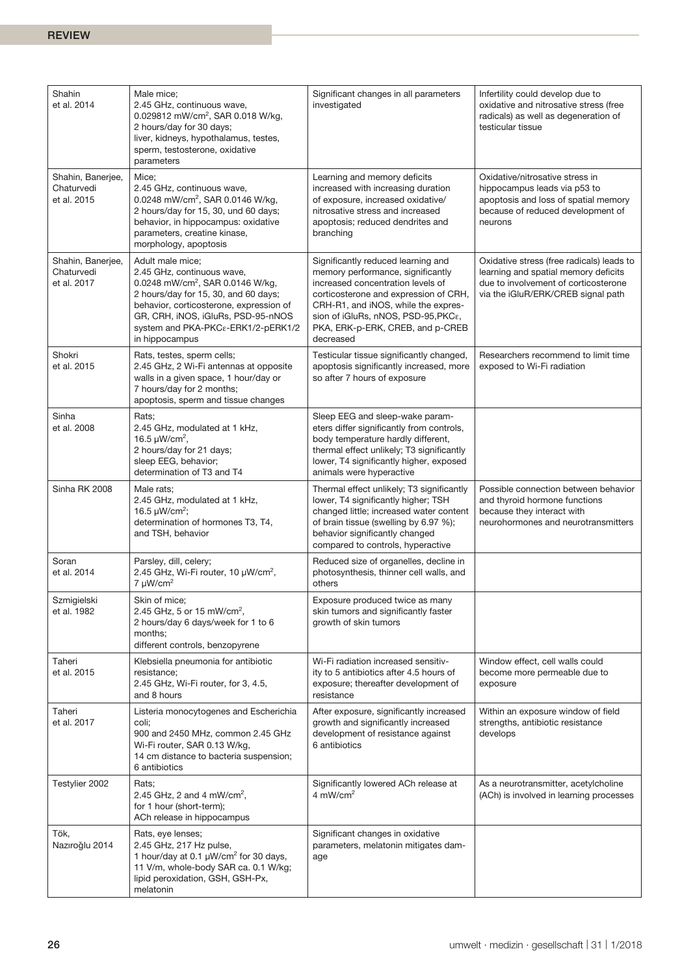| Shahin<br>et al. 2014                          | Male mice;<br>2.45 GHz, continuous wave,<br>0.029812 mW/cm <sup>2</sup> , SAR 0.018 W/kg,<br>2 hours/day for 30 days;<br>liver, kidneys, hypothalamus, testes,<br>sperm, testosterone, oxidative<br>parameters                                                                  | Significant changes in all parameters<br>investigated                                                                                                                                                                                                                                | Infertility could develop due to<br>oxidative and nitrosative stress (free<br>radicals) as well as degeneration of<br>testicular tissue                         |
|------------------------------------------------|---------------------------------------------------------------------------------------------------------------------------------------------------------------------------------------------------------------------------------------------------------------------------------|--------------------------------------------------------------------------------------------------------------------------------------------------------------------------------------------------------------------------------------------------------------------------------------|-----------------------------------------------------------------------------------------------------------------------------------------------------------------|
| Shahin, Banerjee,<br>Chaturvedi<br>et al. 2015 | Mice;<br>2.45 GHz, continuous wave,<br>0.0248 mW/cm <sup>2</sup> , SAR 0.0146 W/kg,<br>2 hours/day for 15, 30, und 60 days;<br>behavior, in hippocampus: oxidative<br>parameters, creatine kinase,<br>morphology, apoptosis                                                     | Learning and memory deficits<br>increased with increasing duration<br>of exposure, increased oxidative/<br>nitrosative stress and increased<br>apoptosis; reduced dendrites and<br>branching                                                                                         | Oxidative/nitrosative stress in<br>hippocampus leads via p53 to<br>apoptosis and loss of spatial memory<br>because of reduced development of<br>neurons         |
| Shahin, Banerjee,<br>Chaturvedi<br>et al. 2017 | Adult male mice;<br>2.45 GHz, continuous wave,<br>0.0248 mW/cm <sup>2</sup> , SAR 0.0146 W/kg,<br>2 hours/day for 15, 30, and 60 days;<br>behavior, corticosterone, expression of<br>GR, CRH, iNOS, iGluRs, PSD-95-nNOS<br>system and PKA-PKCε-ERK1/2-pERK1/2<br>in hippocampus | Significantly reduced learning and<br>memory performance, significantly<br>increased concentration levels of<br>corticosterone and expression of CRH,<br>CRH-R1, and iNOS, while the expres-<br>sion of iGluRs, nNOS, PSD-95, PKCε,<br>PKA, ERK-p-ERK, CREB, and p-CREB<br>decreased | Oxidative stress (free radicals) leads to<br>learning and spatial memory deficits<br>due to involvement of corticosterone<br>via the iGluR/ERK/CREB signal path |
| Shokri<br>et al. 2015                          | Rats, testes, sperm cells;<br>2.45 GHz, 2 Wi-Fi antennas at opposite<br>walls in a given space, 1 hour/day or<br>7 hours/day for 2 months;<br>apoptosis, sperm and tissue changes                                                                                               | Testicular tissue significantly changed,<br>apoptosis significantly increased, more<br>so after 7 hours of exposure                                                                                                                                                                  | Researchers recommend to limit time<br>exposed to Wi-Fi radiation                                                                                               |
| Sinha<br>et al. 2008                           | Rats;<br>2.45 GHz, modulated at 1 kHz,<br>16.5 $\mu$ W/cm <sup>2</sup> ,<br>2 hours/day for 21 days;<br>sleep EEG, behavior;<br>determination of T3 and T4                                                                                                                      | Sleep EEG and sleep-wake param-<br>eters differ significantly from controls,<br>body temperature hardly different,<br>thermal effect unlikely; T3 significantly<br>lower, T4 significantly higher, exposed<br>animals were hyperactive                                               |                                                                                                                                                                 |
| Sinha RK 2008                                  | Male rats;<br>2.45 GHz, modulated at 1 kHz,<br>16.5 $\mu$ W/cm <sup>2</sup> ;<br>determination of hormones T3, T4,<br>and TSH, behavior                                                                                                                                         | Thermal effect unlikely; T3 significantly<br>lower, T4 significantly higher; TSH<br>changed little; increased water content<br>of brain tissue (swelling by 6.97 %);<br>behavior significantly changed<br>compared to controls, hyperactive                                          | Possible connection between behavior<br>and thyroid hormone functions<br>because they interact with<br>neurohormones and neurotransmitters                      |
| Soran<br>et al. 2014                           | Parsley, dill, celery;<br>2.45 GHz, Wi-Fi router, 10 µW/cm <sup>2</sup> ,<br>$7 \mu W/cm^2$                                                                                                                                                                                     | Reduced size of organelles, decline in<br>photosynthesis, thinner cell walls, and<br>others                                                                                                                                                                                          |                                                                                                                                                                 |
| Szmigielski<br>et al. 1982                     | Skin of mice;<br>2.45 GHz, 5 or 15 mW/cm <sup>2</sup> ,<br>2 hours/day 6 days/week for 1 to 6<br>months:<br>different controls, benzopyrene                                                                                                                                     | Exposure produced twice as many<br>skin tumors and significantly faster<br>growth of skin tumors                                                                                                                                                                                     |                                                                                                                                                                 |
| Taheri<br>et al. 2015                          | Klebsiella pneumonia for antibiotic<br>resistance;<br>2.45 GHz, Wi-Fi router, for 3, 4.5,<br>and 8 hours                                                                                                                                                                        | Wi-Fi radiation increased sensitiv-<br>ity to 5 antibiotics after 4.5 hours of<br>exposure; thereafter development of<br>resistance                                                                                                                                                  | Window effect, cell walls could<br>become more permeable due to<br>exposure                                                                                     |
| Taheri<br>et al. 2017                          | Listeria monocytogenes and Escherichia<br>coli;<br>900 and 2450 MHz, common 2.45 GHz<br>Wi-Fi router, SAR 0.13 W/kg,<br>14 cm distance to bacteria suspension;<br>6 antibiotics                                                                                                 | After exposure, significantly increased<br>growth and significantly increased<br>development of resistance against<br>6 antibiotics                                                                                                                                                  | Within an exposure window of field<br>strengths, antibiotic resistance<br>develops                                                                              |
| Testylier 2002                                 | Rats;<br>2.45 GHz, 2 and 4 mW/cm <sup>2</sup> ,<br>for 1 hour (short-term);<br>ACh release in hippocampus                                                                                                                                                                       | Significantly lowered ACh release at<br>4 mW/cm <sup>2</sup>                                                                                                                                                                                                                         | As a neurotransmitter, acetylcholine<br>(ACh) is involved in learning processes                                                                                 |
| Tök,<br>Nazıroğlu 2014                         | Rats, eye lenses;<br>2.45 GHz, 217 Hz pulse,<br>1 hour/day at 0.1 $\mu$ W/cm <sup>2</sup> for 30 days,<br>11 V/m, whole-body SAR ca. 0.1 W/kg;<br>lipid peroxidation, GSH, GSH-Px,<br>melatonin                                                                                 | Significant changes in oxidative<br>parameters, melatonin mitigates dam-<br>age                                                                                                                                                                                                      |                                                                                                                                                                 |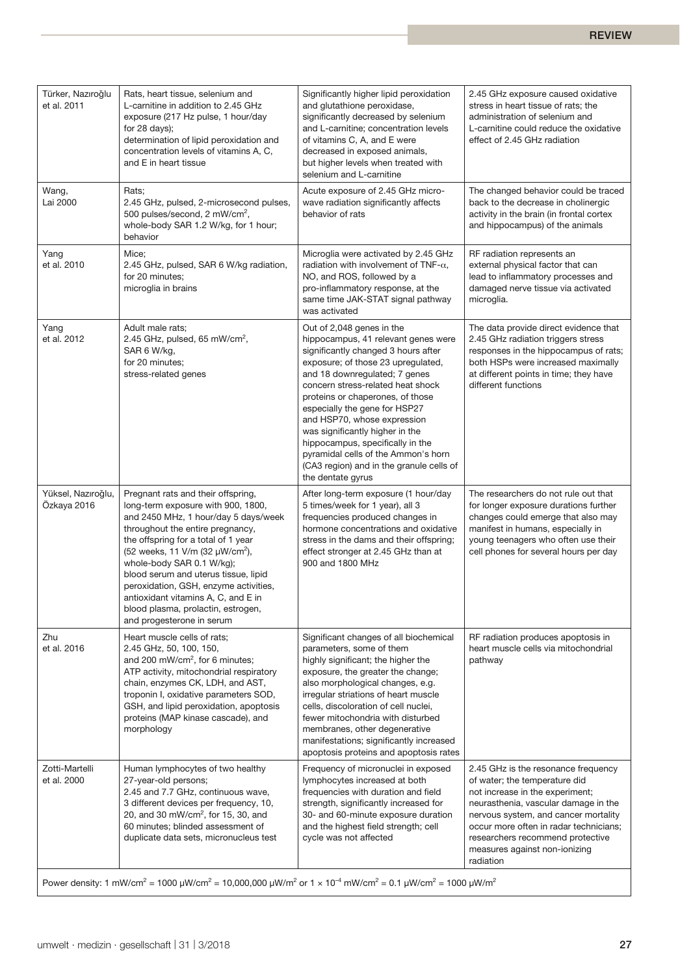| Türker, Nazıroğlu<br>et al. 2011  | Rats, heart tissue, selenium and<br>L-carnitine in addition to 2.45 GHz<br>exposure (217 Hz pulse, 1 hour/day<br>for $28$ days);<br>determination of lipid peroxidation and<br>concentration levels of vitamins A, C,<br>and E in heart tissue                                                                                                                                                                                                                     | Significantly higher lipid peroxidation<br>and glutathione peroxidase,<br>significantly decreased by selenium<br>and L-carnitine; concentration levels<br>of vitamins C, A, and E were<br>decreased in exposed animals,<br>but higher levels when treated with<br>selenium and L-carnitine                                                                                                                                                                                                             | 2.45 GHz exposure caused oxidative<br>stress in heart tissue of rats; the<br>administration of selenium and<br>L-carnitine could reduce the oxidative<br>effect of 2.45 GHz radiation                                                                                                                               |
|-----------------------------------|--------------------------------------------------------------------------------------------------------------------------------------------------------------------------------------------------------------------------------------------------------------------------------------------------------------------------------------------------------------------------------------------------------------------------------------------------------------------|--------------------------------------------------------------------------------------------------------------------------------------------------------------------------------------------------------------------------------------------------------------------------------------------------------------------------------------------------------------------------------------------------------------------------------------------------------------------------------------------------------|---------------------------------------------------------------------------------------------------------------------------------------------------------------------------------------------------------------------------------------------------------------------------------------------------------------------|
| Wang,<br>Lai 2000                 | Rats;<br>2.45 GHz, pulsed, 2-microsecond pulses,<br>500 pulses/second, 2 mW/cm <sup>2</sup> ,<br>whole-body SAR 1.2 W/kg, for 1 hour;<br>behavior                                                                                                                                                                                                                                                                                                                  | Acute exposure of 2.45 GHz micro-<br>wave radiation significantly affects<br>behavior of rats                                                                                                                                                                                                                                                                                                                                                                                                          | The changed behavior could be traced<br>back to the decrease in cholinergic<br>activity in the brain (in frontal cortex<br>and hippocampus) of the animals                                                                                                                                                          |
| Yang<br>et al. 2010               | Mice;<br>2.45 GHz, pulsed, SAR 6 W/kg radiation,<br>for 20 minutes;<br>microglia in brains                                                                                                                                                                                                                                                                                                                                                                         | Microglia were activated by 2.45 GHz<br>radiation with involvement of TNF- $\alpha$ ,<br>NO, and ROS, followed by a<br>pro-inflammatory response, at the<br>same time JAK-STAT signal pathway<br>was activated                                                                                                                                                                                                                                                                                         | RF radiation represents an<br>external physical factor that can<br>lead to inflammatory processes and<br>damaged nerve tissue via activated<br>microglia.                                                                                                                                                           |
| Yang<br>et al. 2012               | Adult male rats:<br>2.45 GHz, pulsed, 65 mW/cm <sup>2</sup> ,<br>SAR 6 W/kg,<br>for 20 minutes;<br>stress-related genes                                                                                                                                                                                                                                                                                                                                            | Out of 2,048 genes in the<br>hippocampus, 41 relevant genes were<br>significantly changed 3 hours after<br>exposure; of those 23 upregulated,<br>and 18 downregulated; 7 genes<br>concern stress-related heat shock<br>proteins or chaperones, of those<br>especially the gene for HSP27<br>and HSP70, whose expression<br>was significantly higher in the<br>hippocampus, specifically in the<br>pyramidal cells of the Ammon's horn<br>(CA3 region) and in the granule cells of<br>the dentate gyrus | The data provide direct evidence that<br>2.45 GHz radiation triggers stress<br>responses in the hippocampus of rats;<br>both HSPs were increased maximally<br>at different points in time; they have<br>different functions                                                                                         |
| Yüksel, Nazıroğlu,<br>Özkaya 2016 | Pregnant rats and their offspring,<br>long-term exposure with 900, 1800,<br>and 2450 MHz, 1 hour/day 5 days/week<br>throughout the entire pregnancy,<br>the offspring for a total of 1 year<br>(52 weeks, 11 V/m (32 µW/cm <sup>2</sup> ),<br>whole-body SAR 0.1 W/kg);<br>blood serum and uterus tissue, lipid<br>peroxidation, GSH, enzyme activities,<br>antioxidant vitamins A, C, and E in<br>blood plasma, prolactin, estrogen,<br>and progesterone in serum | After long-term exposure (1 hour/day<br>5 times/week for 1 year), all 3<br>frequencies produced changes in<br>hormone concentrations and oxidative<br>stress in the dams and their offspring;<br>effect stronger at 2.45 GHz than at<br>900 and 1800 MHz                                                                                                                                                                                                                                               | The researchers do not rule out that<br>for longer exposure durations further<br>changes could emerge that also may<br>manifest in humans, especially in<br>young teenagers who often use their<br>cell phones for several hours per day                                                                            |
| Zhu<br>et al. 2016                | Heart muscle cells of rats;<br>2.45 GHz, 50, 100, 150,<br>and 200 mW/cm <sup>2</sup> , for 6 minutes;<br>ATP activity, mitochondrial respiratory<br>chain, enzymes CK, LDH, and AST,<br>troponin I, oxidative parameters SOD,<br>GSH, and lipid peroxidation, apoptosis<br>proteins (MAP kinase cascade), and<br>morphology                                                                                                                                        | Significant changes of all biochemical<br>parameters, some of them<br>highly significant; the higher the<br>exposure, the greater the change;<br>also morphological changes, e.g.<br>irregular striations of heart muscle<br>cells, discoloration of cell nuclei,<br>fewer mitochondria with disturbed<br>membranes, other degenerative<br>manifestations; significantly increased<br>apoptosis proteins and apoptosis rates                                                                           | RF radiation produces apoptosis in<br>heart muscle cells via mitochondrial<br>pathway                                                                                                                                                                                                                               |
| Zotti-Martelli<br>et al. 2000     | Human lymphocytes of two healthy<br>27-year-old persons;<br>2.45 and 7.7 GHz, continuous wave,<br>3 different devices per frequency, 10,<br>20, and 30 mW/cm <sup>2</sup> , for 15, 30, and<br>60 minutes; blinded assessment of<br>duplicate data sets, micronucleus test                                                                                                                                                                                         | Frequency of micronuclei in exposed<br>lymphocytes increased at both<br>frequencies with duration and field<br>strength, significantly increased for<br>30- and 60-minute exposure duration<br>and the highest field strength; cell<br>cycle was not affected                                                                                                                                                                                                                                          | 2.45 GHz is the resonance frequency<br>of water; the temperature did<br>not increase in the experiment;<br>neurasthenia, vascular damage in the<br>nervous system, and cancer mortality<br>occur more often in radar technicians;<br>researchers recommend protective<br>measures against non-ionizing<br>radiation |
|                                   | Power density: 1 mW/cm <sup>2</sup> = 1000 µW/cm <sup>2</sup> = 10,000,000 µW/m <sup>2</sup> or 1 x 10 <sup>-4</sup> mW/cm <sup>2</sup> = 0.1 µW/cm <sup>2</sup> = 1000 µW/m <sup>2</sup>                                                                                                                                                                                                                                                                          |                                                                                                                                                                                                                                                                                                                                                                                                                                                                                                        |                                                                                                                                                                                                                                                                                                                     |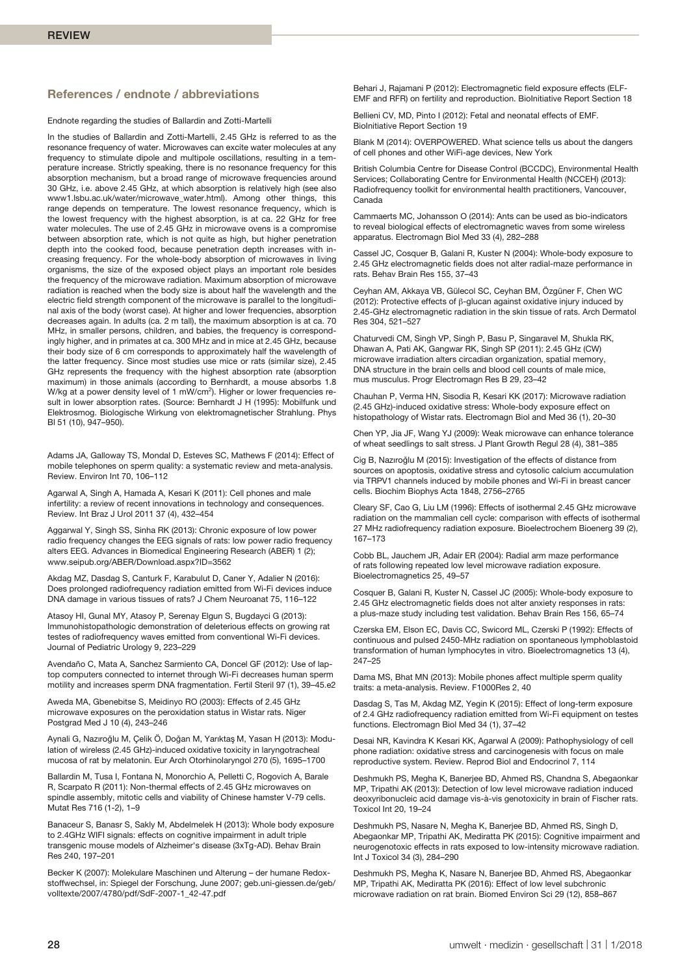# **References / endnote / abbreviations**

Endnote regarding the studies of Ballardin and Zotti-Martelli

In the studies of Ballardin and Zotti-Martelli, 2.45 GHz is referred to as the resonance frequency of water. Microwaves can excite water molecules at any frequency to stimulate dipole and multipole oscillations, resulting in a temperature increase. Strictly speaking, there is no resonance frequency for this absorption mechanism, but a broad range of microwave frequencies around 30 GHz, i.e. above 2.45 GHz, at which absorption is relatively high (see also www1.lsbu.ac.uk/water/microwave\_water.html). Among other things, this range depends on temperature. The lowest resonance frequency, which is the lowest frequency with the highest absorption, is at ca. 22 GHz for free water molecules. The use of 2.45 GHz in microwave ovens is a compromise between absorption rate, which is not quite as high, but higher penetration depth into the cooked food, because penetration depth increases with increasing frequency. For the whole-body absorption of microwaves in living organisms, the size of the exposed object plays an important role besides the frequency of the microwave radiation. Maximum absorption of microwave radiation is reached when the body size is about half the wavelength and the electric field strength component of the microwave is parallel to the longitudinal axis of the body (worst case). At higher and lower frequencies, absorption decreases again. In adults (ca. 2 m tall), the maximum absorption is at ca. 70 MHz, in smaller persons, children, and babies, the frequency is correspondingly higher, and in primates at ca. 300 MHz and in mice at 2.45 GHz, because their body size of 6 cm corresponds to approximately half the wavelength of the latter frequency. Since most studies use mice or rats (similar size), 2.45 GHz represents the frequency with the highest absorption rate (absorption maximum) in those animals (according to Bernhardt, a mouse absorbs 1.8 W/kg at a power density level of 1 mW/cm<sup>2</sup>). Higher or lower frequencies result in lower absorption rates. (Source: Bernhardt J H (1995): Mobilfunk und Elektrosmog. Biologische Wirkung von elektromagnetischer Strahlung. Phys Bl 51 (10), 947–950).

Adams JA, Galloway TS, Mondal D, Esteves SC, Mathews F (2014): Effect of mobile telephones on sperm quality: a systematic review and meta-analysis. Review. Environ Int 70, 106–112

Agarwal A, Singh A, Hamada A, Kesari K (2011): Cell phones and male infertility: a review of recent innovations in technology and consequences. Review. Int Braz J Urol 2011 37 (4), 432–454

Aggarwal Y, Singh SS, Sinha RK (2013): Chronic exposure of low power radio frequency changes the EEG signals of rats: low power radio frequency alters EEG. Advances in Biomedical Engineering Research (ABER) 1 (2); www.seipub.org/ABER/Download.aspx?ID=3562

Akdag MZ, Dasdag S, Canturk F, Karabulut D, Caner Y, Adalier N (2016): Does prolonged radiofrequency radiation emitted from Wi-Fi devices induce DNA damage in various tissues of rats? J Chem Neuroanat 75, 116–122

Atasoy HI, Gunal MY, Atasoy P, Serenay Elgun S, Bugdayci G (2013): Immunohistopathologic demonstration of deleterious effects on growing rat testes of radiofrequency waves emitted from conventional Wi-Fi devices. Journal of Pediatric Urology 9, 223–229

Avendaño C, Mata A, Sanchez Sarmiento CA, Doncel GF (2012): Use of laptop computers connected to internet through Wi-Fi decreases human sperm motility and increases sperm DNA fragmentation. Fertil Steril 97 (1), 39–45.e2

Aweda MA, Gbenebitse S, Meidinyo RO (2003): Effects of 2.45 GHz microwave exposures on the peroxidation status in Wistar rats. Niger Postgrad Med J 10 (4), 243–246

Aynali G, Nazıroğlu M, Çelik Ö, Doğan M, Yarıktaş M, Yasan H (2013): Modulation of wireless (2.45 GHz)-induced oxidative toxicity in laryngotracheal mucosa of rat by melatonin. Eur Arch Otorhinolaryngol 270 (5), 1695–1700

Ballardin M, Tusa I, Fontana N, Monorchio A, Pelletti C, Rogovich A, Barale R, Scarpato R (2011): Non-thermal effects of 2.45 GHz microwaves on spindle assembly, mitotic cells and viability of Chinese hamster V-79 cells. Mutat Res 716 (1-2), 1–9

Banaceur S, Banasr S, Sakly M, Abdelmelek H (2013): Whole body exposure to 2.4GHz WIFI signals: effects on cognitive impairment in adult triple transgenic mouse models of Alzheimer's disease (3xTg-AD). Behav Brain Res 240, 197–201

Becker K (2007): Molekulare Maschinen und Alterung – der humane Redoxstoffwechsel, in: Spiegel der Forschung, June 2007; geb.uni-giessen.de/geb/ volltexte/2007/4780/pdf/SdF-2007-1\_42-47.pdf

Behari J, Rajamani P (2012): Electromagnetic field exposure effects (ELF-EMF and RFR) on fertility and reproduction. BioInitiative Report Section 18

Bellieni CV, MD, Pinto I (2012): Fetal and neonatal effects of EMF. BioInitiative Report Section 19

Blank M (2014): OVERPOWERED. What science tells us about the dangers of cell phones and other WiFi-age devices, New York

British Columbia Centre for Disease Control (BCCDC), Environmental Health Services; Collaborating Centre for Environmental Health (NCCEH) (2013): Radiofrequency toolkit for environmental health practitioners, Vancouver, Canada

Cammaerts MC, Johansson O (2014): Ants can be used as bio-indicators to reveal biological effects of electromagnetic waves from some wireless apparatus. Electromagn Biol Med 33 (4), 282–288

Cassel JC, Cosquer B, Galani R, Kuster N (2004): Whole-body exposure to 2.45 GHz electromagnetic fields does not alter radial-maze performance in rats. Behav Brain Res 155, 37–43

Ceyhan AM, Akkaya VB, Gülecol SC, Ceyhan BM, Özgüner F, Chen WC (2012): Protective effects of β-glucan against oxidative injury induced by 2.45-GHz electromagnetic radiation in the skin tissue of rats. Arch Dermatol Res 304, 521–527

Chaturvedi CM, Singh VP, Singh P, Basu P, Singaravel M, Shukla RK, Dhawan A, Pati AK, Gangwar RK, Singh SP (2011): 2.45 GHz (CW) microwave irradiation alters circadian organization, spatial memory, DNA structure in the brain cells and blood cell counts of male mice, mus musculus. Progr Electromagn Res B 29, 23–42

Chauhan P, Verma HN, Sisodia R, Kesari KK (2017): Microwave radiation (2.45 GHz)-induced oxidative stress: Whole-body exposure effect on histopathology of Wistar rats. Electromagn Biol and Med 36 (1), 20–30

Chen YP, Jia JF, Wang YJ (2009): Weak microwave can enhance tolerance of wheat seedlings to salt stress. J Plant Growth Regul 28 (4), 381–385

Cig B, Nazıroğlu M (2015): Investigation of the effects of distance from sources on apoptosis, oxidative stress and cytosolic calcium accumulation via TRPV1 channels induced by mobile phones and Wi-Fi in breast cancer cells. Biochim Biophys Acta 1848, 2756–2765

Cleary SF, Cao G, Liu LM (1996): Effects of isothermal 2.45 GHz microwave radiation on the mammalian cell cycle: comparison with effects of isothermal 27 MHz radiofrequency radiation exposure. Bioelectrochem Bioenerg 39 (2), 167–173

Cobb BL, Jauchem JR, Adair ER (2004): Radial arm maze performance of rats following repeated low level microwave radiation exposure. Bioelectromagnetics 25, 49–57

Cosquer B, Galani R, Kuster N, Cassel JC (2005): Whole-body exposure to 2.45 GHz electromagnetic fields does not alter anxiety responses in rats: a plus-maze study including test validation. Behav Brain Res 156, 65–74

Czerska EM, Elson EC, Davis CC, Swicord ML, Czerski P (1992): Effects of continuous and pulsed 2450-MHz radiation on spontaneous lymphoblastoid transformation of human lymphocytes in vitro. Bioelectromagnetics 13 (4), 247–25

Dama MS, Bhat MN (2013): Mobile phones affect multiple sperm quality traits: a meta-analysis. Review. F1000Res 2, 40

Dasdag S, Tas M, Akdag MZ, Yegin K (2015): Effect of long-term exposure of 2.4 GHz radiofrequency radiation emitted from Wi-Fi equipment on testes functions. Electromagn Biol Med 34 (1), 37–42

Desai NR, Kavindra K Kesari KK, Agarwal A (2009): Pathophysiology of cell phone radiation: oxidative stress and carcinogenesis with focus on male reproductive system. Review. Reprod Biol and Endocrinol 7, 114

Deshmukh PS, Megha K, Banerjee BD, Ahmed RS, Chandna S, Abegaonkar MP, Tripathi AK (2013): Detection of low level microwave radiation induced deoxyribonucleic acid damage vis-à-vis genotoxicity in brain of Fischer rats. Toxicol Int 20, 19–24

Deshmukh PS, Nasare N, Megha K, Banerjee BD, Ahmed RS, Singh D, Abegaonkar MP, Tripathi AK, Mediratta PK (2015): Cognitive impairment and neurogenotoxic effects in rats exposed to low-intensity microwave radiation. Int J Toxicol 34 (3), 284–290

Deshmukh PS, Megha K, Nasare N, Banerjee BD, Ahmed RS, Abegaonkar MP, Tripathi AK, Mediratta PK (2016): Effect of low level subchronic microwave radiation on rat brain. Biomed Environ Sci 29 (12), 858–867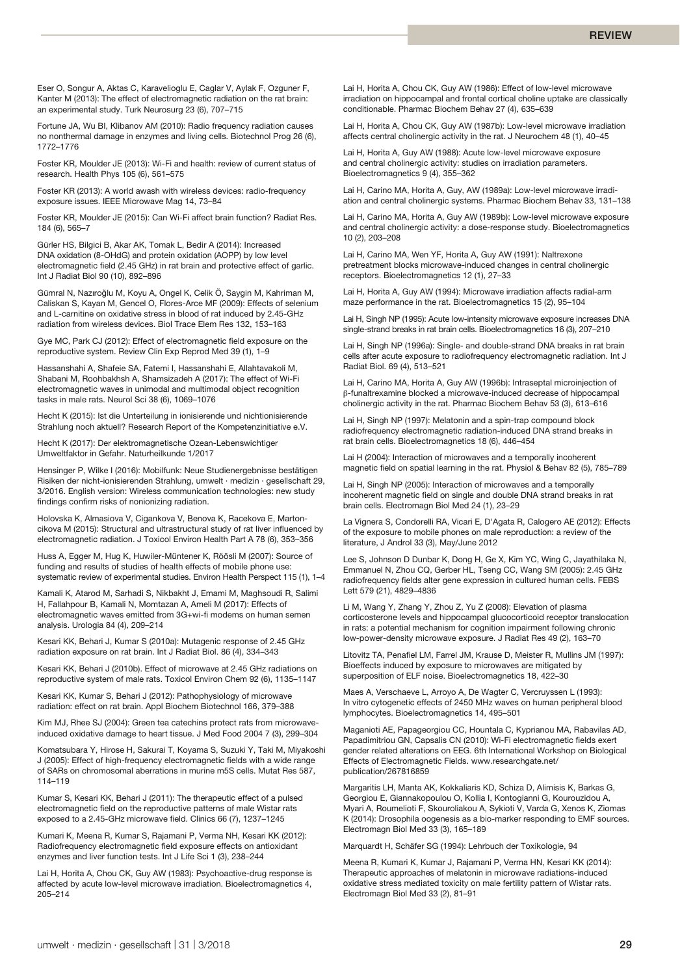Eser O, Songur A, Aktas C, Karavelioglu E, Caglar V, Aylak F, Ozguner F, Kanter M (2013): The effect of electromagnetic radiation on the rat brain: an experimental study. Turk Neurosurg 23 (6), 707–715

Fortune JA, Wu BI, Klibanov AM (2010): Radio frequency radiation causes no nonthermal damage in enzymes and living cells. Biotechnol Prog 26 (6), 1772–1776

Foster KR, Moulder JE (2013): Wi-Fi and health: review of current status of research. Health Phys 105 (6), 561–575

Foster KR (2013): A world awash with wireless devices: radio-frequency exposure issues. IEEE Microwave Mag 14, 73–84

Foster KR, Moulder JE (2015): Can Wi-Fi affect brain function? Radiat Res. 184 (6), 565–7

Gürler HS, Bilgici B, Akar AK, Tomak L, Bedir A (2014): Increased DNA oxidation (8-OHdG) and protein oxidation (AOPP) by low level electromagnetic field (2.45 GHz) in rat brain and protective effect of garlic. Int J Radiat Biol 90 (10), 892–896

Gümral N, Nazıroğlu M, Koyu A, Ongel K, Celik Ö, Saygin M, Kahriman M, Caliskan S, Kayan M, Gencel O, Flores-Arce MF (2009): Effects of selenium and L-carnitine on oxidative stress in blood of rat induced by 2.45-GHz radiation from wireless devices. Biol Trace Elem Res 132, 153–163

Gye MC, Park CJ (2012): Effect of electromagnetic field exposure on the reproductive system. Review Clin Exp Reprod Med 39 (1), 1–9

Hassanshahi A, Shafeie SA, Fatemi I, Hassanshahi E, Allahtavakoli M, Shabani M, Roohbakhsh A, Shamsizadeh A (2017): The effect of Wi-Fi electromagnetic waves in unimodal and multimodal object recognition tasks in male rats. Neurol Sci 38 (6), 1069–1076

Hecht K (2015): Ist die Unterteilung in ionisierende und nichtionisierende Strahlung noch aktuell? Research Report of the Kompetenzinitiative e.V.

Hecht K (2017): Der elektromagnetische Ozean-Lebenswichtiger Umweltfaktor in Gefahr. Naturheilkunde 1/2017

Hensinger P, Wilke I (2016): Mobilfunk: Neue Studienergebnisse bestätigen Risiken der nicht-ionisierenden Strahlung, umwelt · medizin · gesellschaft 29, 3/2016. English version: Wireless communication technologies: new study findings confirm risks of nonionizing radiation.

Holovska K, Almasiova V, Cigankova V, Benova K, Racekova E, Martoncikova M (2015): Structural and ultrastructural study of rat liver influenced by electromagnetic radiation. J Toxicol Environ Health Part A 78 (6), 353–356

Huss A, Egger M, Hug K, Huwiler-Müntener K, Röösli M (2007): Source of funding and results of studies of health effects of mobile phone use: systematic review of experimental studies. Environ Health Perspect 115 (1), 1–4

Kamali K, Atarod M, Sarhadi S, Nikbakht J, Emami M, Maghsoudi R, Salimi H, Fallahpour B, Kamali N, Momtazan A, Ameli M (2017): Effects of electromagnetic waves emitted from 3G+wi-fi modems on human semen analysis. Urologia 84 (4), 209–214

Kesari KK, Behari J, Kumar S (2010a): Mutagenic response of 2.45 GHz radiation exposure on rat brain. Int J Radiat Biol. 86 (4), 334–343

Kesari KK, Behari J (2010b). Effect of microwave at 2.45 GHz radiations on reproductive system of male rats. Toxicol Environ Chem 92 (6), 1135–1147

Kesari KK, Kumar S, Behari J (2012): Pathophysiology of microwave radiation: effect on rat brain. Appl Biochem Biotechnol 166, 379–388

Kim MJ, Rhee SJ (2004): Green tea catechins protect rats from microwaveinduced oxidative damage to heart tissue. J Med Food 2004 7 (3), 299–304

Komatsubara Y, Hirose H, Sakurai T, Koyama S, Suzuki Y, Taki M, Miyakoshi J (2005): Effect of high-frequency electromagnetic fields with a wide range of SARs on chromosomal aberrations in murine m5S cells. Mutat Res 587, 114–119

Kumar S, Kesari KK, Behari J (2011): The therapeutic effect of a pulsed electromagnetic field on the reproductive patterns of male Wistar rats exposed to a 2.45-GHz microwave field. Clinics 66 (7), 1237–1245

Kumari K, Meena R, Kumar S, Rajamani P, Verma NH, Kesari KK (2012): Radiofrequency electromagnetic field exposure effects on antioxidant enzymes and liver function tests. Int J Life Sci 1 (3), 238–244

Lai H, Horita A, Chou CK, Guy AW (1983): Psychoactive-drug response is affected by acute low-level microwave irradiation. Bioelectromagnetics 4, 205–214

Lai H, Horita A, Chou CK, Guy AW (1986): Effect of low-level microwave irradiation on hippocampal and frontal cortical choline uptake are classically conditionable. Pharmac Biochem Behav 27 (4), 635–639

Lai H, Horita A, Chou CK, Guy AW (1987b): Low-level microwave irradiation affects central cholinergic activity in the rat. J Neurochem 48 (1), 40–45

Lai H, Horita A, Guy AW (1988): Acute low-level microwave exposure and central cholinergic activity: studies on irradiation parameters. Bioelectromagnetics 9 (4), 355–362

Lai H, Carino MA, Horita A, Guy, AW (1989a): Low-level microwave irradiation and central cholinergic systems. Pharmac Biochem Behav 33, 131–138

Lai H, Carino MA, Horita A, Guy AW (1989b): Low-level microwave exposure and central cholinergic activity: a dose-response study. Bioelectromagnetics 10 (2), 203–208

Lai H, Carino MA, Wen YF, Horita A, Guy AW (1991): Naltrexone pretreatment blocks microwave-induced changes in central cholinergic receptors. Bioelectromagnetics 12 (1), 27–33

Lai H, Horita A, Guy AW (1994): Microwave irradiation affects radial-arm maze performance in the rat. Bioelectromagnetics 15 (2), 95–104

Lai H, Singh NP (1995): Acute low-intensity microwave exposure increases DNA single-strand breaks in rat brain cells. Bioelectromagnetics 16 (3), 207–210

Lai H, Singh NP (1996a): Single- and double-strand DNA breaks in rat brain cells after acute exposure to radiofrequency electromagnetic radiation. Int J Radiat Biol. 69 (4), 513–521

Lai H, Carino MA, Horita A, Guy AW (1996b): Intraseptal microinjection of β-funaltrexamine blocked a microwave-induced decrease of hippocampal cholinergic activity in the rat. Pharmac Biochem Behav 53 (3), 613–616

Lai H, Singh NP (1997): Melatonin and a spin-trap compound block radiofrequency electromagnetic radiation-induced DNA strand breaks in rat brain cells. Bioelectromagnetics 18 (6), 446–454

Lai H (2004): Interaction of microwaves and a temporally incoherent magnetic field on spatial learning in the rat. Physiol & Behav 82 (5), 785–789

Lai H, Singh NP (2005): Interaction of microwaves and a temporally incoherent magnetic field on single and double DNA strand breaks in rat brain cells. Electromagn Biol Med 24 (1), 23–29

La Vignera S, Condorelli RA, Vicari E, D'Agata R, Calogero AE (2012): Effects of the exposure to mobile phones on male reproduction: a review of the literature, J Androl 33 (3), May/June 2012

Lee S, Johnson D Dunbar K, Dong H, Ge X, Kim YC, Wing C, Jayathilaka N, Emmanuel N, Zhou CQ, Gerber HL, Tseng CC, Wang SM (2005): 2.45 GHz radiofrequency fields alter gene expression in cultured human cells. FEBS Lett 579 (21), 4829–4836

Li M, Wang Y, Zhang Y, Zhou Z, Yu Z (2008): Elevation of plasma corticosterone levels and hippocampal glucocorticoid receptor translocation in rats: a potential mechanism for cognition impairment following chronic low-power-density microwave exposure. J Radiat Res 49 (2), 163–70

Litovitz TA, Penafiel LM, Farrel JM, Krause D, Meister R, Mullins JM (1997): Bioeffects induced by exposure to microwaves are mitigated by superposition of ELF noise. Bioelectromagnetics 18, 422–30

Maes A, Verschaeve L, Arroyo A, De Wagter C, Vercruyssen L (1993): In vitro cytogenetic effects of 2450 MHz waves on human peripheral blood lymphocytes. Bioelectromagnetics 14, 495–501

Maganioti AE, Papageorgiou CC, Hountala C, Kyprianou MA, Rabavilas AD, Papadimitriou GN, Capsalis CN (2010): Wi-Fi electromagnetic fields exert gender related alterations on EEG. 6th International Workshop on Biological Effects of Electromagnetic Fields. www.researchgate.net/ publication/267816859

Margaritis LH, Manta AK, Kokkaliaris KD, Schiza D, Alimisis K, Barkas G, Georgiou E, Giannakopoulou O, Kollia I, Kontogianni G, Kourouzidou A, Myari A, Roumelioti F, Skouroliakou A, Sykioti V, Varda G, Xenos K, Ziomas K (2014): Drosophila oogenesis as a bio-marker responding to EMF sources. Electromagn Biol Med 33 (3), 165–189

Marquardt H, Schäfer SG (1994): Lehrbuch der Toxikologie, 94

Meena R, Kumari K, Kumar J, Rajamani P, Verma HN, Kesari KK (2014): Therapeutic approaches of melatonin in microwave radiations-induced oxidative stress mediated toxicity on male fertility pattern of Wistar rats. Electromagn Biol Med 33 (2), 81–91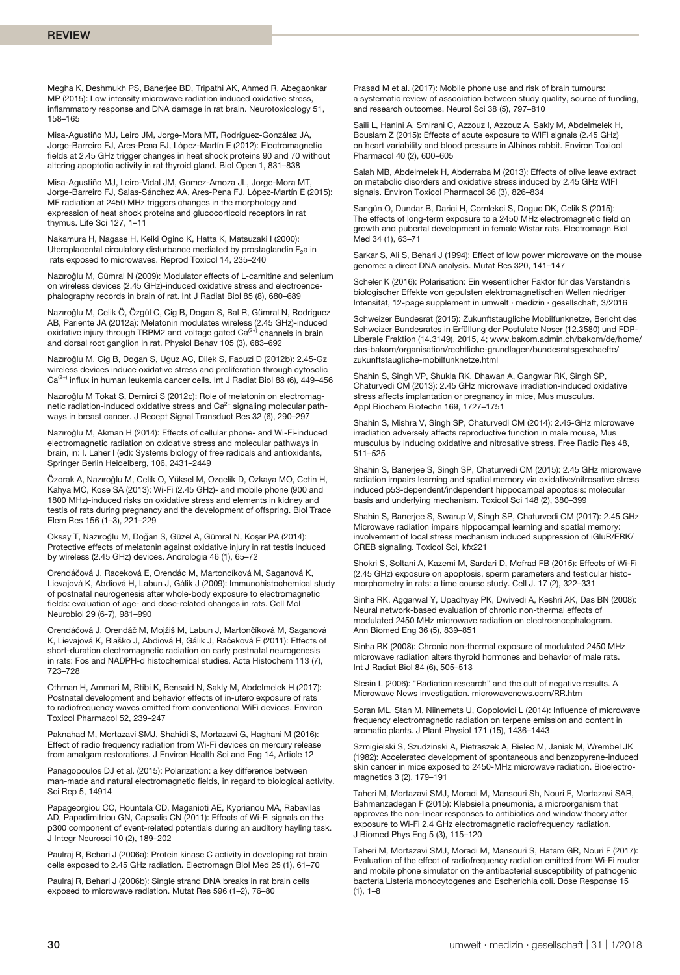Megha K, Deshmukh PS, Banerjee BD, Tripathi AK, Ahmed R, Abegaonkar MP (2015): Low intensity microwave radiation induced oxidative stress, inflammatory response and DNA damage in rat brain. Neurotoxicology 51, 158–165

Misa-Agustiño MJ, Leiro JM, Jorge-Mora MT, Rodríguez-González JA, Jorge-Barreiro FJ, Ares-Pena FJ, López-Martín E (2012): Electromagnetic fields at 2.45 GHz trigger changes in heat shock proteins 90 and 70 without altering apoptotic activity in rat thyroid gland. Biol Open 1, 831–838

Misa-Agustiño MJ, Leiro-Vidal JM, Gomez-Amoza JL, Jorge-Mora MT, Jorge-Barreiro FJ, Salas-Sánchez AA, Ares-Pena FJ, López-Martín E (2015): MF radiation at 2450 MHz triggers changes in the morphology and expression of heat shock proteins and glucocorticoid receptors in rat thymus. Life Sci 127, 1–11

Nakamura H, Nagase H, Keiki Ogino K, Hatta K, Matsuzaki I (2000): Uteroplacental circulatory disturbance mediated by prostaglandin F<sub>2</sub>a in rats exposed to microwaves. Reprod Toxicol 14, 235–240

Nazıroğlu M, Gümral N (2009): Modulator effects of L-carnitine and selenium on wireless devices (2.45 GHz)-induced oxidative stress and electroencephalography records in brain of rat. Int J Radiat Biol 85 (8), 680–689

Nazıroğlu M, Celik Ö, Özgül C, Cig B, Dogan S, Bal R, Gümral N, Rodriguez AB, Pariente JA (2012a): Melatonin modulates wireless (2.45 GHz)-induced<br>oxidative injury through TRPM2 and voltage gated Ca<sup>(2+)</sup> channels in brain and dorsal root ganglion in rat. Physiol Behav 105 (3), 683–692

Nazıroğlu M, Cig B, Dogan S, Uguz AC, Dilek S, Faouzi D (2012b): 2.45-Gz wireless devices induce oxidative stress and proliferation through cytosolic  $Ca^{(2+)}$  influx in human leukemia cancer cells. Int J Radiat Biol 88 (6), 449-456

Nazıroğlu M Tokat S, Demirci S (2012c): Role of melatonin on electromagnetic radiation-induced oxidative stress and Ca<sup>2+</sup> signaling molecular pathways in breast cancer. J Recept Signal Transduct Res 32 (6), 290–297

Nazıroğlu M, Akman H (2014): Effects of cellular phone- and Wi-Fi-induced electromagnetic radiation on oxidative stress and molecular pathways in brain, in: I. Laher I (ed): Systems biology of free radicals and antioxidants, Springer Berlin Heidelberg, 106, 2431–2449

Özorak A, Nazıroğlu M, Celik O, Yüksel M, Ozcelik D, Ozkaya MO, Cetin H, Kahya MC, Kose SA (2013): Wi-Fi (2.45 GHz)- and mobile phone (900 and 1800 MHz)-induced risks on oxidative stress and elements in kidney and testis of rats during pregnancy and the development of offspring. Biol Trace Elem Res 156 (1–3), 221–229

Oksay T, Nazıroğlu M, Doğan S, Güzel A, Gümral N, Koşar PA (2014): Protective effects of melatonin against oxidative injury in rat testis induced by wireless (2.45 GHz) devices. Andrologia 46 (1), 65–72

Orendáčová J, Raceková E, Orendác M, Martoncíková M, Saganová K, Lievajová K, Abdiová H, Labun J, Gálik J (2009): Immunohistochemical study of postnatal neurogenesis after whole-body exposure to electromagnetic fields: evaluation of age- and dose-related changes in rats. Cell Mol Neurobiol 29 (6-7), 981–990

Orendáčová J, Orendáč M, Mojžiš M, Labun J, Martončíková M, Saganová K, Lievajová K, Blaško J, Abdiová H, Gálik J, Račeková E (2011): Effects of short-duration electromagnetic radiation on early postnatal neurogenesis in rats: Fos and NADPH-d histochemical studies. Acta Histochem 113 (7), 723–728

Othman H, Ammari M, Rtibi K, Bensaid N, Sakly M, Abdelmelek H (2017): Postnatal development and behavior effects of in-utero exposure of rats to radiofrequency waves emitted from conventional WiFi devices. Environ Toxicol Pharmacol 52, 239–247

Paknahad M, Mortazavi SMJ, Shahidi S, Mortazavi G, Haghani M (2016): Effect of radio frequency radiation from Wi-Fi devices on mercury release from amalgam restorations. J Environ Health Sci and Eng 14, Article 12

Panagopoulos DJ et al. (2015): Polarization: a key difference between man-made and natural electromagnetic fields, in regard to biological activity. Sci Rep 5, 14914

Papageorgiou CC, Hountala CD, Maganioti AE, Kyprianou MA, Rabavilas AD, Papadimitriou GN, Capsalis CN (2011): Effects of Wi-Fi signals on the p300 component of event-related potentials during an auditory hayling task. J Integr Neurosci 10 (2), 189–202

Paulraj R, Behari J (2006a): Protein kinase C activity in developing rat brain cells exposed to 2.45 GHz radiation. Electromagn Biol Med 25 (1), 61–70

Paulraj R, Behari J (2006b): Single strand DNA breaks in rat brain cells exposed to microwave radiation. Mutat Res 596 (1–2), 76–80

Prasad M et al. (2017): Mobile phone use and risk of brain tumours: a systematic review of association between study quality, source of funding, and research outcomes. Neurol Sci 38 (5), 797–810

Saili L, Hanini A, Smirani C, Azzouz I, Azzouz A, Sakly M, Abdelmelek H, Bouslam Z (2015): Effects of acute exposure to WIFI signals (2.45 GHz) on heart variability and blood pressure in Albinos rabbit. Environ Toxicol Pharmacol 40 (2), 600–605

Salah MB, Abdelmelek H, Abderraba M (2013): Effects of olive leave extract on metabolic disorders and oxidative stress induced by 2.45 GHz WIFI signals. Environ Toxicol Pharmacol 36 (3), 826–834

Sangün O, Dundar B, Darici H, Comlekci S, Doguc DK, Celik S (2015): The effects of long-term exposure to a 2450 MHz electromagnetic field on growth and pubertal development in female Wistar rats. Electromagn Biol Med 34 (1), 63–71

Sarkar S, Ali S, Behari J (1994): Effect of low power microwave on the mouse genome: a direct DNA analysis. Mutat Res 320, 141–147

Scheler K (2016): Polarisation: Ein wesentlicher Faktor für das Verständnis biologischer Effekte von gepulsten elektromagnetischen Wellen niedriger Intensität, 12-page supplement in umwelt · medizin · gesellschaft, 3/2016

Schweizer Bundesrat (2015): Zukunftstaugliche Mobilfunknetze, Bericht des Schweizer Bundesrates in Erfüllung der Postulate Noser (12.3580) und FDP-Liberale Fraktion (14.3149), 2015, 4; www.bakom.admin.ch/bakom/de/home/ das-bakom/organisation/rechtliche-grundlagen/bundesratsgeschaefte/ zukunftstaugliche-mobilfunknetze.html

Shahin S, Singh VP, Shukla RK, Dhawan A, Gangwar RK, Singh SP, Chaturvedi CM (2013): 2.45 GHz microwave irradiation-induced oxidative stress affects implantation or pregnancy in mice, Mus musculus. Appl Biochem Biotechn 169, 1727–1751

Shahin S, Mishra V, Singh SP, Chaturvedi CM (2014): 2.45-GHz microwave irradiation adversely affects reproductive function in male mouse, Mus musculus by inducing oxidative and nitrosative stress. Free Radic Res 48, 511–525

Shahin S, Banerjee S, Singh SP, Chaturvedi CM (2015): 2.45 GHz microwave radiation impairs learning and spatial memory via oxidative/nitrosative stress induced p53-dependent/independent hippocampal apoptosis: molecular basis and underlying mechanism. Toxicol Sci 148 (2), 380–399

Shahin S, Banerjee S, Swarup V, Singh SP, Chaturvedi CM (2017): 2.45 GHz Microwave radiation impairs hippocampal learning and spatial memory: involvement of local stress mechanism induced suppression of iGluR/ERK/ CREB signaling. Toxicol Sci, kfx221

Shokri S, Soltani A, Kazemi M, Sardari D, Mofrad FB (2015): Effects of Wi-Fi (2.45 GHz) exposure on apoptosis, sperm parameters and testicular histomorphometry in rats: a time course study. Cell J. 17 (2), 322–331

Sinha RK, Aggarwal Y, Upadhyay PK, Dwivedi A, Keshri AK, Das BN (2008): Neural network-based evaluation of chronic non-thermal effects of modulated 2450 MHz microwave radiation on electroencephalogram. Ann Biomed Eng 36 (5), 839–851

Sinha RK (2008): Chronic non-thermal exposure of modulated 2450 MHz microwave radiation alters thyroid hormones and behavior of male rats. Int J Radiat Biol 84 (6), 505–513

Slesin L (2006): "Radiation research" and the cult of negative results. A Microwave News investigation. microwavenews.com/RR.htm

Soran ML, Stan M, Niinemets U, Copolovici L (2014): Influence of microwave frequency electromagnetic radiation on terpene emission and content in aromatic plants. J Plant Physiol 171 (15), 1436–1443

Szmigielski S, Szudzinski A, Pietraszek A, Bielec M, Janiak M, Wrembel JK (1982): Accelerated development of spontaneous and benzopyrene-induced skin cancer in mice exposed to 2450-MHz microwave radiation. Bioelectromagnetics 3 (2), 179–191

Taheri M, Mortazavi SMJ, Moradi M, Mansouri Sh, Nouri F, Mortazavi SAR, Bahmanzadegan F (2015): Klebsiella pneumonia, a microorganism that approves the non-linear responses to antibiotics and window theory after exposure to Wi-Fi 2.4 GHz electromagnetic radiofrequency radiation. J Biomed Phys Eng 5 (3), 115–120

Taheri M, Mortazavi SMJ, Moradi M, Mansouri S, Hatam GR, Nouri F (2017): Evaluation of the effect of radiofrequency radiation emitted from Wi-Fi router and mobile phone simulator on the antibacterial susceptibility of pathogenic bacteria Listeria monocytogenes and Escherichia coli. Dose Response 15  $(1)$ ,  $1-8$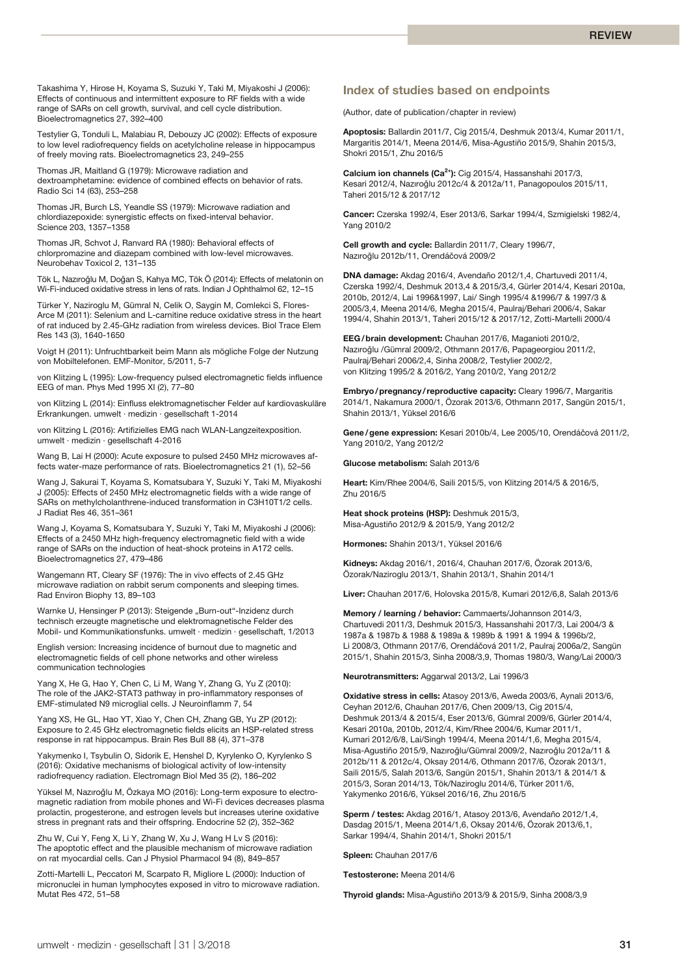Takashima Y, Hirose H, Koyama S, Suzuki Y, Taki M, Miyakoshi J (2006): Effects of continuous and intermittent exposure to RF fields with a wide range of SARs on cell growth, survival, and cell cycle distribution. Bioelectromagnetics 27, 392–400

Testylier G, Tonduli L, Malabiau R, Debouzy JC (2002): Effects of exposure to low level radiofrequency fields on acetylcholine release in hippocampus of freely moving rats. Bioelectromagnetics 23, 249–255

Thomas JR, Maitland G (1979): Microwave radiation and dextroamphetamine: evidence of combined effects on behavior of rats. Radio Sci 14 (63), 253–258

Thomas JR, Burch LS, Yeandle SS (1979): Microwave radiation and chlordiazepoxide: synergistic effects on fixed-interval behavior. Science 203, 1357–1358

Thomas JR, Schvot J, Ranvard RA (1980): Behavioral effects of chlorpromazine and diazepam combined with low-level microwaves. Neurobehav Toxicol 2, 131–135

Tök L, Nazıroğlu M, Doğan S, Kahya MC, Tök Ö (2014): Effects of melatonin on Wi-Fi-induced oxidative stress in lens of rats. Indian J Ophthalmol 62, 12–15

Türker Y, Naziroglu M, Gümral N, Celik O, Saygin M, Comlekci S, Flores-Arce M (2011): Selenium and L-carnitine reduce oxidative stress in the heart of rat induced by 2.45-GHz radiation from wireless devices. Biol Trace Elem Res 143 (3), 1640-1650

Voigt H (2011): Unfruchtbarkeit beim Mann als mögliche Folge der Nutzung von Mobiltelefonen. EMF-Monitor, 5/2011, 5-7

von Klitzing L (1995): Low-frequency pulsed electromagnetic fields influence EEG of man. Phys Med 1995 XI (2), 77–80

von Klitzing L (2014): Einfluss elektromagnetischer Felder auf kardiovaskuläre Erkrankungen. umwelt · medizin · gesellschaft 1-2014

von Klitzing L (2016): Artifizielles EMG nach WLAN-Langzeitexposition. umwelt · medizin · gesellschaft 4-2016

Wang B, Lai H (2000): Acute exposure to pulsed 2450 MHz microwaves affects water-maze performance of rats. Bioelectromagnetics 21 (1), 52–56

Wang J, Sakurai T, Koyama S, Komatsubara Y, Suzuki Y, Taki M, Miyakoshi J (2005): Effects of 2450 MHz electromagnetic fields with a wide range of SARs on methylcholanthrene-induced transformation in C3H10T1/2 cells. J Radiat Res 46, 351–361

Wang J, Koyama S, Komatsubara Y, Suzuki Y, Taki M, Miyakoshi J (2006): Effects of a 2450 MHz high-frequency electromagnetic field with a wide range of SARs on the induction of heat-shock proteins in A172 cells. Bioelectromagnetics 27, 479–486

Wangemann RT, Cleary SF (1976): The in vivo effects of 2.45 GHz microwave radiation on rabbit serum components and sleeping times. Rad Environ Biophy 13, 89–103

Warnke U, Hensinger P (2013): Steigende "Burn-out"-Inzidenz durch technisch erzeugte magnetische und elektromagnetische Felder des Mobil- und Kommunikationsfunks. umwelt · medizin · gesellschaft, 1/2013

English version: Increasing incidence of burnout due to magnetic and electromagnetic fields of cell phone networks and other wireless communication technologies

Yang X, He G, Hao Y, Chen C, Li M, Wang Y, Zhang G, Yu Z (2010): The role of the JAK2-STAT3 pathway in pro-inflammatory responses of EMF-stimulated N9 microglial cells. J Neuroinflamm 7, 54

Yang XS, He GL, Hao YT, Xiao Y, Chen CH, Zhang GB, Yu ZP (2012): Exposure to 2.45 GHz electromagnetic fields elicits an HSP-related stress response in rat hippocampus. Brain Res Bull 88 (4), 371–378

Yakymenko I, Tsybulin O, Sidorik E, Henshel D, Kyrylenko O, Kyrylenko S (2016): Oxidative mechanisms of biological activity of low-intensity radiofrequency radiation. Electromagn Biol Med 35 (2), 186–202

Yüksel M, Nazıroğlu M, Özkaya MO (2016): Long-term exposure to electromagnetic radiation from mobile phones and Wi-Fi devices decreases plasma prolactin, progesterone, and estrogen levels but increases uterine oxidative stress in pregnant rats and their offspring. Endocrine 52 (2), 352–362

Zhu W, Cui Y, Feng X, Li Y, Zhang W, Xu J, Wang H Lv S (2016): The apoptotic effect and the plausible mechanism of microwave radiation on rat myocardial cells. Can J Physiol Pharmacol 94 (8), 849–857

Zotti-Martelli L, Peccatori M, Scarpato R, Migliore L (2000): Induction of micronuclei in human lymphocytes exposed in vitro to microwave radiation. Mutat Res 472, 51–58

# **Index of studies based on endpoints**

(Author, date of publication/chapter in review)

**Apoptosis:** Ballardin 2011/7, Cig 2015/4, Deshmuk 2013/4, Kumar 2011/1, Margaritis 2014/1, Meena 2014/6, Misa-Agustiño 2015/9, Shahin 2015/3, Shokri 2015/1, Zhu 2016/5

**Calcium ion channels (Ca2+):** Cig 2015/4, Hassanshahi 2017/3, Kesari 2012/4, Nazıroğlu 2012c/4 & 2012a/11, Panagopoulos 2015/11, Taheri 2015/12 & 2017/12

**Cancer:** Czerska 1992/4, Eser 2013/6, Sarkar 1994/4, Szmigielski 1982/4, Yang 2010/2

**Cell growth and cycle:** Ballardin 2011/7, Cleary 1996/7, Nazıroğlu 2012b/11, Orendáčová 2009/2

**DNA damage:** Akdag 2016/4, Avendaño 2012/1,4, Chartuvedi 2011/4, Czerska 1992/4, Deshmuk 2013,4 & 2015/3,4, Gürler 2014/4, Kesari 2010a, 2010b, 2012/4, Lai 1996&1997, Lai/ Singh 1995/4 &1996/7 & 1997/3 & 2005/3,4, Meena 2014/6, Megha 2015/4, Paulraj/Behari 2006/4, Sakar 1994/4, Shahin 2013/1, Taheri 2015/12 & 2017/12, Zotti-Martelli 2000/4

**EEG/brain development:** Chauhan 2017/6, Maganioti 2010/2, Nazıroğlu /Gümral 2009/2, Othmann 2017/6, Papageorgiou 2011/2, Paulraj/Behari 2006/2,4, Sinha 2008/2, Testylier 2002/2, von Klitzing 1995/2 & 2016/2, Yang 2010/2, Yang 2012/2

**Embryo/pregnancy/reproductive capacity:** Cleary 1996/7, Margaritis 2014/1, Nakamura 2000/1, Özorak 2013/6, Othmann 2017, Sangün 2015/1, Shahin 2013/1, Yüksel 2016/6

Gene/gene expression: Kesari 2010b/4, Lee 2005/10, Orendáčová 2011/2, Yang 2010/2, Yang 2012/2

**Glucose metabolism:** Salah 2013/6

**Heart:** Kim/Rhee 2004/6, Saili 2015/5, von Klitzing 2014/5 & 2016/5, Zhu 2016/5

**Heat shock proteins (HSP):** Deshmuk 2015/3, Misa-Agustiño 2012/9 & 2015/9, Yang 2012/2

**Hormones:** Shahin 2013/1, Yüksel 2016/6

**Kidneys:** Akdag 2016/1, 2016/4, Chauhan 2017/6, Özorak 2013/6, Özorak/Naziroglu 2013/1, Shahin 2013/1, Shahin 2014/1

**Liver:** Chauhan 2017/6, Holovska 2015/8, Kumari 2012/6,8, Salah 2013/6

**Memory / learning / behavior:** Cammaerts/Johannson 2014/3, Chartuvedi 2011/3, Deshmuk 2015/3, Hassanshahi 2017/3, Lai 2004/3 & 1987a & 1987b & 1988 & 1989a & 1989b & 1991 & 1994 & 1996b/2, Li 2008/3, Othmann 2017/6, Orendáčová 2011/2, Paulraj 2006a/2, Sangün 2015/1, Shahin 2015/3, Sinha 2008/3,9, Thomas 1980/3, Wang/Lai 2000/3

**Neurotransmitters:** Aggarwal 2013/2, Lai 1996/3

**Oxidative stress in cells:** Atasoy 2013/6, Aweda 2003/6, Aynali 2013/6, Ceyhan 2012/6, Chauhan 2017/6, Chen 2009/13, Cig 2015/4, Deshmuk 2013/4 & 2015/4, Eser 2013/6, Gümral 2009/6, Gürler 2014/4, Kesari 2010a, 2010b, 2012/4, Kim/Rhee 2004/6, Kumar 2011/1, Kumari 2012/6/8, Lai/Singh 1994/4, Meena 2014/1,6, Megha 2015/4, Misa-Agustiño 2015/9, Nazıroğlu/Gümral 2009/2, Nazıroğlu 2012a/11 & 2012b/11 & 2012c/4, Oksay 2014/6, Othmann 2017/6, Özorak 2013/1, Saili 2015/5, Salah 2013/6, Sangün 2015/1, Shahin 2013/1 & 2014/1 & 2015/3, Soran 2014/13, Tök/Naziroglu 2014/6, Türker 2011/6, Yakymenko 2016/6, Yüksel 2016/16, Zhu 2016/5

**Sperm / testes:** Akdag 2016/1, Atasoy 2013/6, Avendaño 2012/1,4, Dasdag 2015/1, Meena 2014/1,6, Oksay 2014/6, Özorak 2013/6,1, Sarkar 1994/4, Shahin 2014/1, Shokri 2015/1

**Spleen:** Chauhan 2017/6

**Testosterone:** Meena 2014/6

**Thyroid glands:** Misa-Agustiño 2013/9 & 2015/9, Sinha 2008/3,9